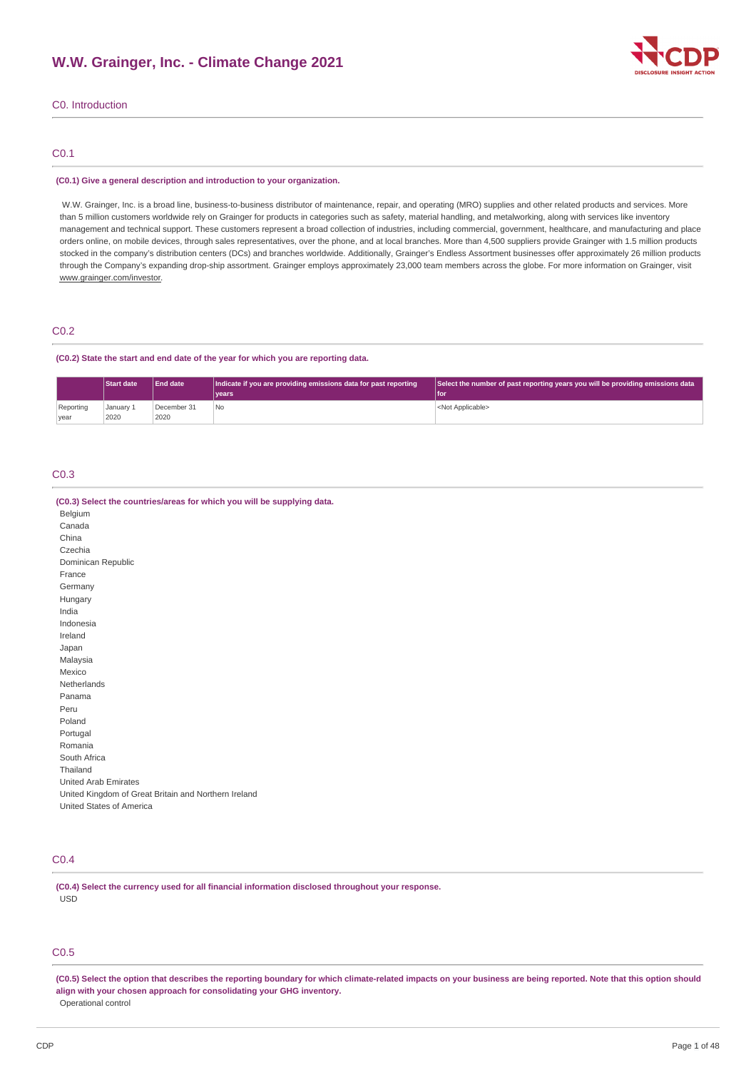

## C0. Introduction

## C0.1

#### **(C0.1) Give a general description and introduction to your organization.**

W.W. Grainger, Inc. is a broad line, business-to-business distributor of maintenance, repair, and operating (MRO) supplies and other related products and services. More than 5 million customers worldwide rely on Grainger for products in categories such as safety, material handling, and metalworking, along with services like inventory management and technical support. These customers represent a broad collection of industries, including commercial, government, healthcare, and manufacturing and place orders online, on mobile devices, through sales representatives, over the phone, and at local branches. More than 4,500 suppliers provide Grainger with 1.5 million products stocked in the company's distribution centers (DCs) and branches worldwide. Additionally, Grainger's Endless Assortment businesses offer approximately 26 million products through the Company's expanding drop-ship assortment. Grainger employs approximately 23,000 team members across the globe. For more information on Grainger, visit www.grainger.com/investor.

### C0.2

#### **(C0.2) State the start and end date of the year for which you are reporting data.**

|                   | <b>Start date</b> | <b>End date</b>     | Indicate if you are providing emissions data for past reporting | Select the number of past reporting years you will be providing emissions data |
|-------------------|-------------------|---------------------|-----------------------------------------------------------------|--------------------------------------------------------------------------------|
|                   |                   |                     | vears                                                           | l for                                                                          |
| Reporting<br>vear | January 1<br>2020 | December 31<br>2020 | 'No                                                             | <not applicable=""></not>                                                      |

### C0.3

| (C0.3) Select the countries/areas for which you will be supplying data. |
|-------------------------------------------------------------------------|
| Belgium                                                                 |
| Canada                                                                  |
| China                                                                   |
| Czechia                                                                 |
| Dominican Republic                                                      |
| France                                                                  |
| Germany                                                                 |
| Hungary                                                                 |
| India                                                                   |
| Indonesia                                                               |
| Ireland                                                                 |
| Japan                                                                   |
| Malaysia                                                                |
| Mexico                                                                  |
| Netherlands                                                             |
| Panama                                                                  |
| Peru                                                                    |
| Poland                                                                  |
| Portugal                                                                |
| Romania                                                                 |
| South Africa                                                            |
| Thailand                                                                |
| <b>United Arab Emirates</b>                                             |
| United Kingdom of Great Britain and Northern Ireland                    |
| United States of America                                                |

## C0.4

**(C0.4) Select the currency used for all financial information disclosed throughout your response.** USD

## C0.5

(C0.5) Select the option that describes the reporting boundary for which climate-related impacts on your business are being reported. Note that this option should **align with your chosen approach for consolidating your GHG inventory.** Operational control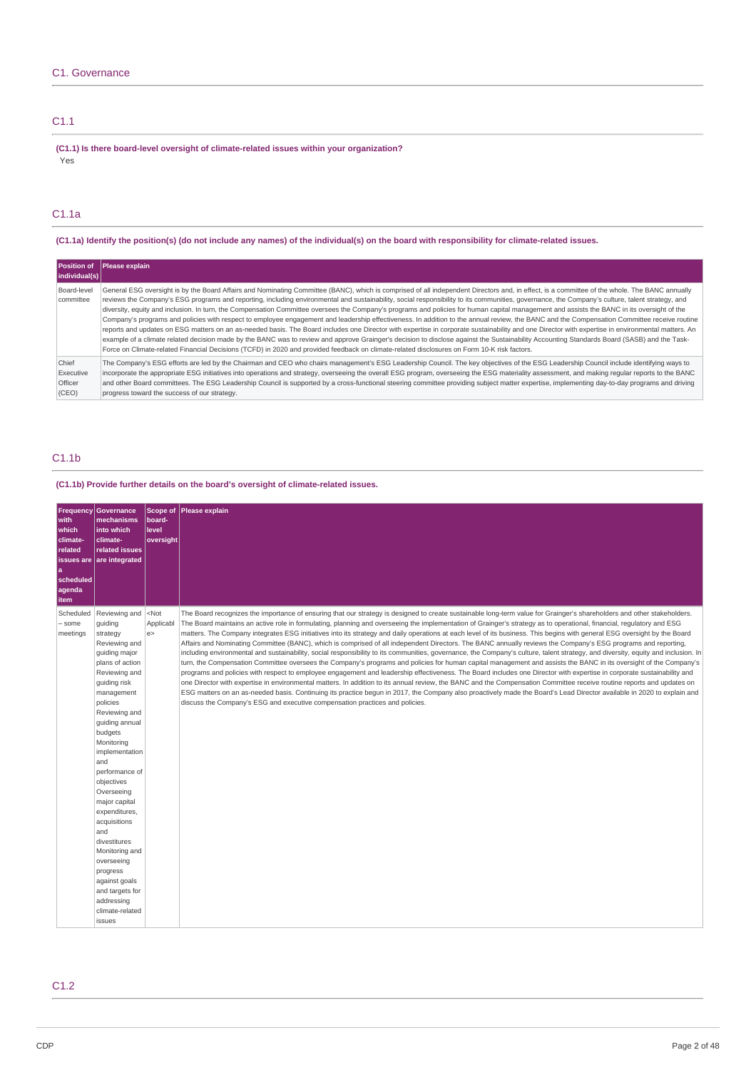## C1.1

**(C1.1) Is there board-level oversight of climate-related issues within your organization?** Yes

## C1.1a

(C1.1a) Identify the position(s) (do not include any names) of the individual(s) on the board with responsibility for climate-related issues.

|                                        | Position of Please explain                                                                                                                                                                                                                                                                                                                                                                                                                                                                                                                                                                                                                                                                                                                                                                                                                                                                                                                                                                                                                                                                                                                                                                                                                                                                                                                        |
|----------------------------------------|---------------------------------------------------------------------------------------------------------------------------------------------------------------------------------------------------------------------------------------------------------------------------------------------------------------------------------------------------------------------------------------------------------------------------------------------------------------------------------------------------------------------------------------------------------------------------------------------------------------------------------------------------------------------------------------------------------------------------------------------------------------------------------------------------------------------------------------------------------------------------------------------------------------------------------------------------------------------------------------------------------------------------------------------------------------------------------------------------------------------------------------------------------------------------------------------------------------------------------------------------------------------------------------------------------------------------------------------------|
| individual(s)                          |                                                                                                                                                                                                                                                                                                                                                                                                                                                                                                                                                                                                                                                                                                                                                                                                                                                                                                                                                                                                                                                                                                                                                                                                                                                                                                                                                   |
| Board-level<br>committee               | General ESG oversight is by the Board Affairs and Nominating Committee (BANC), which is comprised of all independent Directors and, in effect, is a committee of the whole. The BANC annually<br>reviews the Company's ESG programs and reporting, including environmental and sustainability, social responsibility to its communities, governance, the Company's culture, talent strategy, and<br>diversity, equity and inclusion. In turn, the Compensation Committee oversees the Company's programs and policies for human capital management and assists the BANC in its oversight of the<br>Company's programs and policies with respect to employee engagement and leadership effectiveness. In addition to the annual review, the BANC and the Compensation Committee receive routine<br>reports and updates on ESG matters on an as-needed basis. The Board includes one Director with expertise in corporate sustainability and one Director with expertise in environmental matters. An<br>example of a climate related decision made by the BANC was to review and approve Grainger's decision to disclose against the Sustainability Accounting Standards Board (SASB) and the Task-<br>Force on Climate-related Financial Decisions (TCFD) in 2020 and provided feedback on climate-related disclosures on Form 10-K risk factors. |
| Chief<br>Executive<br>Officer<br>(CEO) | The Company's ESG efforts are led by the Chairman and CEO who chairs management's ESG Leadership Council. The key objectives of the ESG Leadership Council include identifying ways to<br>incorporate the appropriate ESG initiatives into operations and strategy, overseeing the overall ESG program, overseeing the ESG materiality assessment, and making regular reports to the BANC<br>and other Board committees. The ESG Leadership Council is supported by a cross-functional steering committee providing subject matter expertise, implementing day-to-day programs and driving<br>progress toward the success of our strategy.                                                                                                                                                                                                                                                                                                                                                                                                                                                                                                                                                                                                                                                                                                        |

## C1.1b

**(C1.1b) Provide further details on the board's oversight of climate-related issues.**

| with<br>which<br>climate-<br>related<br>a<br>scheduled<br>agenda<br>item | <b>Frequency Governance</b><br>mechanisms<br>into which<br>climate-<br>related issues<br>issues are $ $ are integrated                                                                                                                                                                                                                                                                                                                                                                      | Scope of<br>board-<br>level<br>oversight | Please explain                                                                                                                                                                                                                                                                                                                                                                                                                                                                                                                                                                                                                                                                                                                                                                                                                                                                                                                                                                                                                                                                                                                                                                                                                                                                                                                                                                                                                                                                                                                                                                                                                                                         |
|--------------------------------------------------------------------------|---------------------------------------------------------------------------------------------------------------------------------------------------------------------------------------------------------------------------------------------------------------------------------------------------------------------------------------------------------------------------------------------------------------------------------------------------------------------------------------------|------------------------------------------|------------------------------------------------------------------------------------------------------------------------------------------------------------------------------------------------------------------------------------------------------------------------------------------------------------------------------------------------------------------------------------------------------------------------------------------------------------------------------------------------------------------------------------------------------------------------------------------------------------------------------------------------------------------------------------------------------------------------------------------------------------------------------------------------------------------------------------------------------------------------------------------------------------------------------------------------------------------------------------------------------------------------------------------------------------------------------------------------------------------------------------------------------------------------------------------------------------------------------------------------------------------------------------------------------------------------------------------------------------------------------------------------------------------------------------------------------------------------------------------------------------------------------------------------------------------------------------------------------------------------------------------------------------------------|
| Scheduled<br>- some<br>meetings                                          | Reviewing and<br>guiding<br>strategy<br>Reviewing and<br>guiding major<br>plans of action<br>Reviewing and<br>quiding risk<br>management<br>policies<br>Reviewing and<br>guiding annual<br>budgets<br>Monitoring<br>implementation<br>and<br>performance of<br>objectives<br>Overseeing<br>major capital<br>expenditures,<br>acquisitions<br>and<br>divestitures<br>Monitoring and<br>overseeing<br>progress<br>against goals<br>and targets for<br>addressing<br>climate-related<br>issues | $<$ Not<br>Applicabl<br>e                | The Board recognizes the importance of ensuring that our strategy is designed to create sustainable long-term value for Grainger's shareholders and other stakeholders.<br>The Board maintains an active role in formulating, planning and overseeing the implementation of Grainger's strategy as to operational, financial, regulatory and ESG<br>matters. The Company integrates ESG initiatives into its strategy and daily operations at each level of its business. This begins with general ESG oversight by the Board<br>Affairs and Nominating Committee (BANC), which is comprised of all independent Directors. The BANC annually reviews the Company's ESG programs and reporting,<br>including environmental and sustainability, social responsibility to its communities, governance, the Company's culture, talent strategy, and diversity, equity and inclusion. In<br>turn, the Compensation Committee oversees the Company's programs and policies for human capital management and assists the BANC in its oversight of the Company's<br>programs and policies with respect to employee engagement and leadership effectiveness. The Board includes one Director with expertise in corporate sustainability and<br>one Director with expertise in environmental matters. In addition to its annual review, the BANC and the Compensation Committee receive routine reports and updates on<br>ESG matters on an as-needed basis. Continuing its practice begun in 2017, the Company also proactively made the Board's Lead Director available in 2020 to explain and<br>discuss the Company's ESG and executive compensation practices and policies. |

C1.2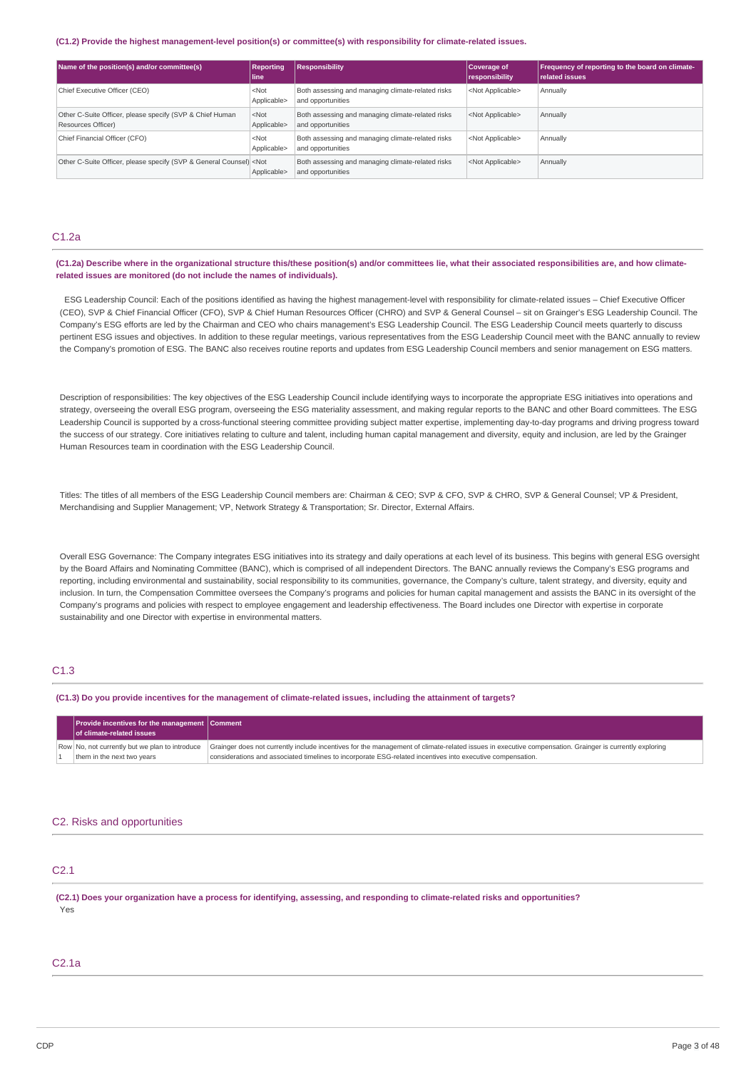#### **(C1.2) Provide the highest management-level position(s) or committee(s) with responsibility for climate-related issues.**

| Name of the position(s) and/or committee(s)                                                                                                                                                                                                 | <b>Reporting</b><br>l line      | <b>Responsibility</b>                                                  | Coverage of<br>responsibility | Frequency of reporting to the board on climate-<br><b>related issues</b> |
|---------------------------------------------------------------------------------------------------------------------------------------------------------------------------------------------------------------------------------------------|---------------------------------|------------------------------------------------------------------------|-------------------------------|--------------------------------------------------------------------------|
| Chief Executive Officer (CEO)                                                                                                                                                                                                               | $<$ Not<br>Applicable>          | Both assessing and managing climate-related risks<br>and opportunities | <not applicable=""></not>     | Annually                                                                 |
| Other C-Suite Officer, please specify (SVP & Chief Human<br>Resources Officer)                                                                                                                                                              | $<$ Not<br>Applicable>          | Both assessing and managing climate-related risks<br>and opportunities | <not applicable=""></not>     | Annually                                                                 |
| Chief Financial Officer (CFO)                                                                                                                                                                                                               | <not<br>Applicable&gt;</not<br> | Both assessing and managing climate-related risks<br>and opportunities | <not applicable=""></not>     | Annually                                                                 |
| Other C-Suite Officer, please specify (SVP & General Counsel) <not< td=""><td>Applicable&gt;</td><td>Both assessing and managing climate-related risks<br/>and opportunities</td><td><not applicable=""></not></td><td>Annually</td></not<> | Applicable>                     | Both assessing and managing climate-related risks<br>and opportunities | <not applicable=""></not>     | Annually                                                                 |

### C1.2a

(C1.2a) Describe where in the organizational structure this/these position(s) and/or committees lie, what their associated responsibilities are, and how climate**related issues are monitored (do not include the names of individuals).**

ESG Leadership Council: Each of the positions identified as having the highest management-level with responsibility for climate-related issues – Chief Executive Officer (CEO), SVP & Chief Financial Officer (CFO), SVP & Chief Human Resources Officer (CHRO) and SVP & General Counsel – sit on Grainger's ESG Leadership Council. The Company's ESG efforts are led by the Chairman and CEO who chairs management's ESG Leadership Council. The ESG Leadership Council meets quarterly to discuss pertinent ESG issues and objectives. In addition to these regular meetings, various representatives from the ESG Leadership Council meet with the BANC annually to review the Company's promotion of ESG. The BANC also receives routine reports and updates from ESG Leadership Council members and senior management on ESG matters.

Description of responsibilities: The key objectives of the ESG Leadership Council include identifying ways to incorporate the appropriate ESG initiatives into operations and strategy, overseeing the overall ESG program, overseeing the ESG materiality assessment, and making regular reports to the BANC and other Board committees. The ESG Leadership Council is supported by a cross-functional steering committee providing subject matter expertise, implementing day-to-day programs and driving progress toward the success of our strategy. Core initiatives relating to culture and talent, including human capital management and diversity, equity and inclusion, are led by the Grainger Human Resources team in coordination with the ESG Leadership Council.

Titles: The titles of all members of the ESG Leadership Council members are: Chairman & CEO; SVP & CFO, SVP & CHRO, SVP & General Counsel; VP & President, Merchandising and Supplier Management; VP, Network Strategy & Transportation; Sr. Director, External Affairs.

Overall ESG Governance: The Company integrates ESG initiatives into its strategy and daily operations at each level of its business. This begins with general ESG oversight by the Board Affairs and Nominating Committee (BANC), which is comprised of all independent Directors. The BANC annually reviews the Company's ESG programs and reporting, including environmental and sustainability, social responsibility to its communities, governance, the Company's culture, talent strategy, and diversity, equity and inclusion. In turn, the Compensation Committee oversees the Company's programs and policies for human capital management and assists the BANC in its oversight of the Company's programs and policies with respect to employee engagement and leadership effectiveness. The Board includes one Director with expertise in corporate sustainability and one Director with expertise in environmental matters.

## C1.3

(C1.3) Do you provide incentives for the management of climate-related issues, including the attainment of targets?

| <b>Provide incentives for the management Comment</b><br>of climate-related issues |                                                                                                                                                                                                                                                                      |
|-----------------------------------------------------------------------------------|----------------------------------------------------------------------------------------------------------------------------------------------------------------------------------------------------------------------------------------------------------------------|
| Row No, not currently but we plan to introduce<br>them in the next two years      | Grainger does not currently include incentives for the management of climate-related issues in executive compensation. Grainger is currently exploring<br>considerations and associated timelines to incorporate ESG-related incentives into executive compensation. |

## C2. Risks and opportunities

## C2.1

(C2.1) Does your organization have a process for identifying, assessing, and responding to climate-related risks and opportunities? Yes

## C2.1a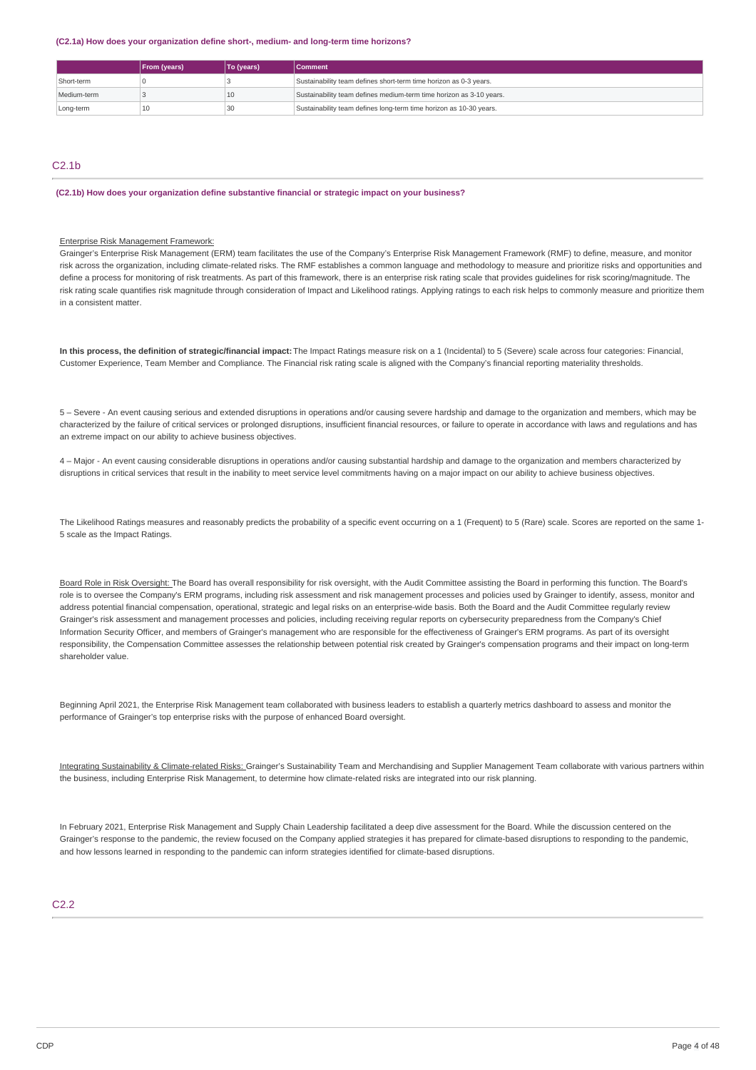**(C2.1a) How does your organization define short-, medium- and long-term time horizons?**

|             | <b>From (years)</b> | To (years) | <b>Comment</b>                                                      |
|-------------|---------------------|------------|---------------------------------------------------------------------|
| Short-term  |                     |            | Sustainability team defines short-term time horizon as 0-3 years.   |
| Medium-term |                     | 10         | Sustainability team defines medium-term time horizon as 3-10 years. |
| Long-term   | 10                  | 30         | Sustainability team defines long-term time horizon as 10-30 years.  |

## $C2.1<sub>b</sub>$

**(C2.1b) How does your organization define substantive financial or strategic impact on your business?**

### Enterprise Risk Management Framework:

Grainger's Enterprise Risk Management (ERM) team facilitates the use of the Company's Enterprise Risk Management Framework (RMF) to define, measure, and monitor risk across the organization, including climate-related risks. The RMF establishes a common language and methodology to measure and prioritize risks and opportunities and define a process for monitoring of risk treatments. As part of this framework, there is an enterprise risk rating scale that provides guidelines for risk scoring/magnitude. The risk rating scale quantifies risk magnitude through consideration of Impact and Likelihood ratings. Applying ratings to each risk helps to commonly measure and prioritize them in a consistent matter.

**In this process, the definition of strategic/financial impact:**The Impact Ratings measure risk on a 1 (Incidental) to 5 (Severe) scale across four categories: Financial, Customer Experience, Team Member and Compliance. The Financial risk rating scale is aligned with the Company's financial reporting materiality thresholds.

5 – Severe - An event causing serious and extended disruptions in operations and/or causing severe hardship and damage to the organization and members, which may be characterized by the failure of critical services or prolonged disruptions, insufficient financial resources, or failure to operate in accordance with laws and regulations and has an extreme impact on our ability to achieve business objectives.

4 – Major - An event causing considerable disruptions in operations and/or causing substantial hardship and damage to the organization and members characterized by disruptions in critical services that result in the inability to meet service level commitments having on a major impact on our ability to achieve business objectives.

The Likelihood Ratings measures and reasonably predicts the probability of a specific event occurring on a 1 (Frequent) to 5 (Rare) scale. Scores are reported on the same 1- 5 scale as the Impact Ratings.

Board Role in Risk Oversight: The Board has overall responsibility for risk oversight, with the Audit Committee assisting the Board in performing this function. The Board's role is to oversee the Company's ERM programs, including risk assessment and risk management processes and policies used by Grainger to identify, assess, monitor and address potential financial compensation, operational, strategic and legal risks on an enterprise-wide basis. Both the Board and the Audit Committee regularly review Grainger's risk assessment and management processes and policies, including receiving regular reports on cybersecurity preparedness from the Company's Chief Information Security Officer, and members of Grainger's management who are responsible for the effectiveness of Grainger's ERM programs. As part of its oversight responsibility, the Compensation Committee assesses the relationship between potential risk created by Grainger's compensation programs and their impact on long-term shareholder value.

Beginning April 2021, the Enterprise Risk Management team collaborated with business leaders to establish a quarterly metrics dashboard to assess and monitor the performance of Grainger's top enterprise risks with the purpose of enhanced Board oversight.

Integrating Sustainability & Climate-related Risks: Grainger's Sustainability Team and Merchandising and Supplier Management Team collaborate with various partners within the business, including Enterprise Risk Management, to determine how climate-related risks are integrated into our risk planning.

In February 2021, Enterprise Risk Management and Supply Chain Leadership facilitated a deep dive assessment for the Board. While the discussion centered on the Grainger's response to the pandemic, the review focused on the Company applied strategies it has prepared for climate-based disruptions to responding to the pandemic. and how lessons learned in responding to the pandemic can inform strategies identified for climate-based disruptions.

## C2.2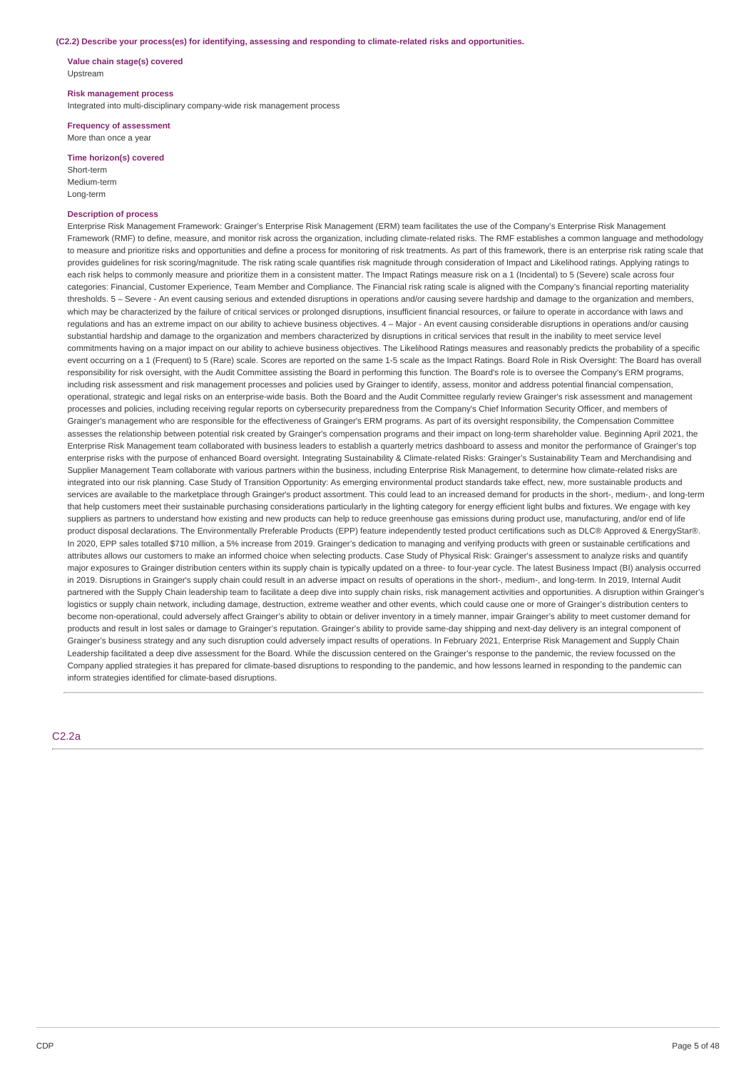#### **(C2.2) Describe your process(es) for identifying, assessing and responding to climate-related risks and opportunities.**

**Value chain stage(s) covered** Upstream

#### **Risk management process**

Integrated into multi-disciplinary company-wide risk management process

**Frequency of assessment** More than once a year

#### **Time horizon(s) covered**

Short-term Medium-term Long-term

## **Description of process**

Enterprise Risk Management Framework: Grainger's Enterprise Risk Management (ERM) team facilitates the use of the Company's Enterprise Risk Management Framework (RMF) to define, measure, and monitor risk across the organization, including climate-related risks. The RMF establishes a common language and methodology to measure and prioritize risks and opportunities and define a process for monitoring of risk treatments. As part of this framework, there is an enterprise risk rating scale that provides guidelines for risk scoring/magnitude. The risk rating scale quantifies risk magnitude through consideration of Impact and Likelihood ratings. Applying ratings to each risk helps to commonly measure and prioritize them in a consistent matter. The Impact Ratings measure risk on a 1 (Incidental) to 5 (Severe) scale across four categories: Financial, Customer Experience, Team Member and Compliance. The Financial risk rating scale is aligned with the Company's financial reporting materiality thresholds. 5 – Severe - An event causing serious and extended disruptions in operations and/or causing severe hardship and damage to the organization and members, which may be characterized by the failure of critical services or prolonged disruptions, insufficient financial resources, or failure to operate in accordance with laws and regulations and has an extreme impact on our ability to achieve business objectives. 4 – Major - An event causing considerable disruptions in operations and/or causing substantial hardship and damage to the organization and members characterized by disruptions in critical services that result in the inability to meet service level commitments having on a major impact on our ability to achieve business objectives. The Likelihood Ratings measures and reasonably predicts the probability of a specific event occurring on a 1 (Frequent) to 5 (Rare) scale. Scores are reported on the same 1-5 scale as the Impact Ratings. Board Role in Risk Oversight: The Board has overall responsibility for risk oversight, with the Audit Committee assisting the Board in performing this function. The Board's role is to oversee the Company's ERM programs, including risk assessment and risk management processes and policies used by Grainger to identify, assess, monitor and address potential financial compensation, operational, strategic and legal risks on an enterprise-wide basis. Both the Board and the Audit Committee regularly review Grainger's risk assessment and management processes and policies, including receiving regular reports on cybersecurity preparedness from the Company's Chief Information Security Officer, and members of Grainger's management who are responsible for the effectiveness of Grainger's ERM programs. As part of its oversight responsibility, the Compensation Committee assesses the relationship between potential risk created by Grainger's compensation programs and their impact on long-term shareholder value. Beginning April 2021, the Enterprise Risk Management team collaborated with business leaders to establish a quarterly metrics dashboard to assess and monitor the performance of Grainger's top enterprise risks with the purpose of enhanced Board oversight. Integrating Sustainability & Climate-related Risks: Grainger's Sustainability Team and Merchandising and Supplier Management Team collaborate with various partners within the business, including Enterprise Risk Management, to determine how climate-related risks are integrated into our risk planning. Case Study of Transition Opportunity: As emerging environmental product standards take effect, new, more sustainable products and services are available to the marketplace through Grainger's product assortment. This could lead to an increased demand for products in the short-, medium-, and long-term that help customers meet their sustainable purchasing considerations particularly in the lighting category for energy efficient light bulbs and fixtures. We engage with key suppliers as partners to understand how existing and new products can help to reduce greenhouse gas emissions during product use, manufacturing, and/or end of life product disposal declarations. The Environmentally Preferable Products (EPP) feature independently tested product certifications such as DLC® Approved & EnergyStar®. In 2020, EPP sales totalled \$710 million, a 5% increase from 2019. Grainger's dedication to managing and verifying products with green or sustainable certifications and attributes allows our customers to make an informed choice when selecting products. Case Study of Physical Risk: Grainger's assessment to analyze risks and quantify major exposures to Grainger distribution centers within its supply chain is typically updated on a three- to four-year cycle. The latest Business Impact (BI) analysis occurred in 2019. Disruptions in Grainger's supply chain could result in an adverse impact on results of operations in the short-, medium-, and long-term. In 2019, Internal Audit partnered with the Supply Chain leadership team to facilitate a deep dive into supply chain risks, risk management activities and opportunities. A disruption within Grainger's logistics or supply chain network, including damage, destruction, extreme weather and other events, which could cause one or more of Grainger's distribution centers to become non-operational, could adversely affect Grainger's ability to obtain or deliver inventory in a timely manner, impair Grainger's ability to meet customer demand for products and result in lost sales or damage to Grainger's reputation. Grainger's ability to provide same-day shipping and next-day delivery is an integral component of Grainger's business strategy and any such disruption could adversely impact results of operations. In February 2021, Enterprise Risk Management and Supply Chain Leadership facilitated a deep dive assessment for the Board. While the discussion centered on the Grainger's response to the pandemic, the review focussed on the Company applied strategies it has prepared for climate-based disruptions to responding to the pandemic, and how lessons learned in responding to the pandemic can inform strategies identified for climate-based disruptions.

#### C2.2a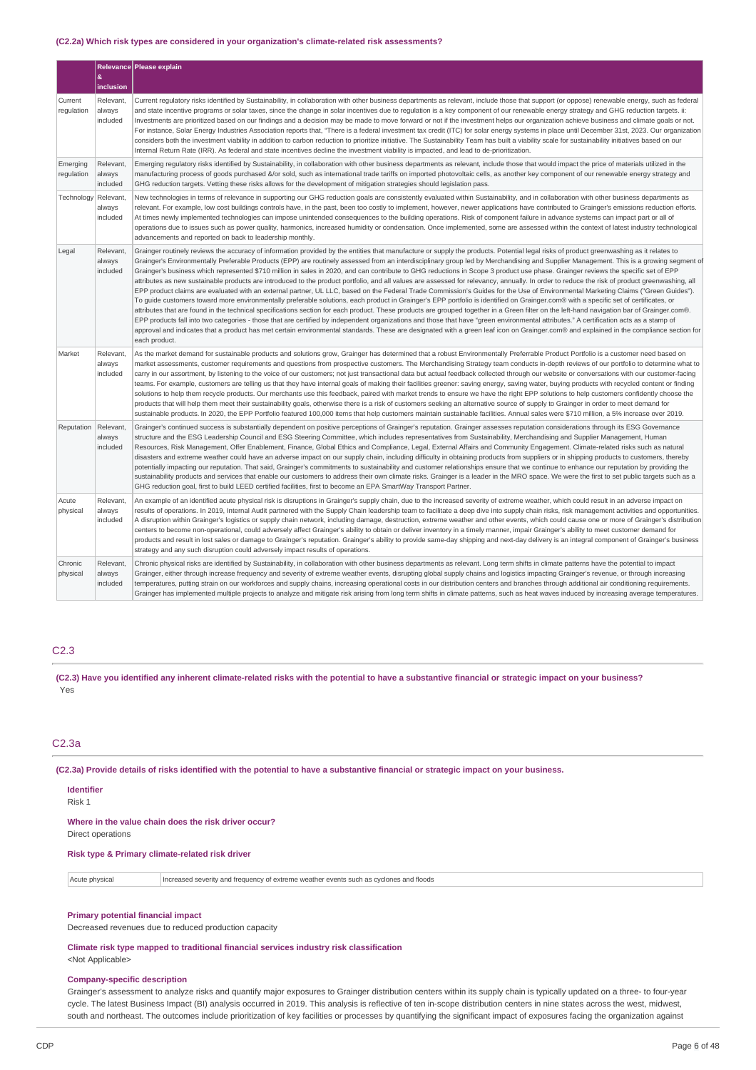#### **(C2.2a) Which risk types are considered in your organization's climate-related risk assessments?**

|                        |                                 | Relevance Please explain                                                                                                                                                                                                                                                                                                                                                                                                                                                                                                                                                                                                                                                                                                                                                                                                                                                                                                                                                                                                                                                                                                                                                                                                                                                                                                                                                                                                                                                                                                                                                                                                                                                                                                                                  |
|------------------------|---------------------------------|-----------------------------------------------------------------------------------------------------------------------------------------------------------------------------------------------------------------------------------------------------------------------------------------------------------------------------------------------------------------------------------------------------------------------------------------------------------------------------------------------------------------------------------------------------------------------------------------------------------------------------------------------------------------------------------------------------------------------------------------------------------------------------------------------------------------------------------------------------------------------------------------------------------------------------------------------------------------------------------------------------------------------------------------------------------------------------------------------------------------------------------------------------------------------------------------------------------------------------------------------------------------------------------------------------------------------------------------------------------------------------------------------------------------------------------------------------------------------------------------------------------------------------------------------------------------------------------------------------------------------------------------------------------------------------------------------------------------------------------------------------------|
|                        | &<br>inclusion                  |                                                                                                                                                                                                                                                                                                                                                                                                                                                                                                                                                                                                                                                                                                                                                                                                                                                                                                                                                                                                                                                                                                                                                                                                                                                                                                                                                                                                                                                                                                                                                                                                                                                                                                                                                           |
| Current<br>regulation  | Relevant,<br>always<br>included | Current regulatory risks identified by Sustainability, in collaboration with other business departments as relevant, include those that support (or oppose) renewable energy, such as federal<br>and state incentive programs or solar taxes, since the change in solar incentives due to regulation is a key component of our renewable energy strategy and GHG reduction targets. ii:<br>Investments are prioritized based on our findings and a decision may be made to move forward or not if the investment helps our organization achieve business and climate goals or not.<br>For instance, Solar Energy Industries Association reports that, "There is a federal investment tax credit (ITC) for solar energy systems in place until December 31st, 2023. Our organization<br>considers both the investment viability in addition to carbon reduction to prioritize initiative. The Sustainability Team has built a viability scale for sustainability initiatives based on our<br>Internal Return Rate (IRR). As federal and state incentives decline the investment viability is impacted, and lead to de-prioritization.                                                                                                                                                                                                                                                                                                                                                                                                                                                                                                                                                                                                                      |
| Emerging<br>regulation | Relevant,<br>always<br>included | Emerging regulatory risks identified by Sustainability, in collaboration with other business departments as relevant, include those that would impact the price of materials utilized in the<br>manufacturing process of goods purchased &/or sold, such as international trade tariffs on imported photovoltaic cells, as another key component of our renewable energy strategy and<br>GHG reduction targets. Vetting these risks allows for the development of mitigation strategies should legislation pass.                                                                                                                                                                                                                                                                                                                                                                                                                                                                                                                                                                                                                                                                                                                                                                                                                                                                                                                                                                                                                                                                                                                                                                                                                                          |
| <b>Technology</b>      | Relevant<br>always<br>included  | New technologies in terms of relevance in supporting our GHG reduction goals are consistently evaluated within Sustainability, and in collaboration with other business departments as<br>relevant. For example, low cost buildings controls have, in the past, been too costly to implement, however, newer applications have contributed to Grainger's emissions reduction efforts.<br>At times newly implemented technologies can impose unintended consequences to the building operations. Risk of component failure in advance systems can impact part or all of<br>operations due to issues such as power quality, harmonics, increased humidity or condensation. Once implemented, some are assessed within the context of latest industry technological<br>advancements and reported on back to leadership monthly.                                                                                                                                                                                                                                                                                                                                                                                                                                                                                                                                                                                                                                                                                                                                                                                                                                                                                                                              |
| Legal                  | Relevant,<br>always<br>included | Grainger routinely reviews the accuracy of information provided by the entities that manufacture or supply the products. Potential legal risks of product greenwashing as it relates to<br>Grainger's Environmentally Preferable Products (EPP) are routinely assessed from an interdisciplinary group led by Merchandising and Supplier Management. This is a growing segment of<br>Grainger's business which represented \$710 million in sales in 2020, and can contribute to GHG reductions in Scope 3 product use phase. Grainger reviews the specific set of EPP<br>attributes as new sustainable products are introduced to the product portfolio, and all values are assessed for relevancy, annually. In order to reduce the risk of product greenwashing, all<br>EPP product claims are evaluated with an external partner, UL LLC, based on the Federal Trade Commission's Guides for the Use of Environmental Marketing Claims ("Green Guides").<br>To quide customers toward more environmentally preferable solutions, each product in Grainger's EPP portfolio is identified on Grainger.com® with a specific set of certificates, or<br>attributes that are found in the technical specifications section for each product. These products are grouped together in a Green filter on the left-hand navigation bar of Grainger.com®.<br>EPP products fall into two categories - those that are certified by independent organizations and those that have "green environmental attributes." A certification acts as a stamp of<br>approval and indicates that a product has met certain environmental standards. These are designated with a green leaf icon on Grainger.com® and explained in the compliance section for<br>each product. |
| Market                 | Relevant,<br>always<br>included | As the market demand for sustainable products and solutions grow, Grainger has determined that a robust Environmentally Preferrable Product Portfolio is a customer need based on<br>market assessments, customer requirements and questions from prospective customers. The Merchandising Strategy team conducts in-depth reviews of our portfolio to determine what to<br>carry in our assortment, by listening to the voice of our customers; not just transactional data but actual feedback collected through our website or conversations with our customer-facing<br>teams. For example, customers are telling us that they have internal goals of making their facilities greener: saving energy, saving water, buying products with recycled content or finding<br>solutions to help them recycle products. Our merchants use this feedback, paired with market trends to ensure we have the right EPP solutions to help customers confidently choose the<br>products that will help them meet their sustainability goals, otherwise there is a risk of customers seeking an alternative source of supply to Grainger in order to meet demand for<br>sustainable products. In 2020, the EPP Portfolio featured 100,000 items that help customers maintain sustainable facilities. Annual sales were \$710 million, a 5% increase over 2019.                                                                                                                                                                                                                                                                                                                                                                                                      |
| Reputation             | Relevant,<br>always<br>included | Grainger's continued success is substantially dependent on positive perceptions of Grainger's reputation. Grainger assesses reputation considerations through its ESG Governance<br>structure and the ESG Leadership Council and ESG Steering Committee, which includes representatives from Sustainability, Merchandising and Supplier Management, Human<br>Resources, Risk Management, Offer Enablement, Finance, Global Ethics and Compliance, Legal, External Affairs and Community Engagement. Climate-related risks such as natural<br>disasters and extreme weather could have an adverse impact on our supply chain, including difficulty in obtaining products from suppliers or in shipping products to customers, thereby<br>potentially impacting our reputation. That said, Grainger's commitments to sustainability and customer relationships ensure that we continue to enhance our reputation by providing the<br>sustainability products and services that enable our customers to address their own climate risks. Grainger is a leader in the MRO space. We were the first to set public targets such as a<br>GHG reduction goal, first to build LEED certified facilities, first to become an EPA SmartWay Transport Partner.                                                                                                                                                                                                                                                                                                                                                                                                                                                                                                        |
| Acute<br>physical      | Relevant,<br>always<br>included | An example of an identified acute physical risk is disruptions in Grainger's supply chain, due to the increased severity of extreme weather, which could result in an adverse impact on<br>results of operations. In 2019, Internal Audit partnered with the Supply Chain leadership team to facilitate a deep dive into supply chain risks, risk management activities and opportunities.<br>A disruption within Grainger's logistics or supply chain network, including damage, destruction, extreme weather and other events, which could cause one or more of Grainger's distribution<br>centers to become non-operational, could adversely affect Grainger's ability to obtain or deliver inventory in a timely manner, impair Grainger's ability to meet customer demand for<br>products and result in lost sales or damage to Grainger's reputation. Grainger's ability to provide same-day shipping and next-day delivery is an integral component of Grainger's business<br>strategy and any such disruption could adversely impact results of operations.                                                                                                                                                                                                                                                                                                                                                                                                                                                                                                                                                                                                                                                                                       |
| Chronic<br>physical    | Relevant,<br>always<br>included | Chronic physical risks are identified by Sustainability, in collaboration with other business departments as relevant. Long term shifts in climate patterns have the potential to impact<br>Grainger, either through increase frequency and severity of extreme weather events, disrupting global supply chains and logistics impacting Grainger's revenue, or through increasing<br>temperatures, putting strain on our workforces and supply chains, increasing operational costs in our distribution centers and branches through additional air conditioning requirements.<br>Grainger has implemented multiple projects to analyze and mitigate risk arising from long term shifts in climate patterns, such as heat waves induced by increasing average temperatures.                                                                                                                                                                                                                                                                                                                                                                                                                                                                                                                                                                                                                                                                                                                                                                                                                                                                                                                                                                               |

## C2.3

(C2.3) Have you identified any inherent climate-related risks with the potential to have a substantive financial or strategic impact on your business? Yes

## C2.3a

(C2.3a) Provide details of risks identified with the potential to have a substantive financial or strategic impact on your business.

## **Identifier**

Risk 1

**Where in the value chain does the risk driver occur?** Direct operations

## **Risk type & Primary climate-related risk driver**

| Acute physical | Increased severity and frequency of extreme weather events such as cyclones and floods |
|----------------|----------------------------------------------------------------------------------------|
|----------------|----------------------------------------------------------------------------------------|

#### **Primary potential financial impact**

Decreased revenues due to reduced production capacity

**Climate risk type mapped to traditional financial services industry risk classification** <Not Applicable>

#### **Company-specific description**

Grainger's assessment to analyze risks and quantify major exposures to Grainger distribution centers within its supply chain is typically updated on a three- to four-year cycle. The latest Business Impact (BI) analysis occurred in 2019. This analysis is reflective of ten in-scope distribution centers in nine states across the west, midwest, south and northeast. The outcomes include prioritization of key facilities or processes by quantifying the significant impact of exposures facing the organization against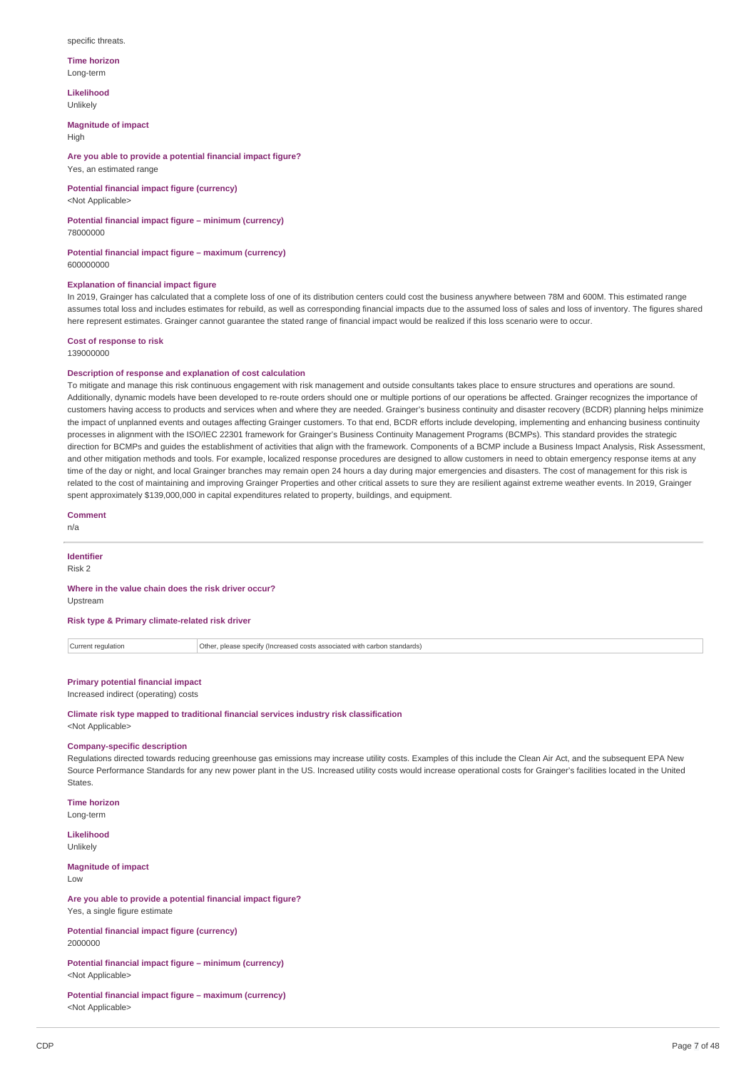#### specific threats.

**Time horizon** Long-term

**Likelihood** Unlikely

**Magnitude of impact** High

**Are you able to provide a potential financial impact figure?** Yes, an estimated range

**Potential financial impact figure (currency)** <Not Applicable>

**Potential financial impact figure – minimum (currency)** 78000000

**Potential financial impact figure – maximum (currency)** 600000000

### **Explanation of financial impact figure**

In 2019, Grainger has calculated that a complete loss of one of its distribution centers could cost the business anywhere between 78M and 600M. This estimated range assumes total loss and includes estimates for rebuild, as well as corresponding financial impacts due to the assumed loss of sales and loss of inventory. The figures shared here represent estimates. Grainger cannot guarantee the stated range of financial impact would be realized if this loss scenario were to occur.

**Cost of response to risk** 139000000

#### **Description of response and explanation of cost calculation**

To mitigate and manage this risk continuous engagement with risk management and outside consultants takes place to ensure structures and operations are sound. Additionally, dynamic models have been developed to re-route orders should one or multiple portions of our operations be affected. Grainger recognizes the importance of customers having access to products and services when and where they are needed. Grainger's business continuity and disaster recovery (BCDR) planning helps minimize the impact of unplanned events and outages affecting Grainger customers. To that end, BCDR efforts include developing, implementing and enhancing business continuity processes in alignment with the ISO/IEC 22301 framework for Grainger's Business Continuity Management Programs (BCMPs). This standard provides the strategic direction for BCMPs and guides the establishment of activities that align with the framework. Components of a BCMP include a Business Impact Analysis, Risk Assessment, and other mitigation methods and tools. For example, localized response procedures are designed to allow customers in need to obtain emergency response items at any time of the day or night, and local Grainger branches may remain open 24 hours a day during major emergencies and disasters. The cost of management for this risk is related to the cost of maintaining and improving Grainger Properties and other critical assets to sure they are resilient against extreme weather events. In 2019, Grainger spent approximately \$139,000,000 in capital expenditures related to property, buildings, and equipment.

**Comment**

n/a

## **Identifier**

Risk 2

#### **Where in the value chain does the risk driver occur?** Upstream

**Risk type & Primary climate-related risk driver**

Current regulation **Current regulation** Other, please specify (Increased costs associated with carbon standards)

## **Primary potential financial impact**

Increased indirect (operating) costs

**Climate risk type mapped to traditional financial services industry risk classification** <Not Applicable>

#### **Company-specific description**

Regulations directed towards reducing greenhouse gas emissions may increase utility costs. Examples of this include the Clean Air Act, and the subsequent EPA New Source Performance Standards for any new power plant in the US. Increased utility costs would increase operational costs for Grainger's facilities located in the United **States** 

**Time horizon** Long-term

**Likelihood** Unlikely

**Magnitude of impact** Low

**Are you able to provide a potential financial impact figure?** Yes, a single figure estimate

**Potential financial impact figure (currency)** 2000000

**Potential financial impact figure – minimum (currency)** <Not Applicable>

**Potential financial impact figure – maximum (currency)** <Not Applicable>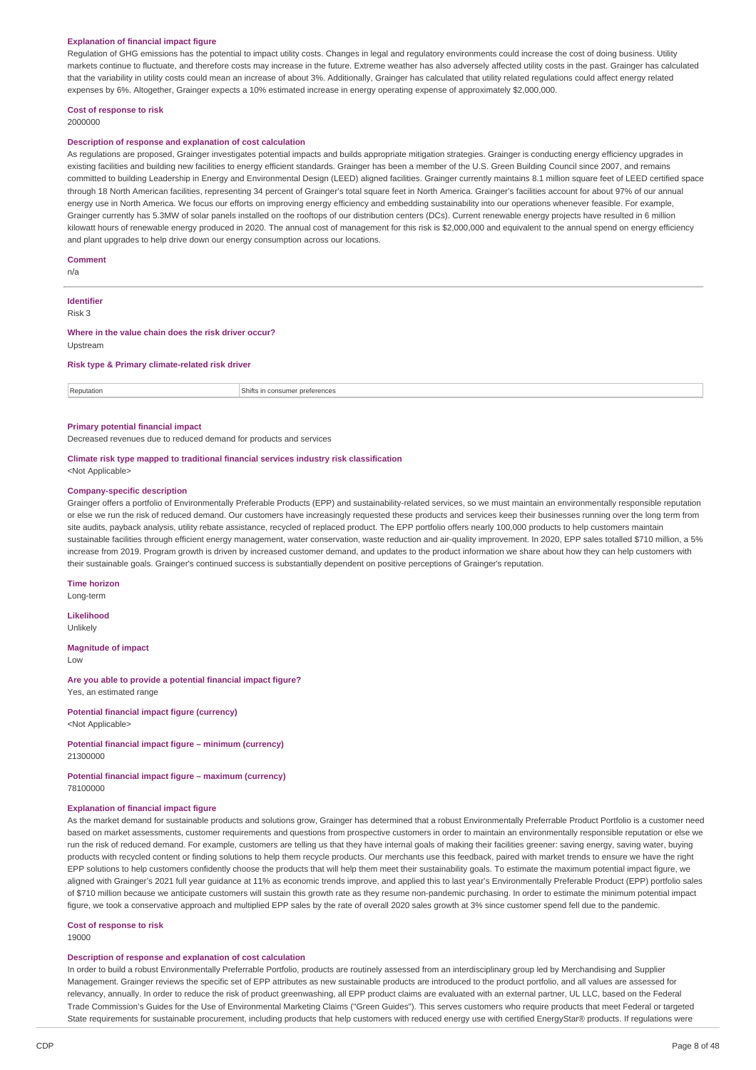#### **Explanation of financial impact figure**

Regulation of GHG emissions has the potential to impact utility costs. Changes in legal and regulatory environments could increase the cost of doing business. Utility markets continue to fluctuate, and therefore costs may increase in the future. Extreme weather has also adversely affected utility costs in the past. Grainger has calculated that the variability in utility costs could mean an increase of about 3%. Additionally, Grainger has calculated that utility related regulations could affect energy related expenses by 6%. Altogether, Grainger expects a 10% estimated increase in energy operating expense of approximately \$2,000,000.

## **Cost of response to risk**

2000000

#### **Description of response and explanation of cost calculation**

As regulations are proposed. Grainger investigates potential impacts and builds appropriate mitigation strategies. Grainger is conducting energy efficiency upgrades in existing facilities and building new facilities to energy efficient standards. Grainger has been a member of the U.S. Green Building Council since 2007, and remains committed to building Leadership in Energy and Environmental Design (LEED) aligned facilities. Grainger currently maintains 8.1 million square feet of LEED certified space through 18 North American facilities, representing 34 percent of Grainger's total square feet in North America. Grainger's facilities account for about 97% of our annual energy use in North America. We focus our efforts on improving energy efficiency and embedding sustainability into our operations whenever feasible. For example, Grainger currently has 5.3MW of solar panels installed on the rooftops of our distribution centers (DCs). Current renewable energy projects have resulted in 6 million kilowatt hours of renewable energy produced in 2020. The annual cost of management for this risk is \$2,000,000 and equivalent to the annual spend on energy efficiency and plant upgrades to help drive down our energy consumption across our locations.

#### **Comment**

n/a

## **Identifier**

Risk 3

## **Where in the value chain does the risk driver occur?**

Upstream

#### **Risk type & Primary climate-related risk driver**

Reputation **Shifts** in consumer preferences

#### **Primary potential financial impact**

Decreased revenues due to reduced demand for products and services

#### **Climate risk type mapped to traditional financial services industry risk classification** <Not Applicable:

#### **Company-specific description**

Grainger offers a portfolio of Environmentally Preferable Products (EPP) and sustainability-related services, so we must maintain an environmentally responsible reputation or else we run the risk of reduced demand. Our customers have increasingly requested these products and services keep their businesses running over the long term from site audits, payback analysis, utility rebate assistance, recycled of replaced product. The EPP portfolio offers nearly 100,000 products to help customers maintain sustainable facilities through efficient energy management, water conservation, waste reduction and air-quality improvement. In 2020, EPP sales totalled \$710 million, a 5% increase from 2019. Program growth is driven by increased customer demand, and updates to the product information we share about how they can help customers with their sustainable goals. Grainger's continued success is substantially dependent on positive perceptions of Grainger's reputation.

**Time horizon** Long-term

**Likelihood** Unlikely

**Magnitude of impact** Low

#### **Are you able to provide a potential financial impact figure?** Yes, an estimated range

**Potential financial impact figure (currency)** <Not Applicable>

#### **Potential financial impact figure – minimum (currency)** 21300000

**Potential financial impact figure – maximum (currency)** 78100000

#### **Explanation of financial impact figure**

As the market demand for sustainable products and solutions grow, Grainger has determined that a robust Environmentally Preferrable Product Portfolio is a customer need based on market assessments, customer requirements and questions from prospective customers in order to maintain an environmentally responsible reputation or else we run the risk of reduced demand. For example, customers are telling us that they have internal goals of making their facilities greener: saving energy, saving water, buying products with recycled content or finding solutions to help them recycle products. Our merchants use this feedback, paired with market trends to ensure we have the right EPP solutions to help customers confidently choose the products that will help them meet their sustainability goals. To estimate the maximum potential impact figure, we aligned with Grainger's 2021 full year guidance at 11% as economic trends improve, and applied this to last year's Environmentally Preferable Product (EPP) portfolio sales of \$710 million because we anticipate customers will sustain this growth rate as they resume non-pandemic purchasing. In order to estimate the minimum potential impact figure, we took a conservative approach and multiplied EPP sales by the rate of overall 2020 sales growth at 3% since customer spend fell due to the pandemic.

## **Cost of response to risk**

19000

### **Description of response and explanation of cost calculation**

In order to build a robust Environmentally Preferrable Portfolio, products are routinely assessed from an interdisciplinary group led by Merchandising and Supplier Management. Grainger reviews the specific set of EPP attributes as new sustainable products are introduced to the product portfolio, and all values are assessed for relevancy, annually. In order to reduce the risk of product greenwashing, all EPP product claims are evaluated with an external partner, UL LLC, based on the Federal Trade Commission's Guides for the Use of Environmental Marketing Claims ("Green Guides"). This serves customers who require products that meet Federal or targeted State requirements for sustainable procurement, including products that help customers with reduced energy use with certified EnergyStar® products. If regulations were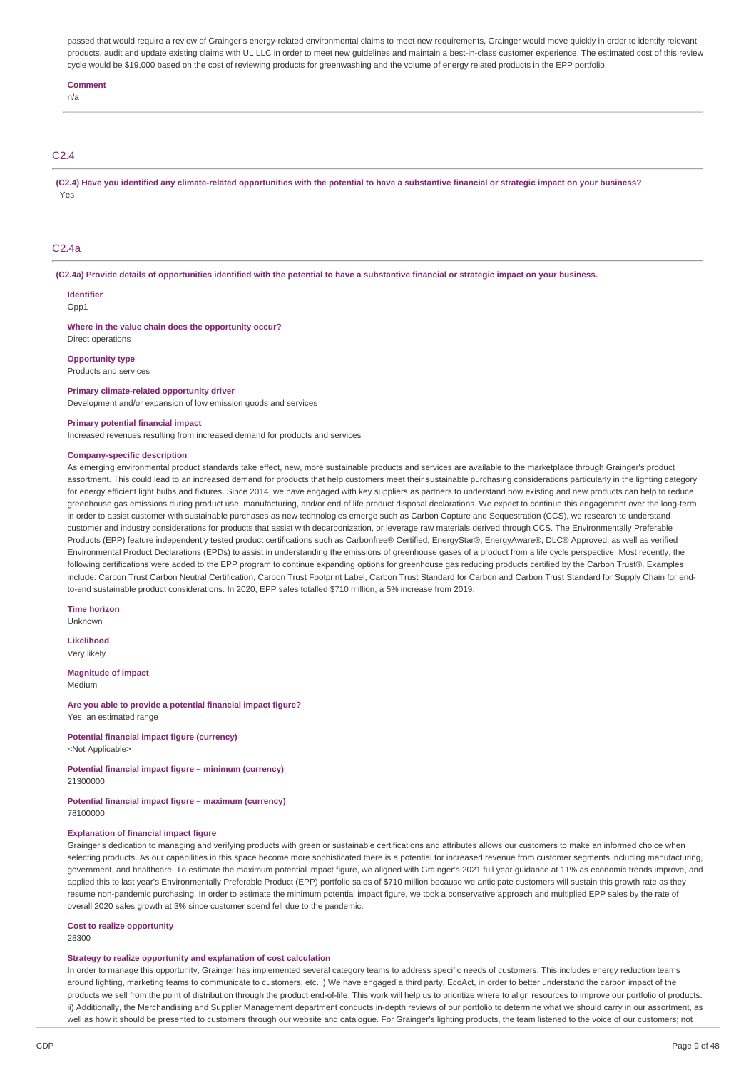passed that would require a review of Grainger's energy-related environmental claims to meet new requirements, Grainger would move quickly in order to identify relevant products, audit and update existing claims with UL LLC in order to meet new guidelines and maintain a best-in-class customer experience. The estimated cost of this review cycle would be \$19,000 based on the cost of reviewing products for greenwashing and the volume of energy related products in the EPP portfolio.

#### **Comment**

n/a

### C2.4

(C2.4) Have you identified any climate-related opportunities with the potential to have a substantive financial or strategic impact on your business? Yes

### C2.4a

(C2.4a) Provide details of opportunities identified with the potential to have a substantive financial or strategic impact on your business.

#### **Identifier**  $Onn1$

#### **Where in the value chain does the opportunity occur?** Direct operations

**Opportunity type**

## Products and services

**Primary climate-related opportunity driver**

Development and/or expansion of low emission goods and services

#### **Primary potential financial impact**

Increased revenues resulting from increased demand for products and services

#### **Company-specific description**

As emerging environmental product standards take effect, new, more sustainable products and services are available to the marketplace through Grainger's product assortment. This could lead to an increased demand for products that help customers meet their sustainable purchasing considerations particularly in the lighting category for energy efficient light bulbs and fixtures. Since 2014, we have engaged with key suppliers as partners to understand how existing and new products can help to reduce greenhouse gas emissions during product use, manufacturing, and/or end of life product disposal declarations. We expect to continue this engagement over the long-term in order to assist customer with sustainable purchases as new technologies emerge such as Carbon Capture and Sequestration (CCS), we research to understand customer and industry considerations for products that assist with decarbonization, or leverage raw materials derived through CCS. The Environmentally Preferable Products (EPP) feature independently tested product certifications such as Carbonfree® Certified, EnergyStar®, EnergyAware®, DLC® Approved, as well as verified Environmental Product Declarations (EPDs) to assist in understanding the emissions of greenhouse gases of a product from a life cycle perspective. Most recently, the following certifications were added to the EPP program to continue expanding options for greenhouse gas reducing products certified by the Carbon Trust®. Examples include: Carbon Trust Carbon Neutral Certification, Carbon Trust Footprint Label, Carbon Trust Standard for Carbon and Carbon Trust Standard for Supply Chain for endto-end sustainable product considerations. In 2020, EPP sales totalled \$710 million, a 5% increase from 2019.

**Time horizon** Unknown

**Likelihood**

Very likely

**Magnitude of impact** Medium

#### **Are you able to provide a potential financial impact figure?** Yes, an estimated range

**Potential financial impact figure (currency)** <Not Applicable>

#### **Potential financial impact figure – minimum (currency)** 21300000

**Potential financial impact figure – maximum (currency)** 78100000

#### **Explanation of financial impact figure**

Grainger's dedication to managing and verifying products with green or sustainable certifications and attributes allows our customers to make an informed choice when selecting products. As our capabilities in this space become more sophisticated there is a potential for increased revenue from customer segments including manufacturing. government, and healthcare. To estimate the maximum potential impact figure, we aligned with Grainger's 2021 full year guidance at 11% as economic trends improve, and applied this to last year's Environmentally Preferable Product (EPP) portfolio sales of \$710 million because we anticipate customers will sustain this growth rate as they resume non-pandemic purchasing. In order to estimate the minimum potential impact figure, we took a conservative approach and multiplied EPP sales by the rate of overall 2020 sales growth at 3% since customer spend fell due to the pandemic.

### **Cost to realize opportunity**

28300

#### **Strategy to realize opportunity and explanation of cost calculation**

In order to manage this opportunity, Grainger has implemented several category teams to address specific needs of customers. This includes energy reduction teams around lighting, marketing teams to communicate to customers, etc. i) We have engaged a third party, EcoAct, in order to better understand the carbon impact of the products we sell from the point of distribution through the product end-of-life. This work will help us to prioritize where to align resources to improve our portfolio of products. ii) Additionally, the Merchandising and Supplier Management department conducts in-depth reviews of our portfolio to determine what we should carry in our assortment, as well as how it should be presented to customers through our website and catalogue. For Grainger's lighting products, the team listened to the voice of our customers; not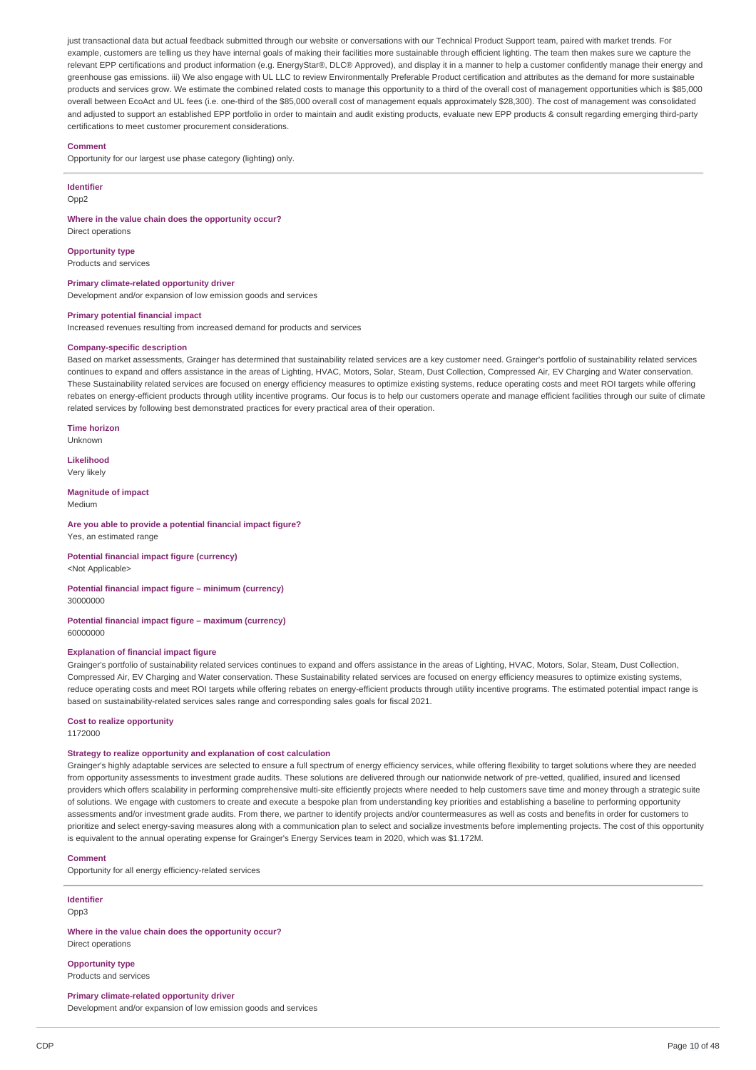just transactional data but actual feedback submitted through our website or conversations with our Technical Product Support team, paired with market trends. For example, customers are telling us they have internal goals of making their facilities more sustainable through efficient lighting. The team then makes sure we capture the relevant EPP certifications and product information (e.g. EnergyStar®, DLC® Approved), and display it in a manner to help a customer confidently manage their energy and greenhouse gas emissions. iii) We also engage with UL LLC to review Environmentally Preferable Product certification and attributes as the demand for more sustainable products and services grow. We estimate the combined related costs to manage this opportunity to a third of the overall cost of management opportunities which is \$85,000 overall between EcoAct and UL fees (i.e. one-third of the \$85,000 overall cost of management equals approximately \$28,300). The cost of management was consolidated and adjusted to support an established EPP portfolio in order to maintain and audit existing products, evaluate new EPP products & consult regarding emerging third-party certifications to meet customer procurement considerations.

#### **Comment**

Opportunity for our largest use phase category (lighting) only.

#### **Identifier**

Opp2

#### **Where in the value chain does the opportunity occur?**

Direct operations

#### **Opportunity type**

Products and services

#### **Primary climate-related opportunity driver**

Development and/or expansion of low emission goods and services

#### **Primary potential financial impact**

Increased revenues resulting from increased demand for products and services

## **Company-specific description**

Based on market assessments, Grainger has determined that sustainability related services are a key customer need. Grainger's portfolio of sustainability related services continues to expand and offers assistance in the areas of Lighting, HVAC, Motors, Solar, Steam, Dust Collection, Compressed Air, EV Charging and Water conservation. These Sustainability related services are focused on energy efficiency measures to optimize existing systems, reduce operating costs and meet ROI targets while offering rebates on energy-efficient products through utility incentive programs. Our focus is to help our customers operate and manage efficient facilities through our suite of climate related services by following best demonstrated practices for every practical area of their operation.

**Time horizon** Unknown

**Likelihood** Very likely

#### **Magnitude of impact** Medium

**Are you able to provide a potential financial impact figure?** Yes, an estimated range

**Potential financial impact figure (currency)** <Not Applicable>

### **Potential financial impact figure – minimum (currency)** 30000000

**Potential financial impact figure – maximum (currency)** 60000000

#### **Explanation of financial impact figure**

Grainger's portfolio of sustainability related services continues to expand and offers assistance in the areas of Lighting, HVAC, Motors, Solar, Steam, Dust Collection, Compressed Air, EV Charging and Water conservation. These Sustainability related services are focused on energy efficiency measures to optimize existing systems, reduce operating costs and meet ROI targets while offering rebates on energy-efficient products through utility incentive programs. The estimated potential impact range is based on sustainability-related services sales range and corresponding sales goals for fiscal 2021.

#### **Cost to realize opportunity** 1172000

#### **Strategy to realize opportunity and explanation of cost calculation**

Grainger's highly adaptable services are selected to ensure a full spectrum of energy efficiency services, while offering flexibility to target solutions where they are needed from opportunity assessments to investment grade audits. These solutions are delivered through our nationwide network of pre-vetted, qualified, insured and licensed providers which offers scalability in performing comprehensive multi-site efficiently projects where needed to help customers save time and money through a strategic suite of solutions. We engage with customers to create and execute a bespoke plan from understanding key priorities and establishing a baseline to performing opportunity assessments and/or investment grade audits. From there, we partner to identify projects and/or countermeasures as well as costs and benefits in order for customers to prioritize and select energy-saving measures along with a communication plan to select and socialize investments before implementing projects. The cost of this opportunity is equivalent to the annual operating expense for Grainger's Energy Services team in 2020, which was \$1.172M.

#### **Comment**

Opportunity for all energy efficiency-related services

#### **Identifier** Opp3

**Where in the value chain does the opportunity occur?** Direct operations

**Opportunity type** Products and services

# **Primary climate-related opportunity driver**

Development and/or expansion of low emission goods and services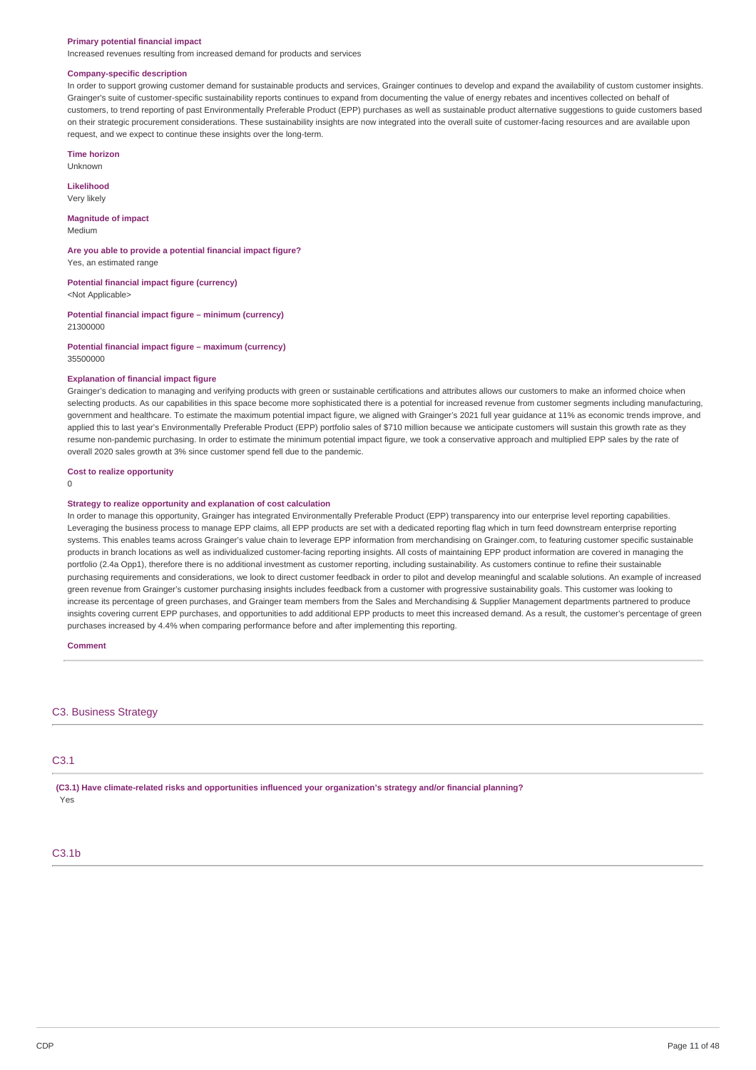#### **Primary potential financial impact**

Increased revenues resulting from increased demand for products and services

#### **Company-specific description**

In order to support growing customer demand for sustainable products and services, Grainger continues to develop and expand the availability of custom customer insights. Grainger's suite of customer-specific sustainability reports continues to expand from documenting the value of energy rebates and incentives collected on behalf of customers, to trend reporting of past Environmentally Preferable Product (EPP) purchases as well as sustainable product alternative suggestions to guide customers based on their strategic procurement considerations. These sustainability insights are now integrated into the overall suite of customer-facing resources and are available upon request, and we expect to continue these insights over the long-term.

**Time horizon**

Unknown

**Likelihood** Very likely

**Magnitude of impact** Medium

**Are you able to provide a potential financial impact figure?** Yes, an estimated range

**Potential financial impact figure (currency)** <Not Applicable>

**Potential financial impact figure – minimum (currency)** 21300000

**Potential financial impact figure – maximum (currency)** 35500000

#### **Explanation of financial impact figure**

Grainger's dedication to managing and verifying products with green or sustainable certifications and attributes allows our customers to make an informed choice when selecting products. As our capabilities in this space become more sophisticated there is a potential for increased revenue from customer segments including manufacturing, government and healthcare. To estimate the maximum potential impact figure, we aligned with Grainger's 2021 full year guidance at 11% as economic trends improve, and applied this to last year's Environmentally Preferable Product (EPP) portfolio sales of \$710 million because we anticipate customers will sustain this growth rate as they resume non-pandemic purchasing. In order to estimate the minimum potential impact figure, we took a conservative approach and multiplied EPP sales by the rate of overall 2020 sales growth at 3% since customer spend fell due to the pandemic.

### **Cost to realize opportunity**

 $\Omega$ 

#### **Strategy to realize opportunity and explanation of cost calculation**

In order to manage this opportunity, Grainger has integrated Environmentally Preferable Product (EPP) transparency into our enterprise level reporting capabilities. Leveraging the business process to manage EPP claims, all EPP products are set with a dedicated reporting flag which in turn feed downstream enterprise reporting systems. This enables teams across Grainger's value chain to leverage EPP information from merchandising on Grainger.com, to featuring customer specific sustainable products in branch locations as well as individualized customer-facing reporting insights. All costs of maintaining EPP product information are covered in managing the portfolio (2.4a Opp1), therefore there is no additional investment as customer reporting, including sustainability. As customers continue to refine their sustainable purchasing requirements and considerations, we look to direct customer feedback in order to pilot and develop meaningful and scalable solutions. An example of increased green revenue from Grainger's customer purchasing insights includes feedback from a customer with progressive sustainability goals. This customer was looking to increase its percentage of green purchases, and Grainger team members from the Sales and Merchandising & Supplier Management departments partnered to produce insights covering current EPP purchases, and opportunities to add additional EPP products to meet this increased demand. As a result, the customer's percentage of green purchases increased by 4.4% when comparing performance before and after implementing this reporting.

#### **Comment**

#### C3. Business Strategy

## C3.1

**(C3.1) Have climate-related risks and opportunities influenced your organization's strategy and/or financial planning?** Yes

## C3.1b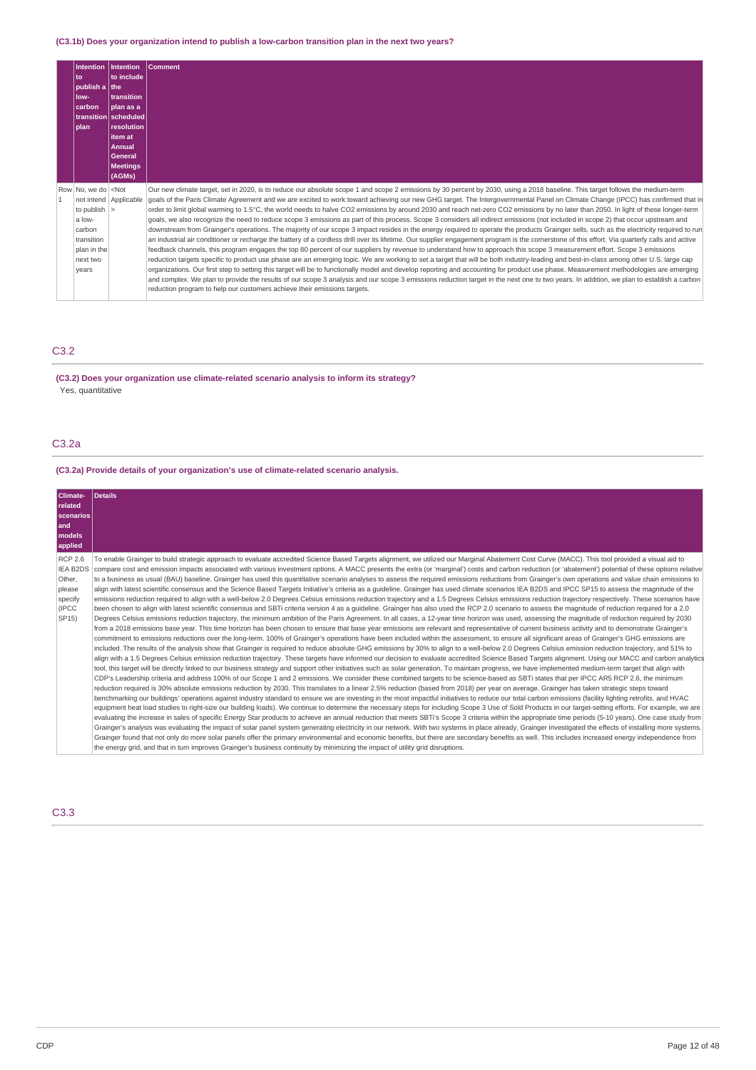## **(C3.1b) Does your organization intend to publish a low-carbon transition plan in the next two years?**

| Intention<br>l to<br>$ $ publish a $ $ the<br>llow-<br><b>carbon</b><br><b>I</b> plan                                                    | Intention<br>∣to include ∣<br>transition<br><b>I</b> plan as a<br>  transition   scheduled  <br>resolution<br>item at<br><b>Annual</b><br>General<br><b>Meetings</b><br>(AGMs) | <b>Comment</b>                                                                                                                                                                                                                                                                                                                                                                                                                                                                                                                                                                                                                                                                                                                                                                                                                                                                                                                                                                                                                                                                                                                                                                                                                                                                                                                                                                                                                                                                                                                                                                                                                                                                                                                                                                                                                                                                                                                                                                  |
|------------------------------------------------------------------------------------------------------------------------------------------|--------------------------------------------------------------------------------------------------------------------------------------------------------------------------------|---------------------------------------------------------------------------------------------------------------------------------------------------------------------------------------------------------------------------------------------------------------------------------------------------------------------------------------------------------------------------------------------------------------------------------------------------------------------------------------------------------------------------------------------------------------------------------------------------------------------------------------------------------------------------------------------------------------------------------------------------------------------------------------------------------------------------------------------------------------------------------------------------------------------------------------------------------------------------------------------------------------------------------------------------------------------------------------------------------------------------------------------------------------------------------------------------------------------------------------------------------------------------------------------------------------------------------------------------------------------------------------------------------------------------------------------------------------------------------------------------------------------------------------------------------------------------------------------------------------------------------------------------------------------------------------------------------------------------------------------------------------------------------------------------------------------------------------------------------------------------------------------------------------------------------------------------------------------------------|
| Row No. we do <not<br>to publish <math> &gt;</math><br/>a low-<br/>carbon<br/>transition<br/>plan in the<br/>next two<br/>years</not<br> | not intend Applicable                                                                                                                                                          | Our new climate target, set in 2020, is to reduce our absolute scope 1 and scope 2 emissions by 30 percent by 2030, using a 2018 baseline. This target follows the medium-term<br>goals of the Paris Climate Agreement and we are excited to work toward achieving our new GHG target. The Intergovernmental Panel on Climate Change (IPCC) has confirmed that in<br>order to limit global warming to 1.5°C, the world needs to halve CO2 emissions by around 2030 and reach net-zero CO2 emissions by no later than 2050. In light of these longer-term<br>goals, we also recognize the need to reduce scope 3 emissions as part of this process. Scope 3 considers all indirect emissions (not included in scope 2) that occur upstream and<br>downstream from Grainger's operations. The majority of our scope 3 impact resides in the energy required to operate the products Grainger sells, such as the electricity required to run<br>an industrial air conditioner or recharge the battery of a cordless drill over its lifetime. Our supplier engagement program is the cornerstone of this effort. Via quarterly calls and active<br>feedback channels, this program engages the top 80 percent of our suppliers by revenue to understand how to approach this scope 3 measurement effort. Scope 3 emissions<br>reduction targets specific to product use phase are an emerging topic. We are working to set a target that will be both industry-leading and best-in-class among other U.S. large cap<br>organizations. Our first step to setting this target will be to functionally model and develop reporting and accounting for product use phase. Measurement methodologies are emerging<br>and complex. We plan to provide the results of our scope 3 analysis and our scope 3 emissions reduction target in the next one to two years. In addition, we plan to establish a carbon<br>reduction program to help our customers achieve their emissions targets. |

## C3.2

## **(C3.2) Does your organization use climate-related scenario analysis to inform its strategy?** Yes, quantitative

## C3.2a

## **(C3.2a) Provide details of your organization's use of climate-related scenario analysis.**

| Climate-<br>related<br>scenarios<br>and<br>models<br>applied                        | Details                                                                                                                                                                                                                                                                                                                                                                                                                                                                                                                                                                                                                                                                                                                                                                                                                                                                                                                                                                                                                                                                                                                                                                                                                                                                                                                                                                                                                                                                                                                                                                                                                                                                                                                                                                                                                                                                                                                                                                                                                                                                                                                                                                                                                                                                                                                                                                                                                                                                                                                                                                                                                                                                                                                                                                                                                                                                                                                                                                                                                                                                                                                                                                                                                                                                                                                                                                                                                                                                                                                                                                                                                                                                                                                                                                                                                                                                                                                                                                                                                                                                      |
|-------------------------------------------------------------------------------------|------------------------------------------------------------------------------------------------------------------------------------------------------------------------------------------------------------------------------------------------------------------------------------------------------------------------------------------------------------------------------------------------------------------------------------------------------------------------------------------------------------------------------------------------------------------------------------------------------------------------------------------------------------------------------------------------------------------------------------------------------------------------------------------------------------------------------------------------------------------------------------------------------------------------------------------------------------------------------------------------------------------------------------------------------------------------------------------------------------------------------------------------------------------------------------------------------------------------------------------------------------------------------------------------------------------------------------------------------------------------------------------------------------------------------------------------------------------------------------------------------------------------------------------------------------------------------------------------------------------------------------------------------------------------------------------------------------------------------------------------------------------------------------------------------------------------------------------------------------------------------------------------------------------------------------------------------------------------------------------------------------------------------------------------------------------------------------------------------------------------------------------------------------------------------------------------------------------------------------------------------------------------------------------------------------------------------------------------------------------------------------------------------------------------------------------------------------------------------------------------------------------------------------------------------------------------------------------------------------------------------------------------------------------------------------------------------------------------------------------------------------------------------------------------------------------------------------------------------------------------------------------------------------------------------------------------------------------------------------------------------------------------------------------------------------------------------------------------------------------------------------------------------------------------------------------------------------------------------------------------------------------------------------------------------------------------------------------------------------------------------------------------------------------------------------------------------------------------------------------------------------------------------------------------------------------------------------------------------------------------------------------------------------------------------------------------------------------------------------------------------------------------------------------------------------------------------------------------------------------------------------------------------------------------------------------------------------------------------------------------------------------------------------------------------------------------------|
| <b>RCP 2.6</b><br><b>IEA B2DS</b><br>Other.<br>please<br>specify<br>(IPCC)<br>SP15) | To enable Grainger to build strategic approach to evaluate accredited Science Based Targets alignment, we utilized our Marginal Abatement Cost Curve (MACC). This tool provided a visual aid to<br>compare cost and emission impacts associated with various investment options. A MACC presents the extra (or 'marginal') costs and carbon reduction (or 'abatement') potential of these options relative<br>to a business as usual (BAU) baseline. Grainger has used this quantitative scenario analyses to assess the required emissions reductions from Grainger's own operations and value chain emissions to<br>align with latest scientific consensus and the Science Based Targets Initiative's criteria as a quideline. Grainger has used climate scenarios IEA B2DS and IPCC SP15 to assess the magnitude of the<br>emissions reduction required to align with a well-below 2.0 Degrees Celsius emissions reduction trajectory and a 1.5 Degrees Celsius emissions reduction trajectory respectively. These scenarios have<br>been chosen to align with latest scientific consensus and SBTi criteria version 4 as a quideline. Grainger has also used the RCP 2.0 scenario to assess the magnitude of reduction required for a 2.0<br>Degrees Celsius emissions reduction trajectory, the minimum ambition of the Paris Agreement. In all cases, a 12-year time horizon was used, assessing the magnitude of reduction required by 2030<br>from a 2018 emissions base year. This time horizon has been chosen to ensure that base year emissions are relevant and representative of current business activity and to demonstrate Grainger's<br>commitment to emissions reductions over the long-term. 100% of Grainger's operations have been included within the assessment, to ensure all significant areas of Grainger's GHG emissions are<br>included. The results of the analysis show that Grainger is required to reduce absolute GHG emissions by 30% to align to a well-below 2.0 Degrees Celsius emission reduction trajectory, and 51% to<br>align with a 1.5 Degrees Celsius emission reduction trajectory. These targets have informed our decision to evaluate accredited Science Based Targets alignment. Using our MACC and carbon analytics<br>tool, this target will be directly linked to our business strategy and support other initiatives such as solar generation. To maintain progress, we have implemented medium-term target that align with<br>CDP's Leadership criteria and address 100% of our Scope 1 and 2 emissions. We consider these combined targets to be science-based as SBTi states that per IPCC AR5 RCP 2.6, the minimum<br>reduction required is 30% absolute emissions reduction by 2030. This translates to a linear 2.5% reduction (based from 2018) per year on average. Grainger has taken strategic steps toward<br>benchmarking our buildings' operations against industry standard to ensure we are investing in the most impactful initiatives to reduce our total carbon emissions (facility lighting retrofits, and HVAC<br>equipment heat load studies to right-size our building loads). We continue to determine the necessary steps for including Scope 3 Use of Sold Products in our target-setting efforts. For example, we are<br>evaluating the increase in sales of specific Energy Star products to achieve an annual reduction that meets SBTi's Scope 3 criteria within the appropriate time periods (5-10 years). One case study from<br>Grainger's analysis was evaluating the impact of solar panel system generating electricity in our network. With two systems in place already, Grainger investigated the effects of installing more systems.<br>Grainger found that not only do more solar panels offer the primary environmental and economic benefits, but there are secondary benefits as well. This includes increased energy independence from<br>the energy grid, and that in turn improves Grainger's business continuity by minimizing the impact of utility grid disruptions. |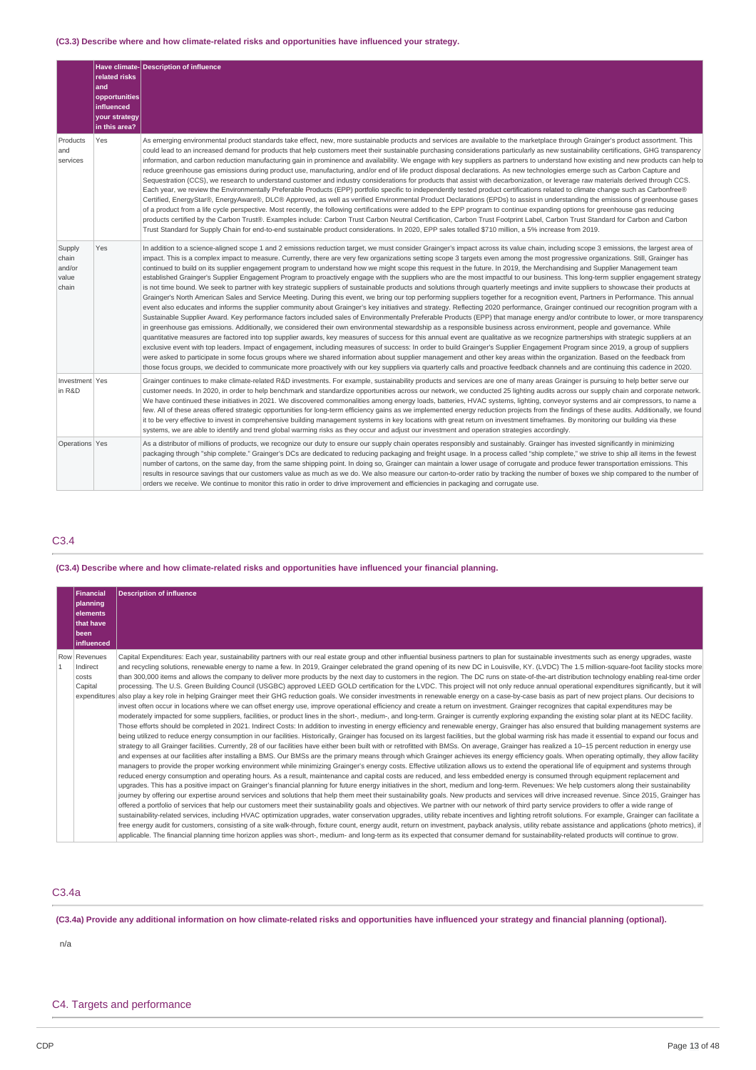## **(C3.3) Describe where and how climate-related risks and opportunities have influenced your strategy.**

|                                             | related risks<br>and<br>opportunities<br><b>influenced</b><br>your strategy<br>in this area? | Have climate-Description of influence                                                                                                                                                                                                                                                                                                                                                                                                                                                                                                                                                                                                                                                                                                                                                                                                                                                                                                                                                                                                                                                                                                                                                                                                                                                                                                                                                                                                                                                                                                                                                                                                                                                                                                                                                                                                                                                                                                                                                                                                                                                                                                                                                                                                                                                                                                                                                                                                              |
|---------------------------------------------|----------------------------------------------------------------------------------------------|----------------------------------------------------------------------------------------------------------------------------------------------------------------------------------------------------------------------------------------------------------------------------------------------------------------------------------------------------------------------------------------------------------------------------------------------------------------------------------------------------------------------------------------------------------------------------------------------------------------------------------------------------------------------------------------------------------------------------------------------------------------------------------------------------------------------------------------------------------------------------------------------------------------------------------------------------------------------------------------------------------------------------------------------------------------------------------------------------------------------------------------------------------------------------------------------------------------------------------------------------------------------------------------------------------------------------------------------------------------------------------------------------------------------------------------------------------------------------------------------------------------------------------------------------------------------------------------------------------------------------------------------------------------------------------------------------------------------------------------------------------------------------------------------------------------------------------------------------------------------------------------------------------------------------------------------------------------------------------------------------------------------------------------------------------------------------------------------------------------------------------------------------------------------------------------------------------------------------------------------------------------------------------------------------------------------------------------------------------------------------------------------------------------------------------------------------|
| Products<br>and<br>services                 | Yes                                                                                          | As emerging environmental product standards take effect, new, more sustainable products and services are available to the marketplace through Grainger's product assortment. This<br>could lead to an increased demand for products that help customers meet their sustainable purchasing considerations particularly as new sustainability certifications, GHG transparency<br>information, and carbon reduction manufacturing gain in prominence and availability. We engage with key suppliers as partners to understand how existing and new products can help to<br>reduce greenhouse gas emissions during product use, manufacturing, and/or end of life product disposal declarations. As new technologies emerge such as Carbon Capture and<br>Sequestration (CCS), we research to understand customer and industry considerations for products that assist with decarbonization, or leverage raw materials derived through CCS.<br>Each year, we review the Environmentally Preferable Products (EPP) portfolio specific to independently tested product certifications related to climate change such as Carbonfree®<br>Certified, EnergyStar®, EnergyAware®, DLC® Approved, as well as verified Environmental Product Declarations (EPDs) to assist in understanding the emissions of greenhouse gases<br>of a product from a life cycle perspective. Most recently, the following certifications were added to the EPP program to continue expanding options for greenhouse gas reducing<br>products certified by the Carbon Trust®. Examples include: Carbon Trust Carbon Neutral Certification, Carbon Trust Footprint Label, Carbon Trust Standard for Carbon and Carbon<br>Trust Standard for Supply Chain for end-to-end sustainable product considerations. In 2020, EPP sales totalled \$710 million, a 5% increase from 2019.                                                                                                                                                                                                                                                                                                                                                                                                                                                                                                                                                                                                  |
| Supply<br>chain<br>and/or<br>value<br>chain | Yes                                                                                          | In addition to a science-aligned scope 1 and 2 emissions reduction target, we must consider Grainger's impact across its value chain, including scope 3 emissions, the largest area of<br>impact. This is a complex impact to measure. Currently, there are very few organizations setting scope 3 targets even among the most progressive organizations. Still, Grainger has<br>continued to build on its supplier engagement program to understand how we might scope this request in the future. In 2019, the Merchandising and Supplier Management team<br>established Grainger's Supplier Engagement Program to proactively engage with the suppliers who are the most impactful to our business. This long-term supplier engagement strategy<br>is not time bound. We seek to partner with key strategic suppliers of sustainable products and solutions through quarterly meetings and invite suppliers to showcase their products at<br>Grainger's North American Sales and Service Meeting. During this event, we bring our top performing suppliers together for a recognition event, Partners in Performance. This annual<br>event also educates and informs the supplier community about Grainger's key initiatives and strategy. Reflecting 2020 performance, Grainger continued our recognition program with a<br>Sustainable Supplier Award. Key performance factors included sales of Environmentally Preferable Products (EPP) that manage energy and/or contribute to lower, or more transparency<br>in greenhouse gas emissions. Additionally, we considered their own environmental stewardship as a responsible business across environment, people and governance. While<br>quantitative measures are factored into top supplier awards, key measures of success for this annual event are qualitative as we recognize partnerships with strategic suppliers at an<br>exclusive event with top leaders. Impact of engagement, including measures of success: In order to build Grainger's Supplier Engagement Program since 2019, a group of suppliers<br>were asked to participate in some focus groups where we shared information about supplier management and other key areas within the organization. Based on the feedback from<br>those focus groups, we decided to communicate more proactively with our key suppliers via quarterly calls and proactive feedback channels and are continuing this cadence in 2020. |
| Investment Yes<br>in R&D                    |                                                                                              | Grainger continues to make climate-related R&D investments. For example, sustainability products and services are one of many areas Grainger is pursuing to help better serve our<br>customer needs. In 2020, in order to help benchmark and standardize opportunities across our network, we conducted 25 lighting audits across our supply chain and corporate network.<br>We have continued these initiatives in 2021. We discovered commonalities among energy loads, batteries, HVAC systems, lighting, conveyor systems and air compressors, to name a<br>few. All of these areas offered strategic opportunities for long-term efficiency gains as we implemented energy reduction projects from the findings of these audits. Additionally, we found<br>it to be very effective to invest in comprehensive building management systems in key locations with great return on investment timeframes. By monitoring our building via these<br>systems, we are able to identify and trend global warming risks as they occur and adjust our investment and operation strategies accordingly.                                                                                                                                                                                                                                                                                                                                                                                                                                                                                                                                                                                                                                                                                                                                                                                                                                                                                                                                                                                                                                                                                                                                                                                                                                                                                                                                                  |
| Operations Yes                              |                                                                                              | As a distributor of millions of products, we recognize our duty to ensure our supply chain operates responsibly and sustainably. Grainger has invested significantly in minimizing<br>packaging through "ship complete." Grainger's DCs are dedicated to reducing packaging and freight usage. In a process called "ship complete," we strive to ship all items in the fewest<br>number of cartons, on the same day, from the same shipping point. In doing so, Grainger can maintain a lower usage of corrugate and produce fewer transportation emissions. This<br>results in resource savings that our customers value as much as we do. We also measure our carton-to-order ratio by tracking the number of boxes we ship compared to the number of<br>orders we receive. We continue to monitor this ratio in order to drive improvement and efficiencies in packaging and corrugate use.                                                                                                                                                                                                                                                                                                                                                                                                                                                                                                                                                                                                                                                                                                                                                                                                                                                                                                                                                                                                                                                                                                                                                                                                                                                                                                                                                                                                                                                                                                                                                     |

## C3.4

### **(C3.4) Describe where and how climate-related risks and opportunities have influenced your financial planning.**

| Financial<br>planning<br>elements<br>that have<br>l been<br><b>linfluenced</b> | <b>Description of influence</b>                                                                                                                                                                                                                                                                                                                                                                                                                                                                                                                                                                                                                                                                                                                                                                                                                                                                                                                                                                                                                                                                                                                                                                                                                                                                                                                                                                                                                                                                                                                                                                                                                                                                                                                                                                                                                                                                                                                                                                                                                                                                                                                                                                                                                                                                                                                                                                                                                                                                                                                                                                                                                                                                                                                                                                                                                                                                                                                                                                                                                                                                                                                                                                                                                                                                                                                                                                                                                                                                                                                                                                                                                                                                                                                                                                                                                         |
|--------------------------------------------------------------------------------|---------------------------------------------------------------------------------------------------------------------------------------------------------------------------------------------------------------------------------------------------------------------------------------------------------------------------------------------------------------------------------------------------------------------------------------------------------------------------------------------------------------------------------------------------------------------------------------------------------------------------------------------------------------------------------------------------------------------------------------------------------------------------------------------------------------------------------------------------------------------------------------------------------------------------------------------------------------------------------------------------------------------------------------------------------------------------------------------------------------------------------------------------------------------------------------------------------------------------------------------------------------------------------------------------------------------------------------------------------------------------------------------------------------------------------------------------------------------------------------------------------------------------------------------------------------------------------------------------------------------------------------------------------------------------------------------------------------------------------------------------------------------------------------------------------------------------------------------------------------------------------------------------------------------------------------------------------------------------------------------------------------------------------------------------------------------------------------------------------------------------------------------------------------------------------------------------------------------------------------------------------------------------------------------------------------------------------------------------------------------------------------------------------------------------------------------------------------------------------------------------------------------------------------------------------------------------------------------------------------------------------------------------------------------------------------------------------------------------------------------------------------------------------------------------------------------------------------------------------------------------------------------------------------------------------------------------------------------------------------------------------------------------------------------------------------------------------------------------------------------------------------------------------------------------------------------------------------------------------------------------------------------------------------------------------------------------------------------------------------------------------------------------------------------------------------------------------------------------------------------------------------------------------------------------------------------------------------------------------------------------------------------------------------------------------------------------------------------------------------------------------------------------------------------------------------------------------------------------------|
| Row Revenues<br>Indirect<br>costs<br>Capital                                   | Capital Expenditures: Each year, sustainability partners with our real estate group and other influential business partners to plan for sustainable investments such as energy upgrades, waste<br>and recycling solutions, renewable energy to name a few. In 2019, Grainger celebrated the grand opening of its new DC in Louisville, KY. (LVDC) The 1.5 million-square-foot facility stocks more<br>than 300,000 items and allows the company to deliver more products by the next day to customers in the region. The DC runs on state-of-the-art distribution technology enabling real-time order<br>processing. The U.S. Green Building Council (USGBC) approved LEED GOLD certification for the LVDC. This project will not only reduce annual operational expenditures significantly, but it will<br>expenditures also play a key role in helping Grainger meet their GHG reduction goals. We consider investments in renewable energy on a case-by-case basis as part of new project plans. Our decisions to<br>invest often occur in locations where we can offset energy use, improve operational efficiency and create a return on investment. Grainger recognizes that capital expenditures may be<br>moderately impacted for some suppliers, facilities, or product lines in the short-, medium-, and long-term. Grainger is currently exploring expanding the existing solar plant at its NEDC facility.<br>Those efforts should be completed in 2021. Indirect Costs: In addition to investing in energy efficiency and renewable energy, Grainger has also ensured that building management systems are<br>being utilized to reduce energy consumption in our facilities. Historically, Grainger has focused on its largest facilities, but the global warming risk has made it essential to expand our focus and<br>strategy to all Grainger facilities. Currently, 28 of our facilities have either been built with or retrofitted with BMSs. On average, Grainger has realized a 10–15 percent reduction in energy use<br>and expenses at our facilities after installing a BMS. Our BMSs are the primary means through which Grainger achieves its energy efficiency goals. When operating optimally, they allow facility<br>managers to provide the proper working environment while minimizing Grainger's energy costs. Effective utilization allows us to extend the operational life of equipment and systems through<br>reduced energy consumption and operating hours. As a result, maintenance and capital costs are reduced, and less embedded energy is consumed through equipment replacement and<br>upgrades. This has a positive impact on Grainger's financial planning for future energy initiatives in the short, medium and long-term. Revenues: We help customers along their sustainability<br>journey by offering our expertise around services and solutions that help them meet their sustainability goals. New products and services will drive increased revenue. Since 2015, Grainger has<br>offered a portfolio of services that help our customers meet their sustainability goals and objectives. We partner with our network of third party service providers to offer a wide range of<br>sustainability-related services, including HVAC optimization upgrades, water conservation upgrades, utility rebate incentives and lighting retrofit solutions. For example, Grainger can facilitate a<br>free energy audit for customers, consisting of a site walk-through, fixture count, energy audit, return on investment, payback analysis, utility rebate assistance and applications (photo metrics), if<br>applicable. The financial planning time horizon applies was short-, medium- and long-term as its expected that consumer demand for sustainability-related products will continue to grow. |

## C3.4a

(C3.4a) Provide any additional information on how climate-related risks and opportunities have influenced your strategy and financial planning (optional).

n/a

## C4. Targets and performance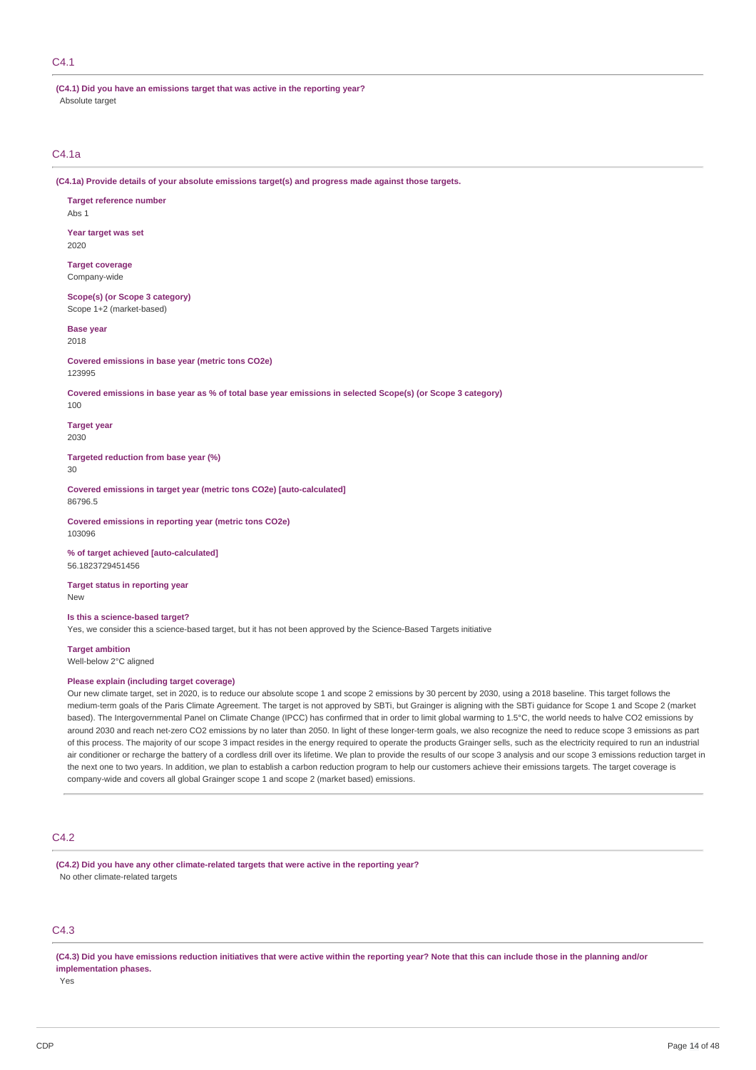## C4.1

**(C4.1) Did you have an emissions target that was active in the reporting year?** Absolute target

## C4.1a

**(C4.1a) Provide details of your absolute emissions target(s) and progress made against those targets.**

**Target reference number** Abs 1

**Year target was set** 2020

**Target coverage** Company-wide

**Scope(s) (or Scope 3 category)** Scope 1+2 (market-based)

**Base year** 2018

**Covered emissions in base year (metric tons CO2e)** 123995

Covered emissions in base year as % of total base year emissions in selected Scope(s) (or Scope 3 category)

100

86796.5

**Target year** 2030

**Targeted reduction from base year (%)** 30

**Covered emissions in target year (metric tons CO2e) [auto-calculated]**

**Covered emissions in reporting year (metric tons CO2e)** 103096

**% of target achieved [auto-calculated]** 56.1823729451456

**Target status in reporting year** New

**Is this a science-based target?**

Yes, we consider this a science-based target, but it has not been approved by the Science-Based Targets initiative

**Target ambition** Well-below 2°C aligned

#### **Please explain (including target coverage)**

Our new climate target, set in 2020, is to reduce our absolute scope 1 and scope 2 emissions by 30 percent by 2030, using a 2018 baseline. This target follows the medium-term goals of the Paris Climate Agreement. The target is not approved by SBTi, but Grainger is aligning with the SBTi guidance for Scope 1 and Scope 2 (market based). The Intergovernmental Panel on Climate Change (IPCC) has confirmed that in order to limit global warming to 1.5°C, the world needs to halve CO2 emissions by around 2030 and reach net-zero CO2 emissions by no later than 2050. In light of these longer-term goals, we also recognize the need to reduce scope 3 emissions as part of this process. The majority of our scope 3 impact resides in the energy required to operate the products Grainger sells, such as the electricity required to run an industrial air conditioner or recharge the battery of a cordless drill over its lifetime. We plan to provide the results of our scope 3 analysis and our scope 3 emissions reduction target in the next one to two years. In addition, we plan to establish a carbon reduction program to help our customers achieve their emissions targets. The target coverage is company-wide and covers all global Grainger scope 1 and scope 2 (market based) emissions.

### C4.2

**(C4.2) Did you have any other climate-related targets that were active in the reporting year?** No other climate-related targets

## C4.3

(C4.3) Did you have emissions reduction initiatives that were active within the reporting year? Note that this can include those in the planning and/or **implementation phases.**

Yes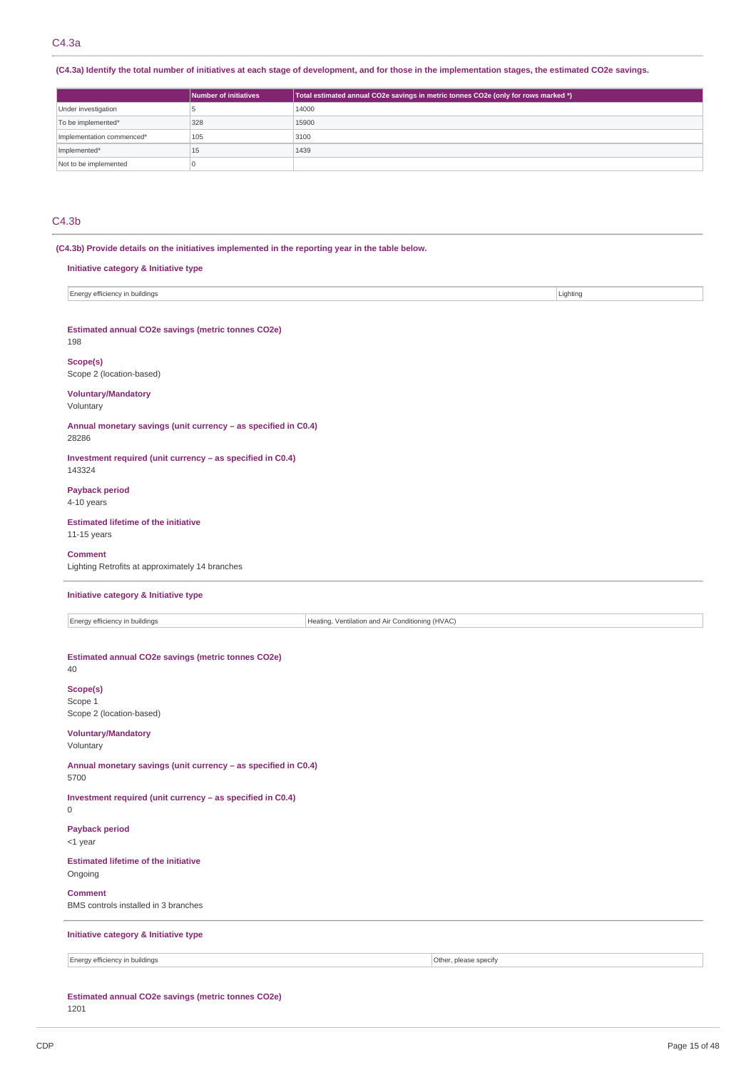(C4.3a) Identify the total number of initiatives at each stage of development, and for those in the implementation stages, the estimated CO2e savings.

|                           | Number of initiatives | Total estimated annual CO2e savings in metric tonnes CO2e (only for rows marked *) |
|---------------------------|-----------------------|------------------------------------------------------------------------------------|
| Under investigation       |                       | 14000                                                                              |
| To be implemented*        | 328                   | 15900                                                                              |
| Implementation commenced* | 105                   | 3100                                                                               |
| Implemented*              | 15                    | 1439                                                                               |
| Not to be implemented     |                       |                                                                                    |

## C4.3b

**(C4.3b) Provide details on the initiatives implemented in the reporting year in the table below.**

| Initiative category & Initiative type                                   |                                                  |                       |          |  |  |
|-------------------------------------------------------------------------|--------------------------------------------------|-----------------------|----------|--|--|
| Energy efficiency in buildings                                          |                                                  |                       | Lighting |  |  |
| Estimated annual CO2e savings (metric tonnes CO2e)<br>198               |                                                  |                       |          |  |  |
| Scope(s)<br>Scope 2 (location-based)                                    |                                                  |                       |          |  |  |
| <b>Voluntary/Mandatory</b><br>Voluntary                                 |                                                  |                       |          |  |  |
| Annual monetary savings (unit currency - as specified in C0.4)<br>28286 |                                                  |                       |          |  |  |
| Investment required (unit currency - as specified in C0.4)<br>143324    |                                                  |                       |          |  |  |
| <b>Payback period</b><br>4-10 years                                     |                                                  |                       |          |  |  |
| <b>Estimated lifetime of the initiative</b><br>11-15 years              |                                                  |                       |          |  |  |
| <b>Comment</b><br>Lighting Retrofits at approximately 14 branches       |                                                  |                       |          |  |  |
| Initiative category & Initiative type                                   |                                                  |                       |          |  |  |
| Energy efficiency in buildings                                          | Heating, Ventilation and Air Conditioning (HVAC) |                       |          |  |  |
| Estimated annual CO2e savings (metric tonnes CO2e)<br>40                |                                                  |                       |          |  |  |
| Scope(s)<br>Scope 1<br>Scope 2 (location-based)                         |                                                  |                       |          |  |  |
| <b>Voluntary/Mandatory</b><br>Voluntary                                 |                                                  |                       |          |  |  |
| Annual monetary savings (unit currency - as specified in C0.4)<br>5700  |                                                  |                       |          |  |  |
| Investment required (unit currency - as specified in C0.4)<br>0         |                                                  |                       |          |  |  |
| <b>Payback period</b><br><1 year                                        |                                                  |                       |          |  |  |
| <b>Estimated lifetime of the initiative</b><br>Ongoing                  |                                                  |                       |          |  |  |
| <b>Comment</b><br>BMS controls installed in 3 branches                  |                                                  |                       |          |  |  |
| Initiative category & Initiative type                                   |                                                  |                       |          |  |  |
| Energy efficiency in buildings                                          |                                                  | Other, please specify |          |  |  |

**Estimated annual CO2e savings (metric tonnes CO2e)** 1201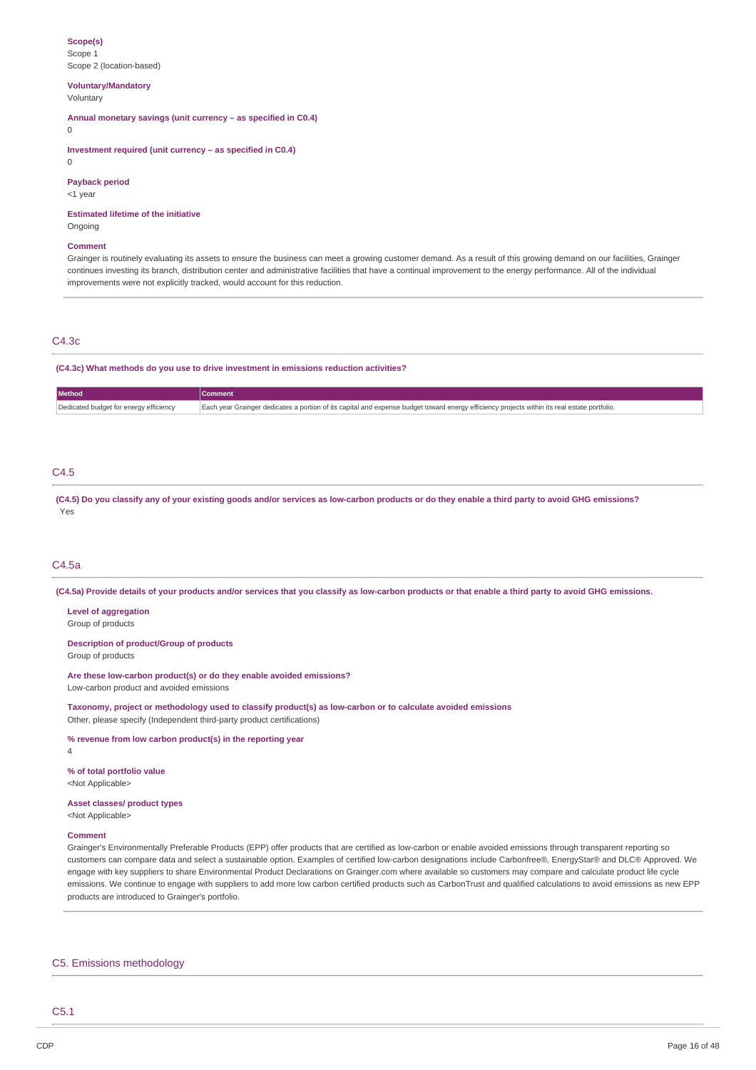#### **Scope(s)** Scope 1 Scope 2 (location-based)

**Voluntary/Mandatory** Voluntary

**Annual monetary savings (unit currency – as specified in C0.4)**

 $\Omega$ 

**Investment required (unit currency – as specified in C0.4)**

 $\theta$ 

## **Payback period**

<1 year

**Estimated lifetime of the initiative** Ongoing

### **Comment**

Grainger is routinely evaluating its assets to ensure the business can meet a growing customer demand. As a result of this growing demand on our facilities, Grainger continues investing its branch, distribution center and administrative facilities that have a continual improvement to the energy performance. All of the individual improvements were not explicitly tracked, would account for this reduction.

## C4.3c

**(C4.3c) What methods do you use to drive investment in emissions reduction activities?**

| Method                                 | Comment                                                                                                                                      |
|----------------------------------------|----------------------------------------------------------------------------------------------------------------------------------------------|
| Dedicated budget for energy efficiency | Each year Grainger dedicates a portion of its capital and expense budget toward energy efficiency projects within its real estate portfolio. |

## C4.5

(C4.5) Do you classify any of your existing goods and/or services as low-carbon products or do they enable a third party to avoid GHG emissions? Yes

## C4.5a

(C4.5a) Provide details of your products and/or services that you classify as low-carbon products or that enable a third party to avoid GHG emissions.

## **Level of aggregation**

Group of products

**Description of product/Group of products** Group of products

**Are these low-carbon product(s) or do they enable avoided emissions?** Low-carbon product and avoided emissions

**Taxonomy, project or methodology used to classify product(s) as low-carbon or to calculate avoided emissions** Other, please specify (Independent third-party product certifications)

**% revenue from low carbon product(s) in the reporting year**

4

**% of total portfolio value**

<Not Applicable>

**Asset classes/ product types** <Not Applicable>

#### **Comment**

Grainger's Environmentally Preferable Products (EPP) offer products that are certified as low-carbon or enable avoided emissions through transparent reporting so customers can compare data and select a sustainable option. Examples of certified low-carbon designations include Carbonfree®, EnergyStar® and DLC® Approved. We engage with key suppliers to share Environmental Product Declarations on Grainger.com where available so customers may compare and calculate product life cycle emissions. We continue to engage with suppliers to add more low carbon certified products such as CarbonTrust and qualified calculations to avoid emissions as new EPP products are introduced to Grainger's portfolio.

#### C5. Emissions methodology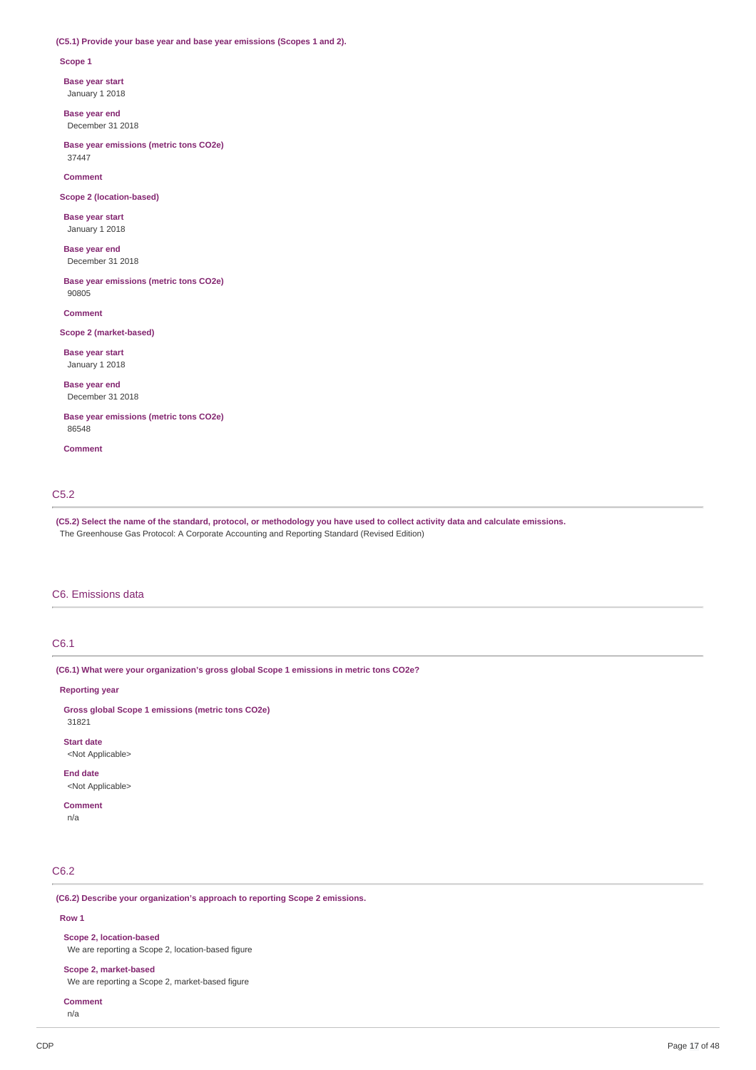### **(C5.1) Provide your base year and base year emissions (Scopes 1 and 2).**

#### **Scope 1**

**Base year start**

January 1 2018

**Base year end** December 31 2018

**Base year emissions (metric tons CO2e)** 37447

**Comment**

**Scope 2 (location-based)**

**Base year start** January 1 2018

**Base year end** December 31 2018

**Base year emissions (metric tons CO2e)** 90805

**Comment**

### **Scope 2 (market-based)**

**Base year start** January 1 2018

**Base year end** December 31 2018

**Base year emissions (metric tons CO2e)** 86548

**Comment**

## C5.2

(C5.2) Select the name of the standard, protocol, or methodology you have used to collect activity data and calculate emissions. The Greenhouse Gas Protocol: A Corporate Accounting and Reporting Standard (Revised Edition)

## C6. Emissions data

## C6.1

**(C6.1) What were your organization's gross global Scope 1 emissions in metric tons CO2e?**

#### **Reporting year**

**Gross global Scope 1 emissions (metric tons CO2e)** 31821

**Start date** <Not Applicable>

**End date**

<Not Applicable>

**Comment**

n/a

## C6.2

**(C6.2) Describe your organization's approach to reporting Scope 2 emissions.**

#### **Row 1**

**Scope 2, location-based**

We are reporting a Scope 2, location-based figure

### **Scope 2, market-based**

We are reporting a Scope 2, market-based figure

```
Comment
n/a
```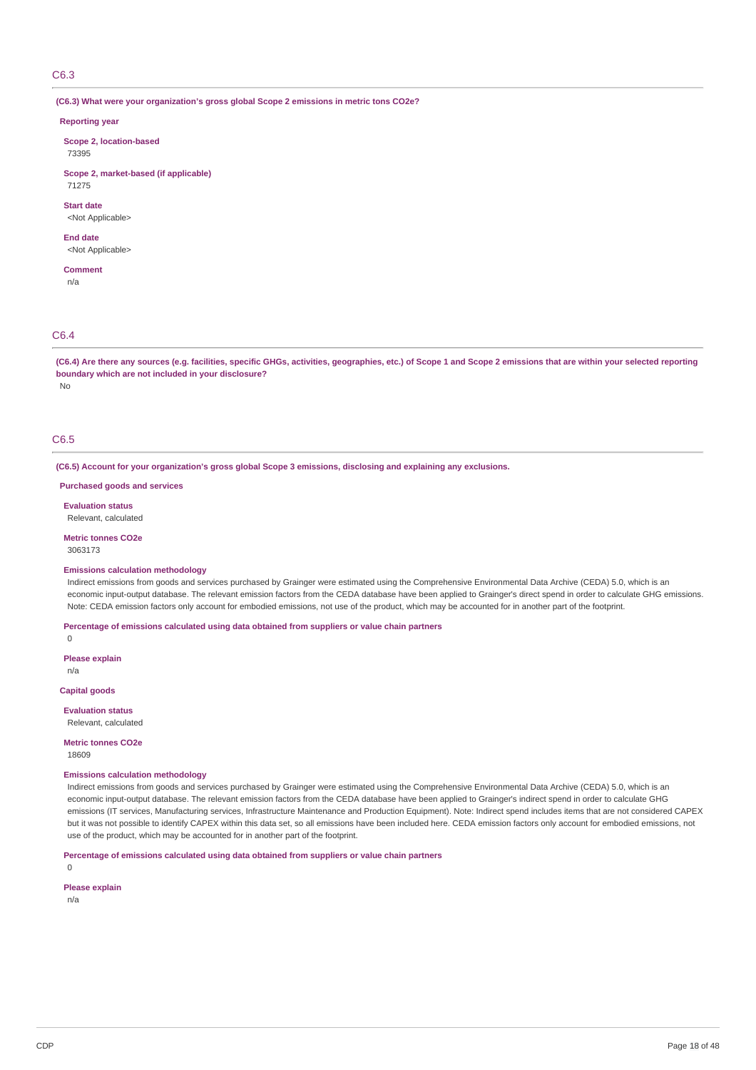## C6.3

**(C6.3) What were your organization's gross global Scope 2 emissions in metric tons CO2e?**

### **Reporting year**

**Scope 2, location-based** 73395

**Scope 2, market-based (if applicable)** 71275

**Start date** <Not Applicable>

**End date**

<Not Applicable>

**Comment** n/a

### C6.4

(C6.4) Are there any sources (e.g. facilities, specific GHGs, activities, geographies, etc.) of Scope 1 and Scope 2 emissions that are within your selected reporting **boundary which are not included in your disclosure?**

No

## C6.5

**(C6.5) Account for your organization's gross global Scope 3 emissions, disclosing and explaining any exclusions.**

**Purchased goods and services**

**Evaluation status**

Relevant, calculated

**Metric tonnes CO2e** 3063173

#### **Emissions calculation methodology**

Indirect emissions from goods and services purchased by Grainger were estimated using the Comprehensive Environmental Data Archive (CEDA) 5.0, which is an economic input-output database. The relevant emission factors from the CEDA database have been applied to Grainger's direct spend in order to calculate GHG emissions. Note: CEDA emission factors only account for embodied emissions, not use of the product, which may be accounted for in another part of the footprint.

**Percentage of emissions calculated using data obtained from suppliers or value chain partners**

 $\Omega$ 

**Please explain**

n/a

**Capital goods**

**Evaluation status** Relevant, calculated

**Metric tonnes CO2e** 18609

## **Emissions calculation methodology**

Indirect emissions from goods and services purchased by Grainger were estimated using the Comprehensive Environmental Data Archive (CEDA) 5.0, which is an economic input-output database. The relevant emission factors from the CEDA database have been applied to Grainger's indirect spend in order to calculate GHG emissions (IT services, Manufacturing services, Infrastructure Maintenance and Production Equipment). Note: Indirect spend includes items that are not considered CAPEX but it was not possible to identify CAPEX within this data set, so all emissions have been included here. CEDA emission factors only account for embodied emissions, not use of the product, which may be accounted for in another part of the footprint.

**Percentage of emissions calculated using data obtained from suppliers or value chain partners**

0

**Please explain**

n/a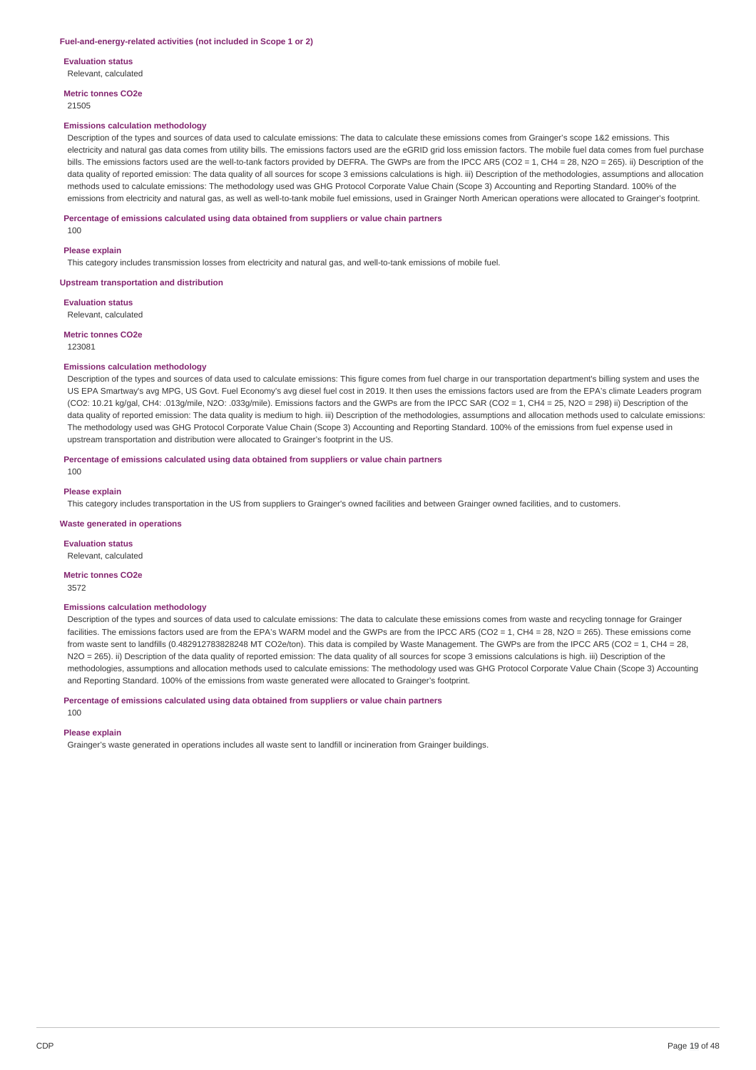#### **Fuel-and-energy-related activities (not included in Scope 1 or 2)**

**Evaluation status**

Relevant, calculated

**Metric tonnes CO2e** 21505

#### **Emissions calculation methodology**

Description of the types and sources of data used to calculate emissions: The data to calculate these emissions comes from Grainger's scope 1&2 emissions. This electricity and natural gas data comes from utility bills. The emissions factors used are the eGRID grid loss emission factors. The mobile fuel data comes from fuel purchase bills. The emissions factors used are the well-to-tank factors provided by DEFRA. The GWPs are from the IPCC AR5 (CO2 = 1, CH4 = 28, N2O = 265). ii) Description of the data quality of reported emission: The data quality of all sources for scope 3 emissions calculations is high. iii) Description of the methodologies, assumptions and allocation methods used to calculate emissions: The methodology used was GHG Protocol Corporate Value Chain (Scope 3) Accounting and Reporting Standard. 100% of the emissions from electricity and natural gas, as well as well-to-tank mobile fuel emissions, used in Grainger North American operations were allocated to Grainger's footprint.

#### **Percentage of emissions calculated using data obtained from suppliers or value chain partners**

100

#### **Please explain**

This category includes transmission losses from electricity and natural gas, and well-to-tank emissions of mobile fuel.

#### **Upstream transportation and distribution**

**Evaluation status** Relevant, calculated

**Metric tonnes CO2e** 123081

#### **Emissions calculation methodology**

Description of the types and sources of data used to calculate emissions: This figure comes from fuel charge in our transportation department's billing system and uses the US EPA Smartway's avg MPG, US Govt. Fuel Economy's avg diesel fuel cost in 2019. It then uses the emissions factors used are from the EPA's climate Leaders program (CO2: 10.21 kg/gal, CH4: .013g/mile, N2O: .033g/mile). Emissions factors and the GWPs are from the IPCC SAR (CO2 = 1, CH4 = 25, N2O = 298) ii) Description of the data quality of reported emission: The data quality is medium to high. iii) Description of the methodologies, assumptions and allocation methods used to calculate emissions: The methodology used was GHG Protocol Corporate Value Chain (Scope 3) Accounting and Reporting Standard. 100% of the emissions from fuel expense used in upstream transportation and distribution were allocated to Grainger's footprint in the US.

#### **Percentage of emissions calculated using data obtained from suppliers or value chain partners**

 $100$ 

#### **Please explain**

This category includes transportation in the US from suppliers to Grainger's owned facilities and between Grainger owned facilities, and to customers.

#### **Waste generated in operations**

**Evaluation status** Relevant, calculated

#### **Metric tonnes CO2e**

3572

#### **Emissions calculation methodology**

Description of the types and sources of data used to calculate emissions: The data to calculate these emissions comes from waste and recycling tonnage for Grainger facilities. The emissions factors used are from the EPA's WARM model and the GWPs are from the IPCC AR5 (CO2 = 1, CH4 = 28, N2O = 265). These emissions come from waste sent to landfills (0.482912783828248 MT CO2e/ton). This data is compiled by Waste Management. The GWPs are from the IPCC AR5 (CO2 = 1, CH4 = 28, N2O = 265). ii) Description of the data quality of reported emission: The data quality of all sources for scope 3 emissions calculations is high. iii) Description of the methodologies, assumptions and allocation methods used to calculate emissions: The methodology used was GHG Protocol Corporate Value Chain (Scope 3) Accounting and Reporting Standard. 100% of the emissions from waste generated were allocated to Grainger's footprint.

#### **Percentage of emissions calculated using data obtained from suppliers or value chain partners**

#### **Please explain**

100

Grainger's waste generated in operations includes all waste sent to landfill or incineration from Grainger buildings.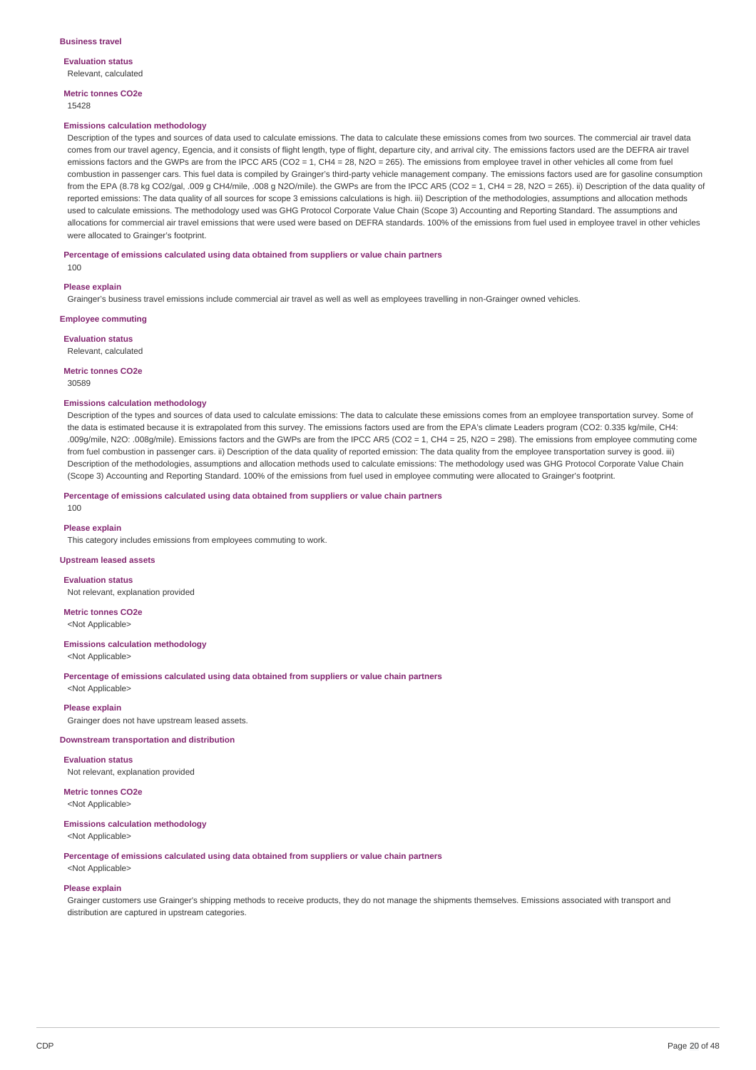#### **Evaluation status** Relevant, calculated

**Metric tonnes CO2e**

### 15428

#### **Emissions calculation methodology**

Description of the types and sources of data used to calculate emissions. The data to calculate these emissions comes from two sources. The commercial air travel data comes from our travel agency, Egencia, and it consists of flight length, type of flight, departure city, and arrival city. The emissions factors used are the DEFRA air travel emissions factors and the GWPs are from the IPCC AR5 (CO2 =  $1$ , CH4 = 28, N2O = 265). The emissions from employee travel in other vehicles all come from fuel combustion in passenger cars. This fuel data is compiled by Grainger's third-party vehicle management company. The emissions factors used are for gasoline consumption from the EPA (8.78 kg CO2/gal, .009 g CH4/mile, .008 g N2O/mile). the GWPs are from the IPCC AR5 (CO2 = 1, CH4 = 28, N2O = 265). ii) Description of the data quality of reported emissions: The data quality of all sources for scope 3 emissions calculations is high. iii) Description of the methodologies, assumptions and allocation methods used to calculate emissions. The methodology used was GHG Protocol Corporate Value Chain (Scope 3) Accounting and Reporting Standard. The assumptions and allocations for commercial air travel emissions that were used were based on DEFRA standards. 100% of the emissions from fuel used in employee travel in other vehicles were allocated to Grainger's footprint.

#### **Percentage of emissions calculated using data obtained from suppliers or value chain partners**

100

#### **Please explain**

Grainger's business travel emissions include commercial air travel as well as well as employees travelling in non-Grainger owned vehicles.

**Employee commuting**

**Evaluation status**

Relevant, calculated

### **Metric tonnes CO2e**

30589

#### **Emissions calculation methodology**

Description of the types and sources of data used to calculate emissions: The data to calculate these emissions comes from an employee transportation survey. Some of the data is estimated because it is extrapolated from this survey. The emissions factors used are from the EPA's climate Leaders program (CO2: 0.335 kg/mile, CH4: .009g/mile, N2O: .008g/mile). Emissions factors and the GWPs are from the IPCC AR5 (CO2 = 1, CH4 = 25, N2O = 298). The emissions from employee commuting come from fuel combustion in passenger cars. ii) Description of the data quality of reported emission: The data quality from the employee transportation survey is good. iii) Description of the methodologies, assumptions and allocation methods used to calculate emissions: The methodology used was GHG Protocol Corporate Value Chain (Scope 3) Accounting and Reporting Standard. 100% of the emissions from fuel used in employee commuting were allocated to Grainger's footprint.

**Percentage of emissions calculated using data obtained from suppliers or value chain partners**

## **Please explain**

100

This category includes emissions from employees commuting to work.

#### **Upstream leased assets**

**Evaluation status**

Not relevant, explanation provided

**Metric tonnes CO2e** <Not Applicable>

#### **Emissions calculation methodology**

<Not Applicable>

**Percentage of emissions calculated using data obtained from suppliers or value chain partners** <Not Applicable>

#### **Please explain**

Grainger does not have upstream leased assets.

#### **Downstream transportation and distribution**

**Evaluation status** Not relevant, explanation provided

**Metric tonnes CO2e** <Not Applicable>

### **Emissions calculation methodology**

<Not Applicable>

**Percentage of emissions calculated using data obtained from suppliers or value chain partners**

## <Not Applicable> **Please explain**

Grainger customers use Grainger's shipping methods to receive products, they do not manage the shipments themselves. Emissions associated with transport and distribution are captured in upstream categories.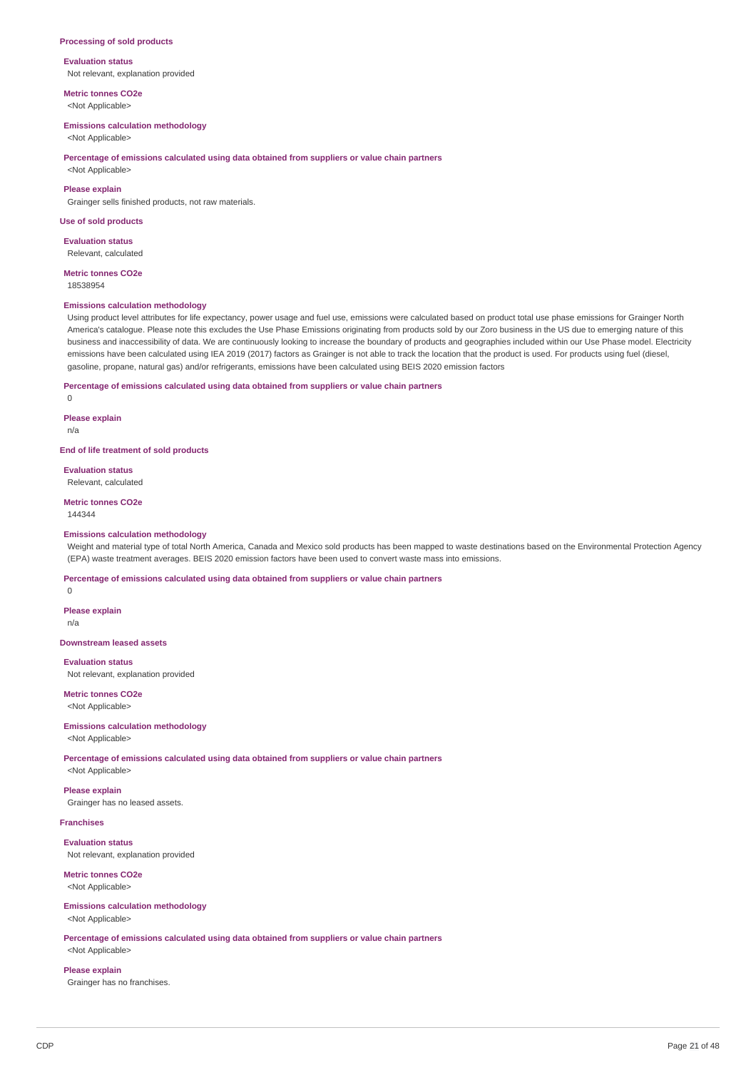#### **Processing of sold products**

### **Evaluation status**

Not relevant, explanation provided

**Metric tonnes CO2e** <Not Applicable>

#### **Emissions calculation methodology**

<Not Applicable>

#### **Percentage of emissions calculated using data obtained from suppliers or value chain partners**

<Not Applicable>

### **Please explain**

Grainger sells finished products, not raw materials.

#### **Use of sold products**

**Evaluation status** Relevant, calculated

## **Metric tonnes CO2e**

18538954

#### **Emissions calculation methodology**

Using product level attributes for life expectancy, power usage and fuel use, emissions were calculated based on product total use phase emissions for Grainger North America's catalogue. Please note this excludes the Use Phase Emissions originating from products sold by our Zoro business in the US due to emerging nature of this business and inaccessibility of data. We are continuously looking to increase the boundary of products and geographies included within our Use Phase model. Electricity emissions have been calculated using IEA 2019 (2017) factors as Grainger is not able to track the location that the product is used. For products using fuel (diesel, gasoline, propane, natural gas) and/or refrigerants, emissions have been calculated using BEIS 2020 emission factors

## **Percentage of emissions calculated using data obtained from suppliers or value chain partners**

 $\Omega$ 

#### **Please explain**

n/a

## **End of life treatment of sold products**

**Evaluation status** Relevant, calculated

#### **Metric tonnes CO2e**

144344

#### **Emissions calculation methodology**

Weight and material type of total North America, Canada and Mexico sold products has been mapped to waste destinations based on the Environmental Protection Agency (EPA) waste treatment averages. BEIS 2020 emission factors have been used to convert waste mass into emissions.

**Percentage of emissions calculated using data obtained from suppliers or value chain partners**

 $\theta$ 

#### **Please explain** n/a

**Downstream leased assets**

**Evaluation status** Not relevant, explanation provided

**Metric tonnes CO2e** <Not Applicable>

#### **Emissions calculation methodology** <Not Applicable>

**Percentage of emissions calculated using data obtained from suppliers or value chain partners**

<Not Applicable> **Please explain**

Grainger has no leased assets.

#### **Franchises**

**Evaluation status** Not relevant, explanation provided

### **Metric tonnes CO2e** <Not Applicable>

#### **Emissions calculation methodology** <Not Applicable>

**Percentage of emissions calculated using data obtained from suppliers or value chain partners** <Not Applicable>

# **Please explain**

Grainger has no franchises.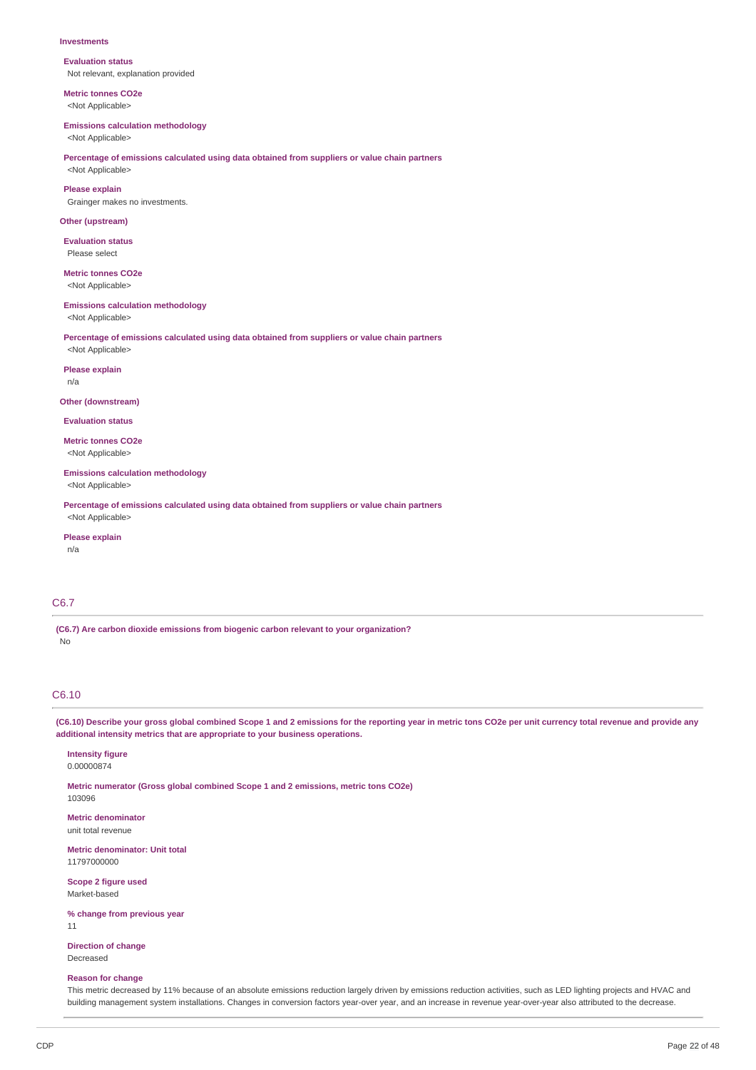#### **Investments**

**Evaluation status** Not relevant, explanation provided

**Metric tonnes CO2e** <Not Applicable>

#### **Emissions calculation methodology**

<Not Applicable>

## **Percentage of emissions calculated using data obtained from suppliers or value chain partners**

<Not Applicable>

**Please explain** Grainger makes no investments.

#### **Other (upstream)**

**Evaluation status** Please select

## **Metric tonnes CO2e**

<Not Applicable>

#### **Emissions calculation methodology**

<Not Applicable>

### **Percentage of emissions calculated using data obtained from suppliers or value chain partners**

<Not Applicable>

#### **Please explain**

n/a

#### **Other (downstream)**

**Evaluation status**

**Metric tonnes CO2e** <Not Applicable>

### **Emissions calculation methodology**

<Not Applicable>

**Percentage of emissions calculated using data obtained from suppliers or value chain partners** <Not Applicable>

#### **Please explain**

n/a

## C6.7

**(C6.7) Are carbon dioxide emissions from biogenic carbon relevant to your organization?** No

## C6.10

(C6.10) Describe your gross global combined Scope 1 and 2 emissions for the reporting year in metric tons CO2e per unit currency total revenue and provide any **additional intensity metrics that are appropriate to your business operations.**

## **Intensity figure**

0.00000874

**Metric numerator (Gross global combined Scope 1 and 2 emissions, metric tons CO2e)** 103096

**Metric denominator** unit total revenue

**Metric denominator: Unit total** 11797000000

**Scope 2 figure used** Market-based

**% change from previous year**

11

**Direction of change** Decreased

#### **Reason for change**

This metric decreased by 11% because of an absolute emissions reduction largely driven by emissions reduction activities, such as LED lighting projects and HVAC and building management system installations. Changes in conversion factors year-over year, and an increase in revenue year-over-year also attributed to the decrease.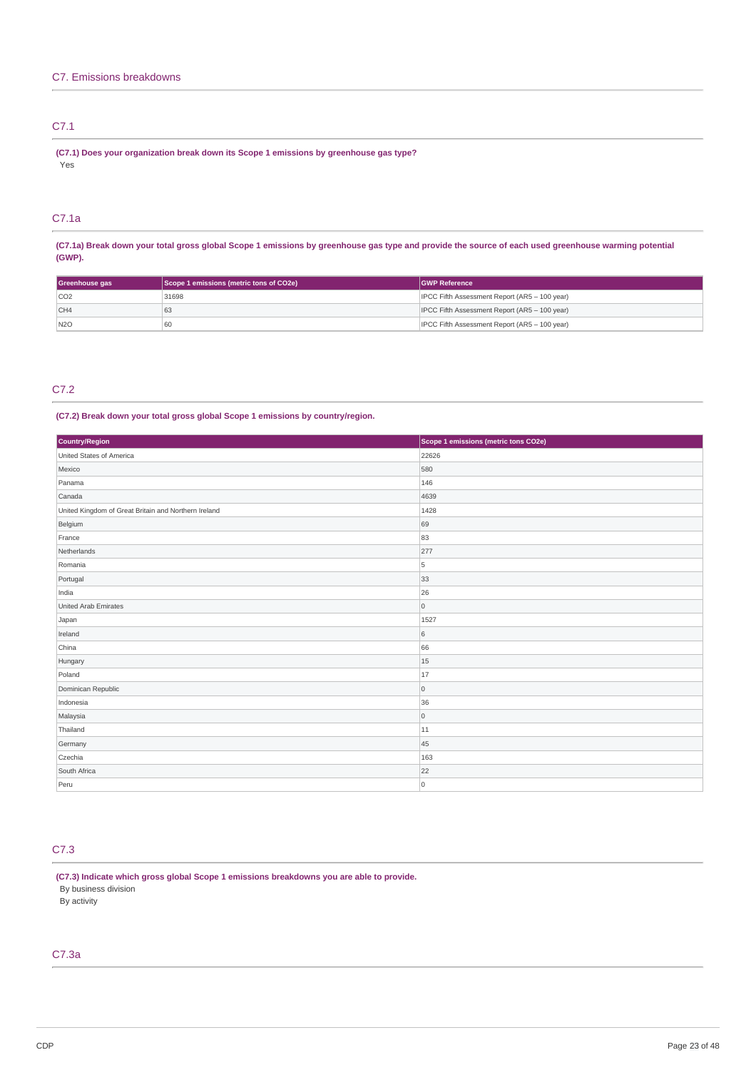## C7.1

**(C7.1) Does your organization break down its Scope 1 emissions by greenhouse gas type?** .<br>Yes

## C7.1a

(C7.1a) Break down your total gross global Scope 1 emissions by greenhouse gas type and provide the source of each used greenhouse warming potential **(GWP).**

| Greenhouse gas | Scope 1 emissions (metric tons of CO2e) | <b>GWP Reference</b>                          |
|----------------|-----------------------------------------|-----------------------------------------------|
| CO2            | 31698                                   | IPCC Fifth Assessment Report (AR5 - 100 year) |
| CH4            | ರಿತ                                     | IPCC Fifth Assessment Report (AR5 - 100 year) |
| N2O            | 60                                      | IPCC Fifth Assessment Report (AR5 - 100 year) |

## C7.2

### **(C7.2) Break down your total gross global Scope 1 emissions by country/region.**

| Country/Region                                       | Scope 1 emissions (metric tons CO2e) |
|------------------------------------------------------|--------------------------------------|
| United States of America                             | 22626                                |
| Mexico                                               | 580                                  |
| Panama                                               | 146                                  |
| Canada                                               | 4639                                 |
| United Kingdom of Great Britain and Northern Ireland | 1428                                 |
| Belgium                                              | 69                                   |
| France                                               | 83                                   |
| Netherlands                                          | 277                                  |
| Romania                                              | 5                                    |
| Portugal                                             | 33                                   |
| India                                                | 26                                   |
| United Arab Emirates                                 | $\mathsf{O}\xspace$                  |
| Japan                                                | 1527                                 |
| Ireland                                              | $\,6\,$                              |
| China                                                | 66                                   |
| Hungary                                              | 15                                   |
| Poland                                               | 17                                   |
| Dominican Republic                                   | $\mathsf{O}\xspace$                  |
| Indonesia                                            | 36                                   |
| Malaysia                                             | $\mathsf{O}\xspace$                  |
| Thailand                                             | 11                                   |
| Germany                                              | 45                                   |
| Czechia                                              | 163                                  |
| South Africa                                         | 22                                   |
| Peru                                                 | $\mathsf{O}\xspace$                  |

## C7.3

**(C7.3) Indicate which gross global Scope 1 emissions breakdowns you are able to provide.**

By business division

By activity

## C7.3a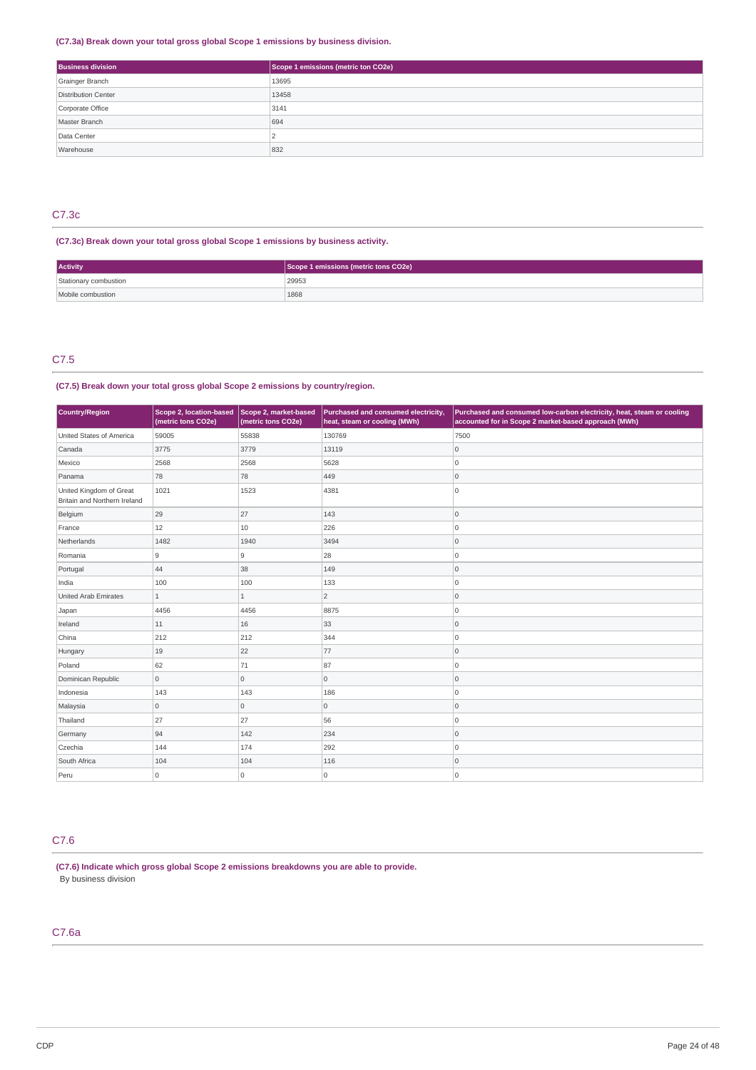## **(C7.3a) Break down your total gross global Scope 1 emissions by business division.**

| <b>Business division</b> | Scope 1 emissions (metric ton CO2e) |
|--------------------------|-------------------------------------|
| Grainger Branch          | 13695                               |
| Distribution Center      | 13458                               |
| Corporate Office         | 3141                                |
| Master Branch            | 694                                 |
| Data Center              |                                     |
| Warehouse                | 832                                 |

## C7.3c

## **(C7.3c) Break down your total gross global Scope 1 emissions by business activity.**

| Activity              | Scope 1 emissions (metric tons CO2e) |  |
|-----------------------|--------------------------------------|--|
| Stationary combustion | 29953                                |  |
| Mobile combustion     | 1868                                 |  |

## C7.5

## **(C7.5) Break down your total gross global Scope 2 emissions by country/region.**

| Country/Region                                          | Scope 2, location-based<br>(metric tons CO2e) | Scope 2, market-based<br>(metric tons CO2e) | Purchased and consumed electricity,<br>heat, steam or cooling (MWh) | Purchased and consumed low-carbon electricity, heat, steam or cooling<br>accounted for in Scope 2 market-based approach (MWh) |
|---------------------------------------------------------|-----------------------------------------------|---------------------------------------------|---------------------------------------------------------------------|-------------------------------------------------------------------------------------------------------------------------------|
| United States of America                                | 59005                                         | 55838                                       | 130769                                                              | 7500                                                                                                                          |
| Canada                                                  | 3775                                          | 3779                                        | 13119                                                               | $\mathsf{O}\xspace$                                                                                                           |
| Mexico                                                  | 2568                                          | 2568                                        | 5628                                                                | 0                                                                                                                             |
| Panama                                                  | 78                                            | 78                                          | 449                                                                 | 0                                                                                                                             |
| United Kingdom of Great<br>Britain and Northern Ireland | 1021                                          | 1523                                        | 4381                                                                | 10                                                                                                                            |
| Belgium                                                 | 29                                            | 27                                          | 143                                                                 | 0                                                                                                                             |
| France                                                  | 12                                            | 10                                          | 226                                                                 | 0                                                                                                                             |
| Netherlands                                             | 1482                                          | 1940                                        | 3494                                                                | 0                                                                                                                             |
| Romania                                                 | 9                                             | 9                                           | 28                                                                  | 0                                                                                                                             |
| Portugal                                                | 44                                            | 38                                          | 149                                                                 | 0                                                                                                                             |
| India                                                   | 100                                           | 100                                         | 133                                                                 | ۱o                                                                                                                            |
| <b>United Arab Emirates</b>                             | $\overline{1}$                                | $\mathbf{1}$                                | $\overline{2}$                                                      | 0                                                                                                                             |
| Japan                                                   | 4456                                          | 4456                                        | 8875                                                                | 0                                                                                                                             |
| Ireland                                                 | 11                                            | 16                                          | 33                                                                  | 0                                                                                                                             |
| China                                                   | 212                                           | 212                                         | 344                                                                 | 0                                                                                                                             |
| Hungary                                                 | 19                                            | 22                                          | 77                                                                  | 0                                                                                                                             |
| Poland                                                  | 62                                            | 71                                          | 87                                                                  | 0                                                                                                                             |
| Dominican Republic                                      | $\overline{0}$                                | 0                                           | $\overline{0}$                                                      | 0                                                                                                                             |
| Indonesia                                               | 143                                           | 143                                         | 186                                                                 | 0                                                                                                                             |
| Malaysia                                                | $\overline{0}$                                | 0                                           | $\overline{0}$                                                      | 0                                                                                                                             |
| Thailand                                                | 27                                            | 27                                          | 56                                                                  | ۱o                                                                                                                            |
| Germany                                                 | 94                                            | 142                                         | 234                                                                 | 0                                                                                                                             |
| Czechia                                                 | 144                                           | 174                                         | 292                                                                 | 0                                                                                                                             |
| South Africa                                            | 104                                           | 104                                         | 116                                                                 | 0                                                                                                                             |
| Peru                                                    | $\overline{0}$                                | 0                                           | 0                                                                   | 10                                                                                                                            |

## C7.6

**(C7.6) Indicate which gross global Scope 2 emissions breakdowns you are able to provide.** By business division

## C7.6a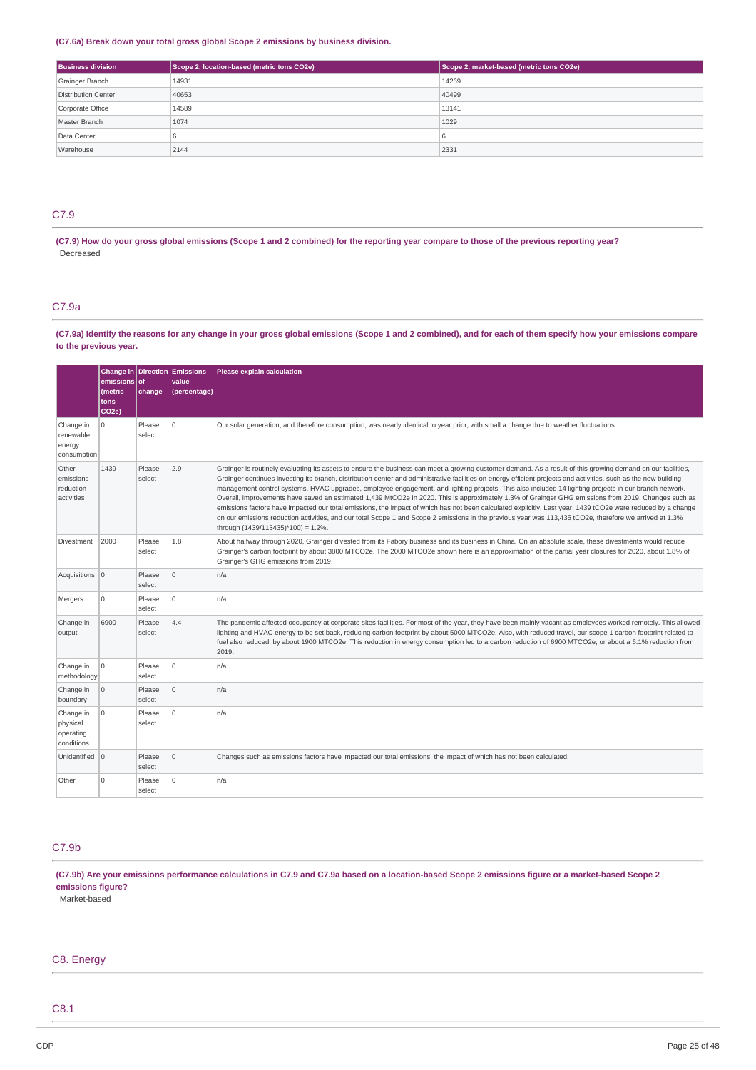### **(C7.6a) Break down your total gross global Scope 2 emissions by business division.**

| <b>Business division</b> | Scope 2, location-based (metric tons CO2e) | Scope 2, market-based (metric tons CO2e) |
|--------------------------|--------------------------------------------|------------------------------------------|
| Grainger Branch          | 14931                                      | 14269                                    |
| Distribution Center      | 40653                                      | 40499                                    |
| Corporate Office         | 14589                                      | 13141                                    |
| Master Branch            | 1074                                       | 1029                                     |
| Data Center              |                                            |                                          |
| Warehouse                | 2144                                       | 2331                                     |

## C7.9

(C7.9) How do your gross global emissions (Scope 1 and 2 combined) for the reporting year compare to those of the previous reporting year? Decreased

## C7.9a

(C7.9a) Identify the reasons for any change in your gross global emissions (Scope 1 and 2 combined), and for each of them specify how your emissions compare **to the previous year.**

|                                                  | emissions of<br>(metric<br>tons<br>CO <sub>2e</sub> ) | change           | Change in Direction Emissions<br>value<br>(percentage) | Please explain calculation                                                                                                                                                                                                                                                                                                                                                                                                                                                                                                                                                                                                                                                                                                                                                                                                                                                                                                                                                                                       |
|--------------------------------------------------|-------------------------------------------------------|------------------|--------------------------------------------------------|------------------------------------------------------------------------------------------------------------------------------------------------------------------------------------------------------------------------------------------------------------------------------------------------------------------------------------------------------------------------------------------------------------------------------------------------------------------------------------------------------------------------------------------------------------------------------------------------------------------------------------------------------------------------------------------------------------------------------------------------------------------------------------------------------------------------------------------------------------------------------------------------------------------------------------------------------------------------------------------------------------------|
| Change in<br>renewable<br>energy<br>consumption  | 0                                                     | Please<br>select | $\Omega$                                               | Our solar generation, and therefore consumption, was nearly identical to year prior, with small a change due to weather fluctuations.                                                                                                                                                                                                                                                                                                                                                                                                                                                                                                                                                                                                                                                                                                                                                                                                                                                                            |
| Other<br>emissions<br>reduction<br>activities    | 1439                                                  | Please<br>select | 2.9                                                    | Grainger is routinely evaluating its assets to ensure the business can meet a growing customer demand. As a result of this growing demand on our facilities,<br>Grainger continues investing its branch, distribution center and administrative facilities on energy efficient projects and activities, such as the new building<br>management control systems, HVAC upgrades, employee engagement, and lighting projects. This also included 14 lighting projects in our branch network.<br>Overall, improvements have saved an estimated 1,439 MtCO2e in 2020. This is approximately 1.3% of Grainger GHG emissions from 2019. Changes such as<br>emissions factors have impacted our total emissions, the impact of which has not been calculated explicitly. Last year, 1439 tCO2e were reduced by a change<br>on our emissions reduction activities, and our total Scope 1 and Scope 2 emissions in the previous year was 113,435 tCO2e, therefore we arrived at 1.3%<br>through (1439/113435)*100) = 1.2%. |
| Divestment                                       | 2000                                                  | Please<br>select | 1.8                                                    | About halfway through 2020, Grainger divested from its Fabory business and its business in China. On an absolute scale, these divestments would reduce<br>Grainger's carbon footprint by about 3800 MTCO2e. The 2000 MTCO2e shown here is an approximation of the partial year closures for 2020, about 1.8% of<br>Grainger's GHG emissions from 2019.                                                                                                                                                                                                                                                                                                                                                                                                                                                                                                                                                                                                                                                           |
| Acquisitions 0                                   |                                                       | Please<br>select | $\Omega$                                               | n/a                                                                                                                                                                                                                                                                                                                                                                                                                                                                                                                                                                                                                                                                                                                                                                                                                                                                                                                                                                                                              |
| Mergers                                          | 0                                                     | Please<br>select | $\overline{0}$                                         | n/a                                                                                                                                                                                                                                                                                                                                                                                                                                                                                                                                                                                                                                                                                                                                                                                                                                                                                                                                                                                                              |
| Change in<br>output                              | 6900                                                  | Please<br>select | 4.4                                                    | The pandemic affected occupancy at corporate sites facilities. For most of the year, they have been mainly vacant as employees worked remotely. This allowed<br>lighting and HVAC energy to be set back, reducing carbon footprint by about 5000 MTCO2e. Also, with reduced travel, our scope 1 carbon footprint related to<br>fuel also reduced, by about 1900 MTCO2e. This reduction in energy consumption led to a carbon reduction of 6900 MTCO2e, or about a 6.1% reduction from<br>2019.                                                                                                                                                                                                                                                                                                                                                                                                                                                                                                                   |
| Change in<br>methodology                         | $\mathbf 0$                                           | Please<br>select | $\mathbf 0$                                            | n/a                                                                                                                                                                                                                                                                                                                                                                                                                                                                                                                                                                                                                                                                                                                                                                                                                                                                                                                                                                                                              |
| Change in<br>boundary                            | $\mathbf 0$                                           | Please<br>select | $\mathbf 0$                                            | n/a                                                                                                                                                                                                                                                                                                                                                                                                                                                                                                                                                                                                                                                                                                                                                                                                                                                                                                                                                                                                              |
| Change in<br>physical<br>operating<br>conditions | 0                                                     | Please<br>select | $\Omega$                                               | n/a                                                                                                                                                                                                                                                                                                                                                                                                                                                                                                                                                                                                                                                                                                                                                                                                                                                                                                                                                                                                              |
| Unidentified 0                                   |                                                       | Please<br>select | $\mathbf 0$                                            | Changes such as emissions factors have impacted our total emissions, the impact of which has not been calculated.                                                                                                                                                                                                                                                                                                                                                                                                                                                                                                                                                                                                                                                                                                                                                                                                                                                                                                |
| Other                                            | 0                                                     | Please<br>select | $\Omega$                                               | n/a                                                                                                                                                                                                                                                                                                                                                                                                                                                                                                                                                                                                                                                                                                                                                                                                                                                                                                                                                                                                              |

## C7.9b

(C7.9b) Are your emissions performance calculations in C7.9 and C7.9a based on a location-based Scope 2 emissions figure or a market-based Scope 2 **emissions figure?**

Market-based

## C8. Energy

C8.1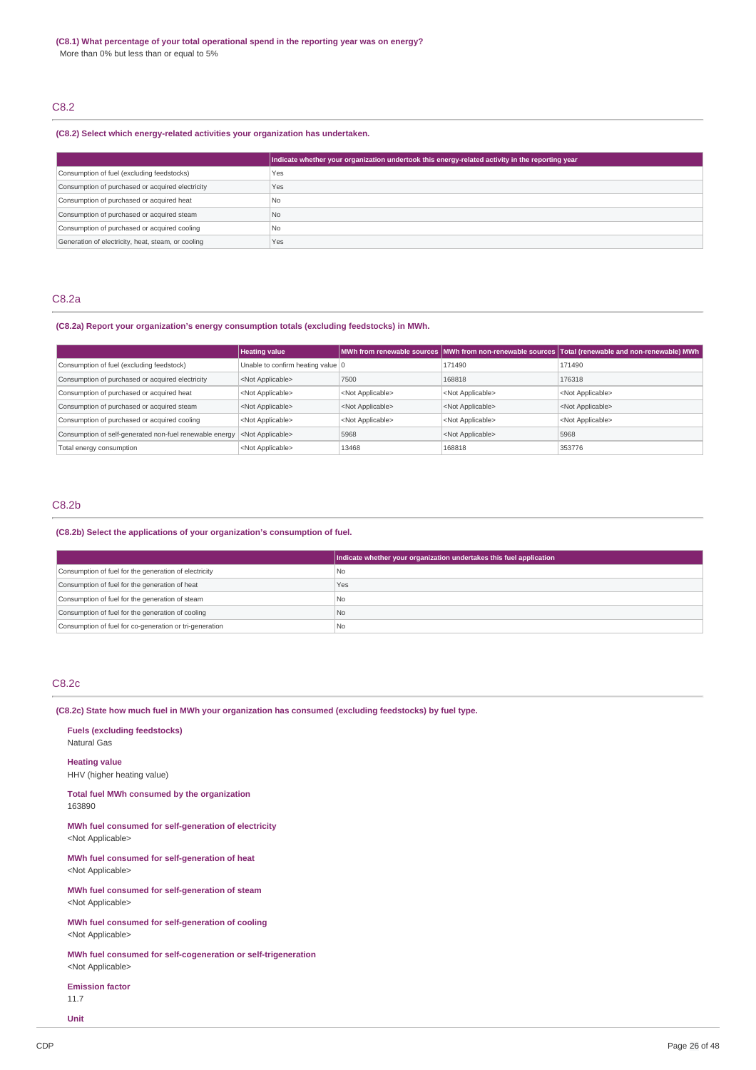## C8.2

### **(C8.2) Select which energy-related activities your organization has undertaken.**

|                                                    | Indicate whether your organization undertook this energy-related activity in the reporting year |
|----------------------------------------------------|-------------------------------------------------------------------------------------------------|
| Consumption of fuel (excluding feedstocks)         | Yes                                                                                             |
| Consumption of purchased or acquired electricity   | Yes                                                                                             |
| Consumption of purchased or acquired heat          | No.                                                                                             |
| Consumption of purchased or acquired steam         | N <sub>o</sub>                                                                                  |
| Consumption of purchased or acquired cooling       | No.                                                                                             |
| Generation of electricity, heat, steam, or cooling | Yes                                                                                             |

## C8.2a

## **(C8.2a) Report your organization's energy consumption totals (excluding feedstocks) in MWh.**

|                                                                               | <b>Heating value</b>              |                           |                           | MWh from renewable sources MWh from non-renewable sources Total (renewable and non-renewable) MWh |
|-------------------------------------------------------------------------------|-----------------------------------|---------------------------|---------------------------|---------------------------------------------------------------------------------------------------|
| Consumption of fuel (excluding feedstock)                                     | Unable to confirm heating value 0 |                           | 171490                    | 171490                                                                                            |
| Consumption of purchased or acquired electricity<br><not applicable=""></not> |                                   | 7500                      | 168818                    | 176318                                                                                            |
| Consumption of purchased or acquired heat                                     | <not applicable=""></not>         | <not applicable=""></not> | <not applicable=""></not> | <not applicable=""></not>                                                                         |
| Consumption of purchased or acquired steam                                    | <not applicable=""></not>         | <not applicable=""></not> | <not applicable=""></not> | <not applicable=""></not>                                                                         |
| Consumption of purchased or acquired cooling                                  | <not applicable=""></not>         | <not applicable=""></not> | <not applicable=""></not> | <not applicable=""></not>                                                                         |
| Consumption of self-generated non-fuel renewable energy                       | <not applicable=""></not>         | 5968                      | <not applicable=""></not> | 5968                                                                                              |
| Total energy consumption                                                      | <not applicable=""></not>         | 13468                     | 168818                    | 353776                                                                                            |

## C8.2b

### **(C8.2b) Select the applications of your organization's consumption of fuel.**

|                                                         | Indicate whether your organization undertakes this fuel application |
|---------------------------------------------------------|---------------------------------------------------------------------|
| Consumption of fuel for the generation of electricity   | l No                                                                |
| Consumption of fuel for the generation of heat          | Yes                                                                 |
| Consumption of fuel for the generation of steam         | l No                                                                |
| Consumption of fuel for the generation of cooling       | No                                                                  |
| Consumption of fuel for co-generation or tri-generation | l No                                                                |

## C8.2c

### **(C8.2c) State how much fuel in MWh your organization has consumed (excluding feedstocks) by fuel type.**

**Fuels (excluding feedstocks)** Natural Gas

**Heating value** HHV (higher heating value)

**Total fuel MWh consumed by the organization** 163890

**MWh fuel consumed for self-generation of electricity** <Not Applicable>

**MWh fuel consumed for self-generation of heat** <Not Applicable>

**MWh fuel consumed for self-generation of steam** <Not Applicable>

**MWh fuel consumed for self-generation of cooling** <Not Applicable>

**MWh fuel consumed for self-cogeneration or self-trigeneration** <Not Applicable>

**Emission factor** 11.7

**Unit**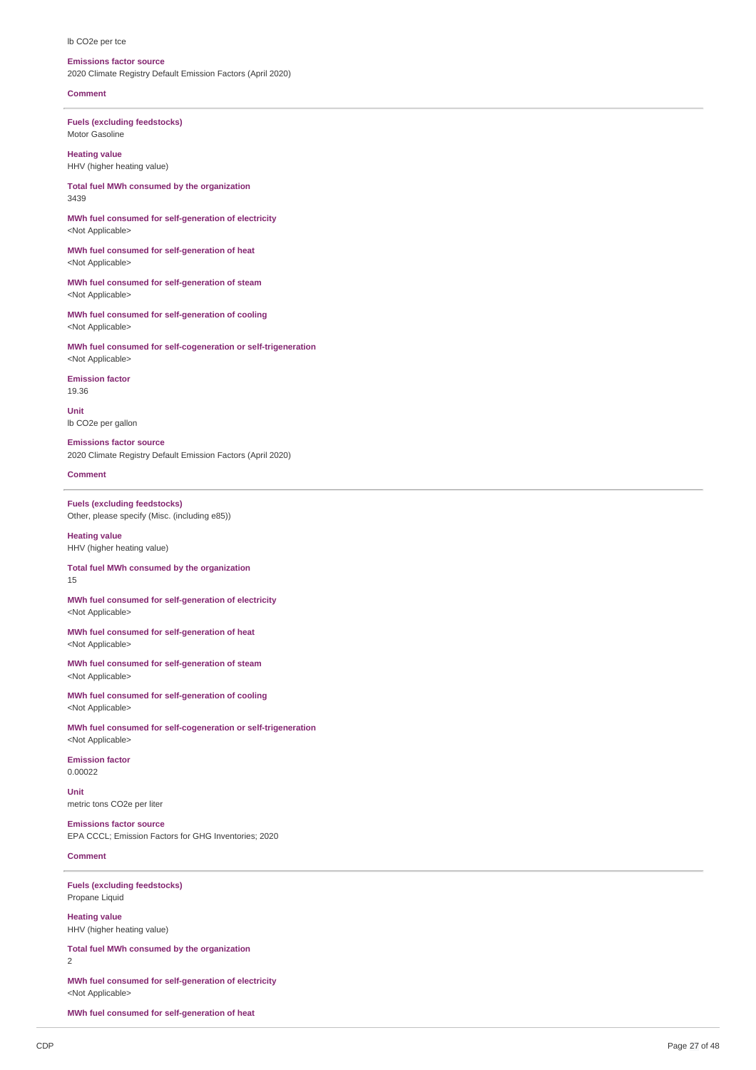#### lb CO<sub>2</sub>e per tce

#### **Emissions factor source**

2020 Climate Registry Default Emission Factors (April 2020)

#### **Comment**

**Fuels** (excluding feedstocks) Motor Gasoline

**Heating value** HHV (higher heating value)

Total fuel MWh consumed by the organization 3 4 3 9

MWh fuel consumed for self-generation of electricity <Not Applicable>

MWh fuel consumed for self-generation of heat <Not Applicable>

MWh fuel consumed for self-generation of steam <Not Applicable>

MWh fuel consumed for self-generation of cooling <Not Applicable>

MWh fuel consumed for self-cogeneration or self-trigeneration <Not Applicable>

**Emission factor** 1 9.3 6

**U nit** lb CO2e per gallon

**Emissions factor source** 2020 Climate Registry Default Emission Factors (April 2020)

#### **Comment**

**Fuels** (excluding feedstocks) Other, please specify (Misc. (including e85))

**Heating value** HHV (higher heating value)

Total fuel MWh consumed by the organization 1 5

MWh fuel consumed for self-generation of electricity <Not Applicable>

MWh fuel consumed for self-generation of heat <Not Applicable>

MWh fuel consumed for self-generation of steam <Not Applicable>

MWh fuel consumed for self-generation of cooling <Not Applicable>

MWh fuel consumed for self-cogeneration or self-trigeneration <Not Applicable>

**Emission factor** 0.0 0 0 2 2

**U nit** metric tons CO2e per liter

**Emissions factor source** EPA CCCL; Emission Factors for GHG Inventories; 2020

#### **Comment**

**Fuels** (excluding feedstocks) Propane Liquid

**H e a tin g v alu e** HHV (higher heating value)

Total fuel MWh consumed by the organization  $\overline{2}$ 

MWh fuel consumed for self-generation of electricity <Not Applicable>

MWh fuel consumed for self-generation of heat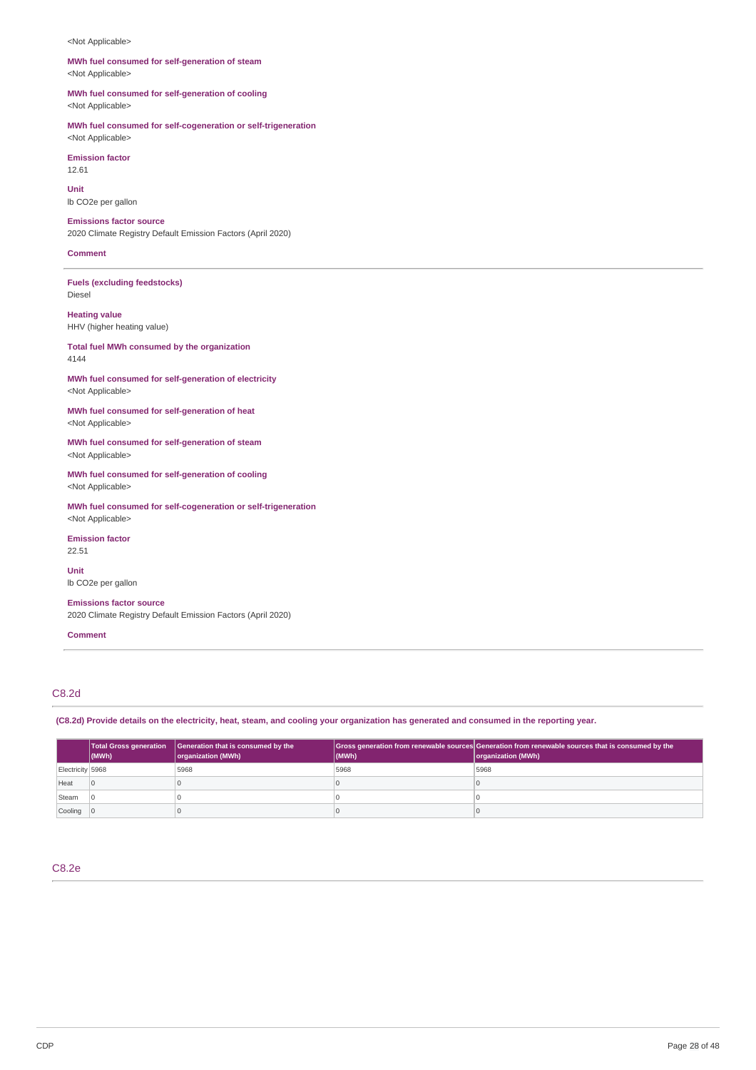#### <Not Applicable>

## **MWh fuel consumed for self-generation of steam** <Not Applicable>

**MWh fuel consumed for self-generation of cooling** <Not Applicable>

**MWh fuel consumed for self-cogeneration or self-trigeneration**

<Not Applicable> **Emission factor** 12.61

**Unit** lb CO2e per gallon

### **Emissions factor source**

2020 Climate Registry Default Emission Factors (April 2020)

**Comment**

**Fuels (excluding feedstocks)** Diesel

**Heating value** HHV (higher heating value)

### **Total fuel MWh consumed by the organization** 4144

**MWh fuel consumed for self-generation of electricity** <Not Applicable>

**MWh fuel consumed for self-generation of heat** <Not Applicable>

**MWh fuel consumed for self-generation of steam** <Not Applicable>

**MWh fuel consumed for self-generation of cooling** <Not Applicable>

**MWh fuel consumed for self-cogeneration or self-trigeneration** <Not Applicable>

**Emission factor** 22.51

**Unit** lb CO2e per gallon

**Emissions factor source**

2020 Climate Registry Default Emission Factors (April 2020)

**Comment**

## C8.2d

(C8.2d) Provide details on the electricity, heat, steam, and cooling your organization has generated and consumed in the reporting year.

|                  | <b>Total Gross generation</b><br>$\vert$ (MWh) | Generation that is consumed by the<br>organization (MWh) | (MWh) | Gross generation from renewable sources Generation from renewable sources that is consumed by the<br>organization (MWh) |
|------------------|------------------------------------------------|----------------------------------------------------------|-------|-------------------------------------------------------------------------------------------------------------------------|
| Electricity 5968 |                                                | 5968                                                     | 5968  | 5968                                                                                                                    |
| Heat             |                                                |                                                          |       |                                                                                                                         |
| Steam            |                                                |                                                          |       |                                                                                                                         |
| Cooling          |                                                |                                                          |       |                                                                                                                         |

C8.2e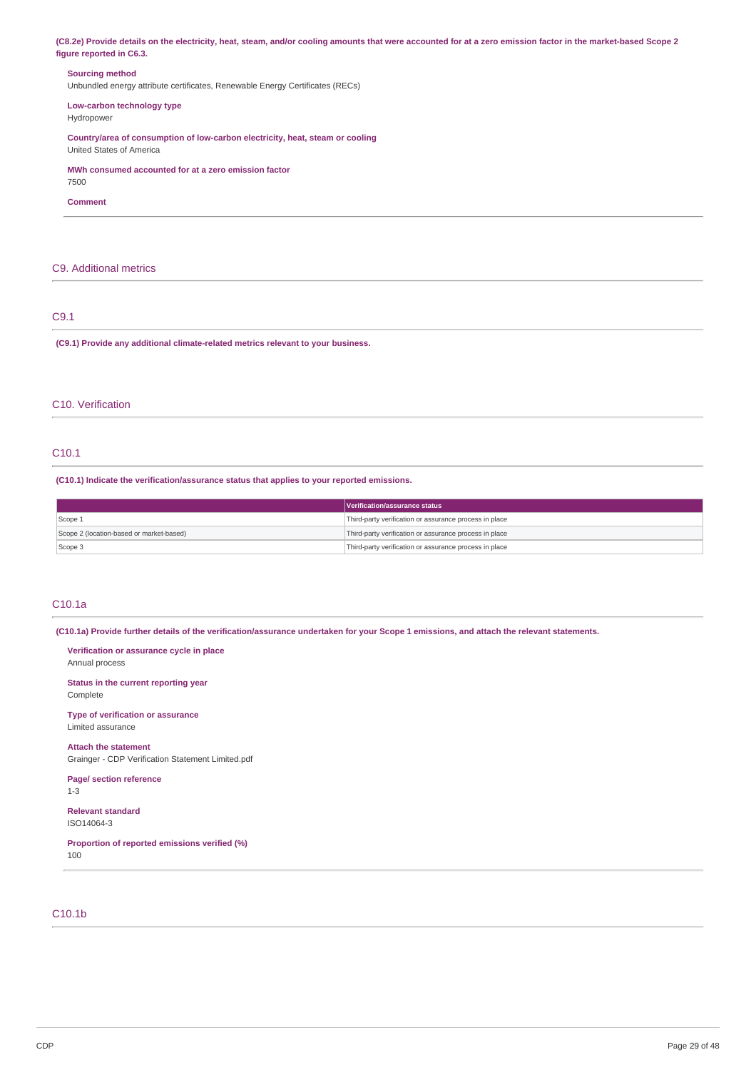(C8.2e) Provide details on the electricity, heat, steam, and/or cooling amounts that were accounted for at a zero emission factor in the market-based Scope 2 **figure reported in C6.3.**

### **Sourcing method**

Unbundled energy attribute certificates, Renewable Energy Certificates (RECs)

**Low-carbon technology type** Hydropower

**Country/area of consumption of low-carbon electricity, heat, steam or cooling** United States of America

**MWh consumed accounted for at a zero emission factor**

7500

**Comment**

## C9. Additional metrics

## C9.1

**(C9.1) Provide any additional climate-related metrics relevant to your business.**

## C10. Verification

## C10.1

**(C10.1) Indicate the verification/assurance status that applies to your reported emissions.**

|                                          | Verification/assurance status                          |
|------------------------------------------|--------------------------------------------------------|
| Scope 1                                  | Third-party verification or assurance process in place |
| Scope 2 (location-based or market-based) | Third-party verification or assurance process in place |
| Scope 3                                  | Third-party verification or assurance process in place |

## C10.1a

(C10.1a) Provide further details of the verification/assurance undertaken for your Scope 1 emissions, and attach the relevant statements.

**Verification or assurance cycle in place** Annual process **Status in the current reporting year** Complete **Type of verification or assurance** Limited assurance **Attach the statement** Grainger - CDP Verification Statement Limited.pdf **Page/ section reference** 1-3 **Relevant standard** ISO14064-3 **Proportion of reported emissions verified (%)** 100

## C10.1b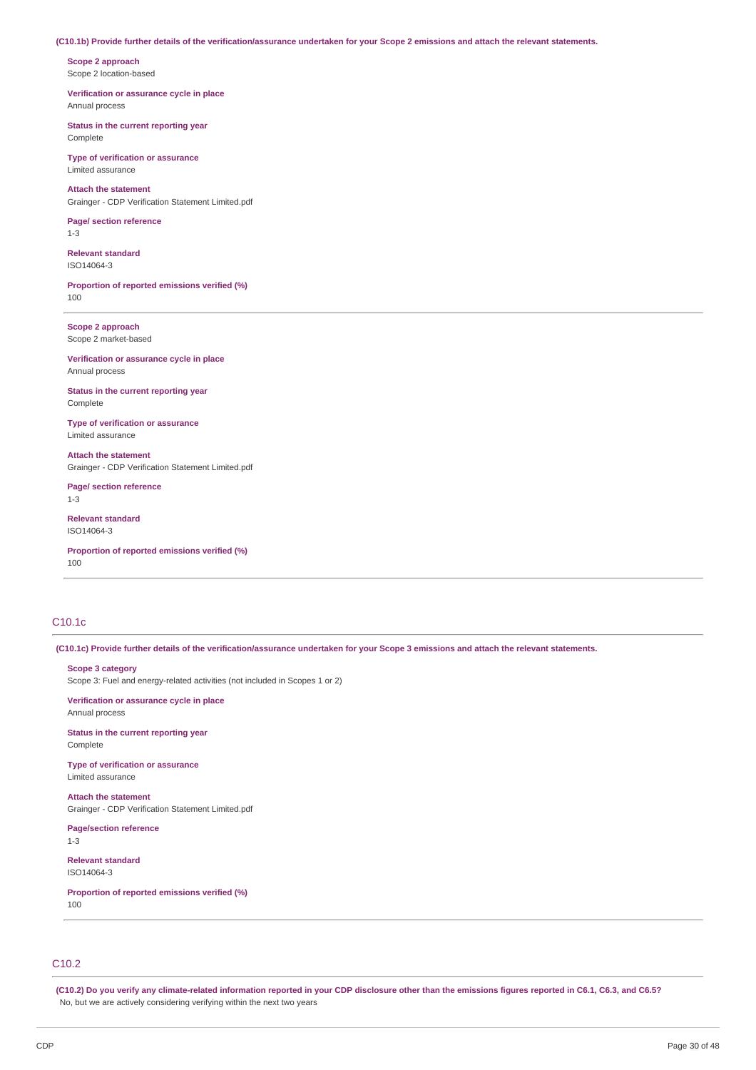#### (C10.1b) Provide further details of the verification/assurance undertaken for your Scope 2 emissions and attach the relevant statements.

**Scope 2 approach** Scope 2 location-based

**Verification or assurance cycle in place** Annual process

**Status in the current reporting year** Complete

**Type of verification or assurance** Limited assurance

**Attach the statement** Grainger - CDP Verification Statement Limited.pdf

**Page/ section reference** 1-3

**Relevant standard** ISO14064-3

**Proportion of reported emissions verified (%)** 100

**Scope 2 approach** Scope 2 market-based

**Verification or assurance cycle in place** Annual process

**Status in the current reporting year** Complete

**Type of verification or assurance** Limited assurance

**Attach the statement** Grainger - CDP Verification Statement Limited.pdf

**Page/ section reference** 1-3

**Relevant standard** ISO14064-3

**Proportion of reported emissions verified (%)** 100

## C10.1c

(C10.1c) Provide further details of the verification/assurance undertaken for your Scope 3 emissions and attach the relevant statements.

#### **Scope 3 category**

Scope 3: Fuel and energy-related activities (not included in Scopes 1 or 2)

**Verification or assurance cycle in place** Annual process

**Status in the current reporting year** Complete

**Type of verification or assurance** Limited assurance

**Attach the statement** Grainger - CDP Verification Statement Limited.pdf

**Page/section reference** 1-3

**Relevant standard** ISO14064-3

**Proportion of reported emissions verified (%)** 100

## C10.2

(C10.2) Do you verify any climate-related information reported in your CDP disclosure other than the emissions figures reported in C6.1, C6.3, and C6.5? No, but we are actively considering verifying within the next two years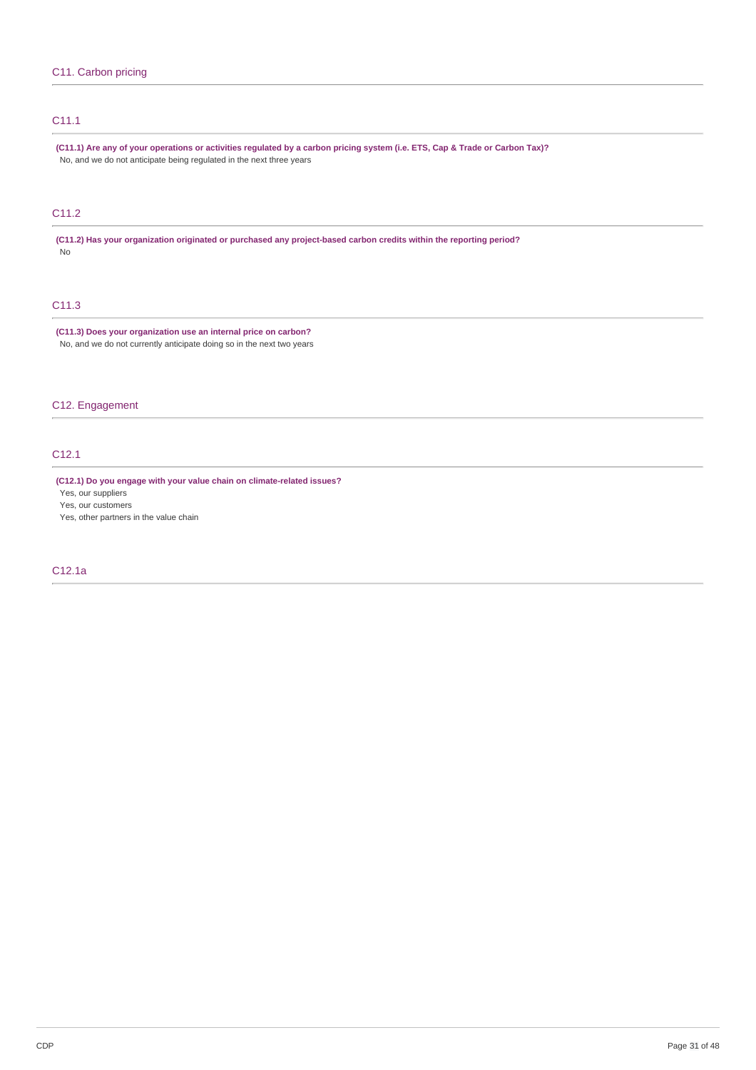## C11.1

(C11.1) Are any of your operations or activities regulated by a carbon pricing system (i.e. ETS, Cap & Trade or Carbon Tax)? No, and we do not anticipate being regulated in the next three years

## C11.2

**(C11.2) Has your organization originated or purchased any project-based carbon credits within the reporting period?** No

## C11.3

**(C11.3) Does your organization use an internal price on carbon?** No, and we do not currently anticipate doing so in the next two years

## C12. Engagement

## C12.1

**(C12.1) Do you engage with your value chain on climate-related issues?**

Yes, our suppliers

Yes, our customers

Yes, other partners in the value chain

## C12.1a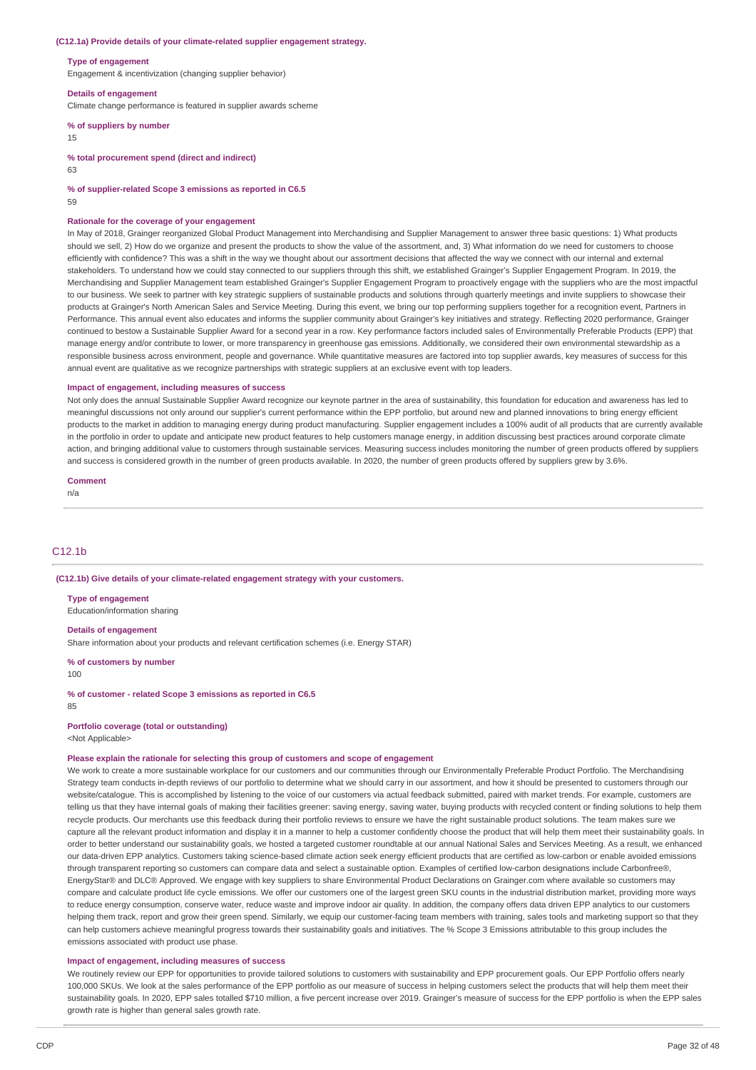#### **(C12.1a) Provide details of your climate-related supplier engagement strategy.**

#### **Type of engagement**

Engagement & incentivization (changing supplier behavior)

#### **Details of engagement**

Climate change performance is featured in supplier awards scheme

### **% of suppliers by number**

15

**% total procurement spend (direct and indirect)**

63

**% of supplier-related Scope 3 emissions as reported in C6.5**

59

#### **Rationale for the coverage of your engagement**

In May of 2018, Grainger reorganized Global Product Management into Merchandising and Supplier Management to answer three basic questions: 1) What products should we sell, 2) How do we organize and present the products to show the value of the assortment, and, 3) What information do we need for customers to choose efficiently with confidence? This was a shift in the way we thought about our assortment decisions that affected the way we connect with our internal and external stakeholders. To understand how we could stay connected to our suppliers through this shift, we established Grainger's Supplier Engagement Program. In 2019, the Merchandising and Supplier Management team established Grainger's Supplier Engagement Program to proactively engage with the suppliers who are the most impactful to our business. We seek to partner with key strategic suppliers of sustainable products and solutions through quarterly meetings and invite suppliers to showcase their products at Grainger's North American Sales and Service Meeting. During this event, we bring our top performing suppliers together for a recognition event, Partners in Performance. This annual event also educates and informs the supplier community about Grainger's key initiatives and strategy. Reflecting 2020 performance, Grainger continued to bestow a Sustainable Supplier Award for a second year in a row. Key performance factors included sales of Environmentally Preferable Products (EPP) that manage energy and/or contribute to lower, or more transparency in greenhouse gas emissions. Additionally, we considered their own environmental stewardship as a responsible business across environment, people and governance. While quantitative measures are factored into top supplier awards, key measures of success for this annual event are qualitative as we recognize partnerships with strategic suppliers at an exclusive event with top leaders.

#### **Impact of engagement, including measures of success**

Not only does the annual Sustainable Supplier Award recognize our keynote partner in the area of sustainability, this foundation for education and awareness has led to meaningful discussions not only around our supplier's current performance within the EPP portfolio, but around new and planned innovations to bring energy efficient products to the market in addition to managing energy during product manufacturing. Supplier engagement includes a 100% audit of all products that are currently available in the portfolio in order to update and anticipate new product features to help customers manage energy, in addition discussing best practices around corporate climate action, and bringing additional value to customers through sustainable services. Measuring success includes monitoring the number of green products offered by suppliers and success is considered growth in the number of green products available. In 2020, the number of green products offered by suppliers grew by 3.6%.

#### **Comment**

n/a

## C<sub>12</sub>.1<sub>b</sub>

**(C12.1b) Give details of your climate-related engagement strategy with your customers.**

#### **Type of engagement**

Education/information sharing

**Details of engagement**

Share information about your products and relevant certification schemes (i.e. Energy STAR)

#### **% of customers by number**

100

#### **% of customer - related Scope 3 emissions as reported in C6.5**

85

**Portfolio coverage (total or outstanding)**

<Not Applicable>

#### **Please explain the rationale for selecting this group of customers and scope of engagement**

We work to create a more sustainable workplace for our customers and our communities through our Environmentally Preferable Product Portfolio. The Merchandising Strategy team conducts in-depth reviews of our portfolio to determine what we should carry in our assortment, and how it should be presented to customers through our website/catalogue. This is accomplished by listening to the voice of our customers via actual feedback submitted, paired with market trends. For example, customers are telling us that they have internal goals of making their facilities greener: saving energy, saving water, buying products with recycled content or finding solutions to help them recycle products. Our merchants use this feedback during their portfolio reviews to ensure we have the right sustainable product solutions. The team makes sure we capture all the relevant product information and display it in a manner to help a customer confidently choose the product that will help them meet their sustainability goals. In order to better understand our sustainability goals, we hosted a targeted customer roundtable at our annual National Sales and Services Meeting. As a result, we enhanced our data-driven EPP analytics. Customers taking science-based climate action seek energy efficient products that are certified as low-carbon or enable avoided emissions through transparent reporting so customers can compare data and select a sustainable option. Examples of certified low-carbon designations include Carbonfree®, EnergyStar® and DLC® Approved. We engage with key suppliers to share Environmental Product Declarations on Grainger.com where available so customers may compare and calculate product life cycle emissions. We offer our customers one of the largest green SKU counts in the industrial distribution market, providing more ways to reduce energy consumption, conserve water, reduce waste and improve indoor air quality. In addition, the company offers data driven EPP analytics to our customers helping them track, report and grow their green spend. Similarly, we equip our customer-facing team members with training, sales tools and marketing support so that they can help customers achieve meaningful progress towards their sustainability goals and initiatives. The % Scope 3 Emissions attributable to this group includes the emissions associated with product use phase.

### **Impact of engagement, including measures of success**

We routinely review our EPP for opportunities to provide tailored solutions to customers with sustainability and EPP procurement goals. Our EPP Portfolio offers nearly 100,000 SKUs. We look at the sales performance of the EPP portfolio as our measure of success in helping customers select the products that will help them meet their sustainability goals. In 2020, EPP sales totalled \$710 million, a five percent increase over 2019. Grainger's measure of success for the EPP portfolio is when the EPP sales growth rate is higher than general sales growth rate.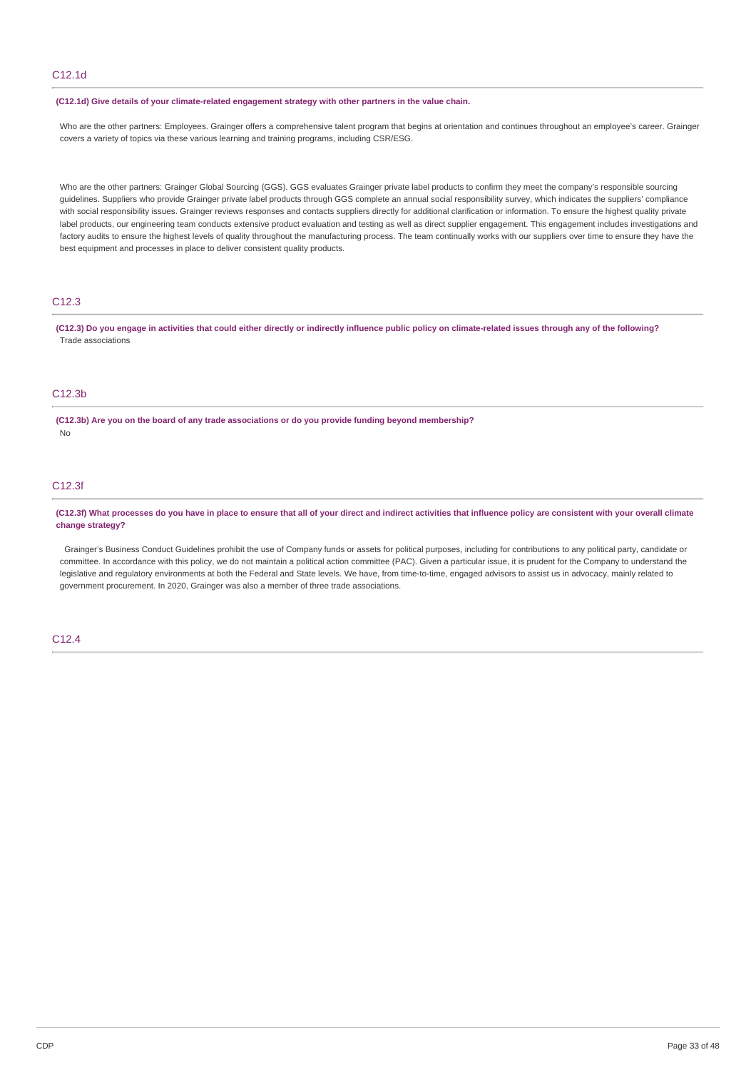## C12.1d

#### **(C12.1d) Give details of your climate-related engagement strategy with other partners in the value chain.**

Who are the other partners: Employees. Grainger offers a comprehensive talent program that begins at orientation and continues throughout an employee's career. Grainger covers a variety of topics via these various learning and training programs, including CSR/ESG.

Who are the other partners: Grainger Global Sourcing (GGS). GGS evaluates Grainger private label products to confirm they meet the company's responsible sourcing guidelines. Suppliers who provide Grainger private label products through GGS complete an annual social responsibility survey, which indicates the suppliers' compliance with social responsibility issues. Grainger reviews responses and contacts suppliers directly for additional clarification or information. To ensure the highest quality private label products, our engineering team conducts extensive product evaluation and testing as well as direct supplier engagement. This engagement includes investigations and factory audits to ensure the highest levels of quality throughout the manufacturing process. The team continually works with our suppliers over time to ensure they have the best equipment and processes in place to deliver consistent quality products.

## C12.3

(C12.3) Do you engage in activities that could either directly or indirectly influence public policy on climate-related issues through any of the following? Trade associations

## C12.3b

**(C12.3b) Are you on the board of any trade associations or do you provide funding beyond membership?** No

## C12.3f

#### (C12.3f) What processes do you have in place to ensure that all of your direct and indirect activities that influence policy are consistent with your overall climate **change strategy?**

Grainger's Business Conduct Guidelines prohibit the use of Company funds or assets for political purposes, including for contributions to any political party, candidate or committee. In accordance with this policy, we do not maintain a political action committee (PAC). Given a particular issue, it is prudent for the Company to understand the legislative and regulatory environments at both the Federal and State levels. We have, from time-to-time, engaged advisors to assist us in advocacy, mainly related to government procurement. In 2020, Grainger was also a member of three trade associations.

## C12.4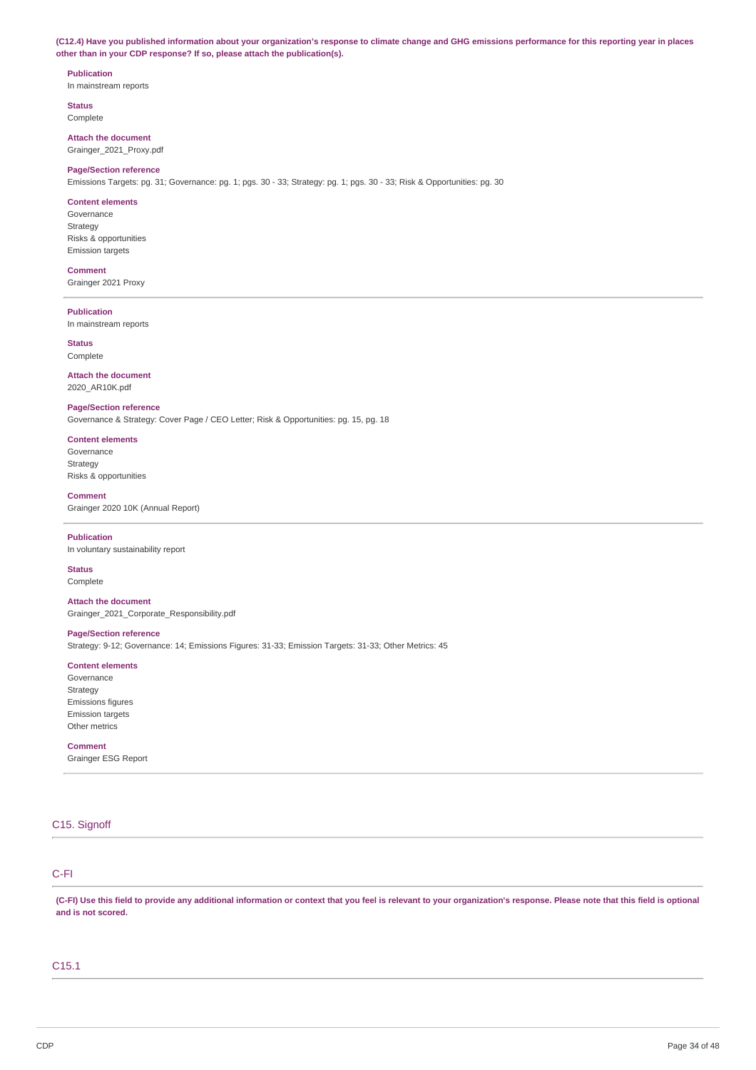(C12.4) Have you published information about your organization's response to climate change and GHG emissions performance for this reporting year in places **other than in your CDP response? If so, please attach the publication(s).**

## **Publication**

In mainstream reports

**Status** Complete

**Attach the document** Grainger\_2021\_Proxy.pdf

#### **Page/Section reference**

Emissions Targets: pg. 31; Governance: pg. 1; pgs. 30 - 33; Strategy: pg. 1; pgs. 30 - 33; Risk & Opportunities: pg. 30

#### **Content elements**

Governance Strategy Risks & opportunities Emission targets

### **Comment**

Grainger 2021 Proxy

## **Publication**

In mainstream reports

**Status** Complete

**Attach the document**

### 2020\_AR10K.pdf

## **Page/Section reference**

Governance & Strategy: Cover Page / CEO Letter; Risk & Opportunities: pg. 15, pg. 18

## **Content elements**

Governance Strategy Risks & opportunities

### **Comment**

Grainger 2020 10K (Annual Report)

#### **Publication**

In voluntary sustainability report

## **Status**

Complete

**Attach the document** Grainger\_2021\_Corporate\_Responsibility.pdf

## **Page/Section reference**

Strategy: 9-12; Governance: 14; Emissions Figures: 31-33; Emission Targets: 31-33; Other Metrics: 45

## **Content elements**

Governance Strategy Emissions figures Emission targets Other metrics

## **Comment**

Grainger ESG Report

## C15. Signoff

## C-FI

(C-FI) Use this field to provide any additional information or context that you feel is relevant to your organization's response. Please note that this field is optional **and is not scored.**

## C15.1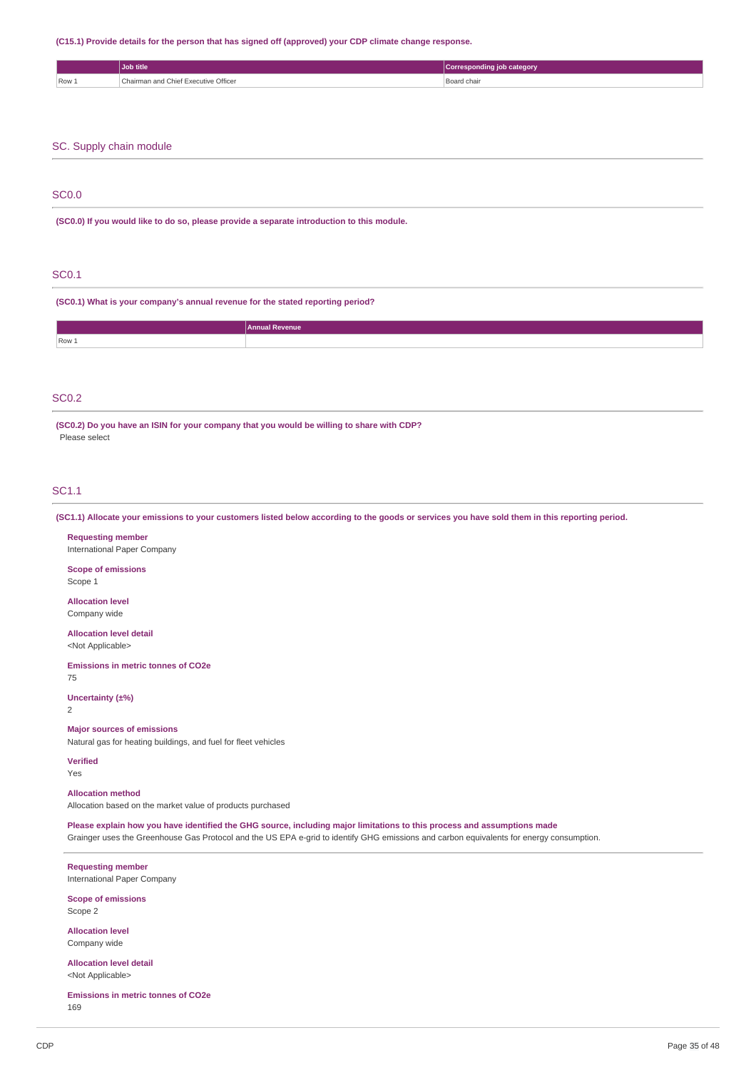#### **(C15.1) Provide details for the person that has signed off (approved) your CDP climate change response.**

|       | Job title                            | Corresponding job category |
|-------|--------------------------------------|----------------------------|
| Row 1 | Chairman and Chief Executive Officer | Board chair                |
|       |                                      |                            |

### SC. Supply chain module

### SC0.0

**(SC0.0) If you would like to do so, please provide a separate introduction to this module.**

## SC0.1

**(SC0.1) What is your company's annual revenue for the stated reporting period?**

| Row 1 |  |
|-------|--|
|       |  |

## SC0.2

**(SC0.2) Do you have an ISIN for your company that you would be willing to share with CDP?** Please select

## SC1.1

(SC1.1) Allocate your emissions to your customers listed below according to the goods or services you have sold them in this reporting period.

### **Requesting member**

International Paper Company

## **Scope of emissions**

Scope 1

#### **Allocation level** Company wide

**Allocation level detail**

<Not Applicable>

#### **Emissions in metric tonnes of CO2e**

75

### **Uncertainty (±%)**

2

### **Major sources of emissions**

Natural gas for heating buildings, and fuel for fleet vehicles

## **Verified**

Yes

## **Allocation method**

Allocation based on the market value of products purchased

Please explain how you have identified the GHG source, including major limitations to this process and assumptions made

Grainger uses the Greenhouse Gas Protocol and the US EPA e-grid to identify GHG emissions and carbon equivalents for energy consumption.

**Requesting member** International Paper Company

#### **Scope of emissions** Scope 2

**Allocation level** Company wide

**Allocation level detail** <Not Applicable>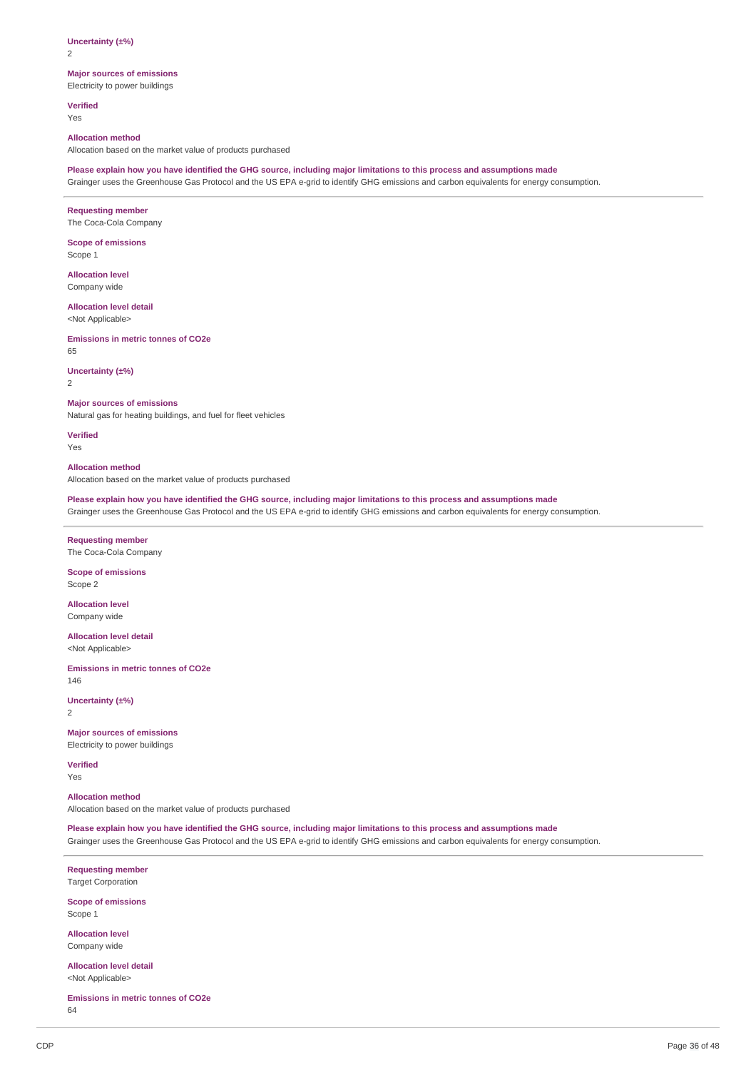2

### **Major sources of emissions**

Electricity to power buildings

**Verified** Yes

#### **Allocation method**

Allocation based on the market value of products purchased

#### Please explain how you have identified the GHG source, including major limitations to this process and assumptions made

Grainger uses the Greenhouse Gas Protocol and the US EPA e-grid to identify GHG emissions and carbon equivalents for energy consumption.

## **Requesting member**

The Coca-Cola Company

#### **Scope of emissions** Scope 1

**Allocation level** Company wide

#### **Allocation level detail**

<Not Applicable>

#### **Emissions in metric tonnes of CO2e** 65

## **Uncertainty (±%)**

2

## **Major sources of emissions**

Natural gas for heating buildings, and fuel for fleet vehicles

**Verified**

Yes

## **Allocation method**

Allocation based on the market value of products purchased

Please explain how you have identified the GHG source, including major limitations to this process and assumptions made Grainger uses the Greenhouse Gas Protocol and the US EPA e-grid to identify GHG emissions and carbon equivalents for energy consumption.

### **Requesting member** The Coca-Cola Company

## **Scope of emissions**

Scope 2

### **Allocation level** Company wide

**Allocation level detail**

<Not Applicable>

**Emissions in metric tonnes of CO2e** 146

**Uncertainty (±%)** 2

## **Major sources of emissions**

Electricity to power buildings

**Verified** Yes

## **Allocation method**

Allocation based on the market value of products purchased

Please explain how you have identified the GHG source, including major limitations to this process and assumptions made

Grainger uses the Greenhouse Gas Protocol and the US EPA e-grid to identify GHG emissions and carbon equivalents for energy consumption.

**Requesting member** Target Corporation

**Scope of emissions** Scope 1

**Allocation level** Company wide

**Allocation level detail** <Not Applicable>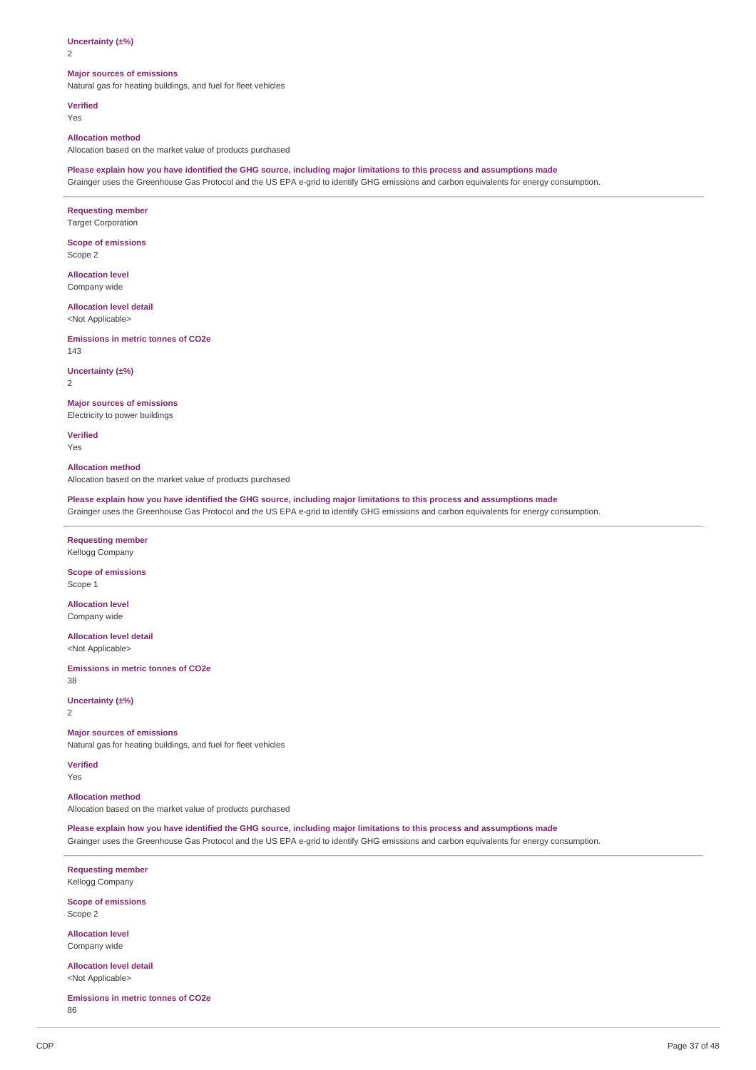2

#### **Major sources of emissions**

Natural gas for heating buildings, and fuel for fleet vehicles

**Verified** Yes

#### **Allocation method**

Allocation based on the market value of products purchased

Please explain how you have identified the GHG source, including major limitations to this process and assumptions made

Grainger uses the Greenhouse Gas Protocol and the US EPA e-grid to identify GHG emissions and carbon equivalents for energy consumption.

## **Requesting member**

Target Corporation

**Scope of emissions** Scope 2

**Allocation level**

Company wide

## **Allocation level detail**

<Not Applicable>

**Emissions in metric tonnes of CO2e** 143

**Uncertainty (±%)**

2

### **Major sources of emissions** Electricity to power buildings

**Verified** Yes

**Allocation method**

Allocation based on the market value of products purchased

Please explain how you have identified the GHG source, including major limitations to this process and assumptions made Grainger uses the Greenhouse Gas Protocol and the US EPA e-grid to identify GHG emissions and carbon equivalents for energy consumption.

### **Requesting member** Kellogg Company

**Scope of emissions**

Scope 1

**Allocation level** Company wide

**Allocation level detail** <Not Applicable>

**Emissions in metric tonnes of CO2e** 38

**Uncertainty (±%)** 2

#### **Major sources of emissions**

Natural gas for heating buildings, and fuel for fleet vehicles

**Verified** Yes

#### **Allocation method**

Allocation based on the market value of products purchased

Please explain how you have identified the GHG source, including major limitations to this process and assumptions made Grainger uses the Greenhouse Gas Protocol and the US EPA e-grid to identify GHG emissions and carbon equivalents for energy consumption.

**Requesting member** Kellogg Company

**Scope of emissions** Scope 2

**Allocation level** Company wide

**Allocation level detail** <Not Applicable>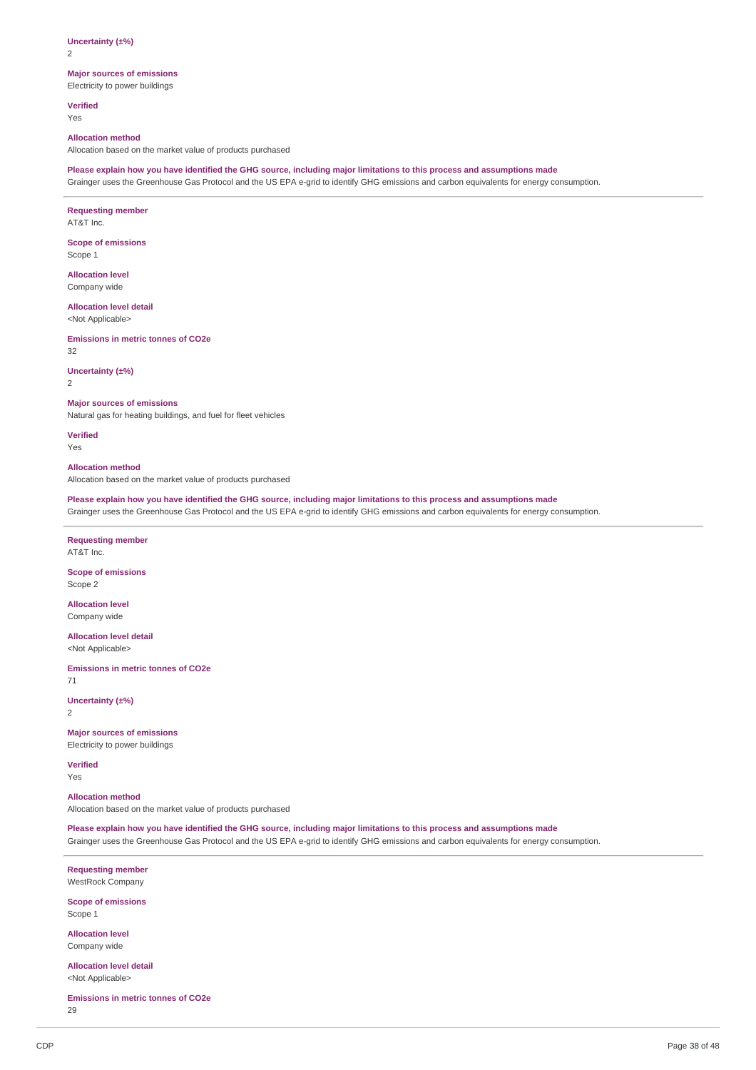2

## **Major sources of emissions**

Electricity to power buildings

**Verified** Yes

#### **Allocation method**

Allocation based on the market value of products purchased

#### Please explain how you have identified the GHG source, including major limitations to this process and assumptions made

Grainger uses the Greenhouse Gas Protocol and the US EPA e-grid to identify GHG emissions and carbon equivalents for energy consumption.

### **Requesting member**

AT&T Inc.

**Scope of emissions** Scope 1

**Allocation level**

Company wide

## **Allocation level detail**

<Not Applicable>

**Emissions in metric tonnes of CO2e**

32

### **Uncertainty (±%)**

2

## **Major sources of emissions**

Natural gas for heating buildings, and fuel for fleet vehicles

**Verified**

Yes

## **Allocation method**

Allocation based on the market value of products purchased

Please explain how you have identified the GHG source, including major limitations to this process and assumptions made Grainger uses the Greenhouse Gas Protocol and the US EPA e-grid to identify GHG emissions and carbon equivalents for energy consumption.

## **Requesting member**

AT&T Inc.

## **Scope of emissions**

Scope 2

### **Allocation level** Company wide

**Allocation level detail**

<Not Applicable>

**Emissions in metric tonnes of CO2e** 71

**Uncertainty (±%)** 2

## **Major sources of emissions**

Electricity to power buildings

**Verified** Yes

## **Allocation method**

Allocation based on the market value of products purchased

Please explain how you have identified the GHG source, including major limitations to this process and assumptions made

Grainger uses the Greenhouse Gas Protocol and the US EPA e-grid to identify GHG emissions and carbon equivalents for energy consumption.

**Requesting member** WestRock Company

**Scope of emissions** Scope 1

**Allocation level** Company wide

**Allocation level detail** <Not Applicable>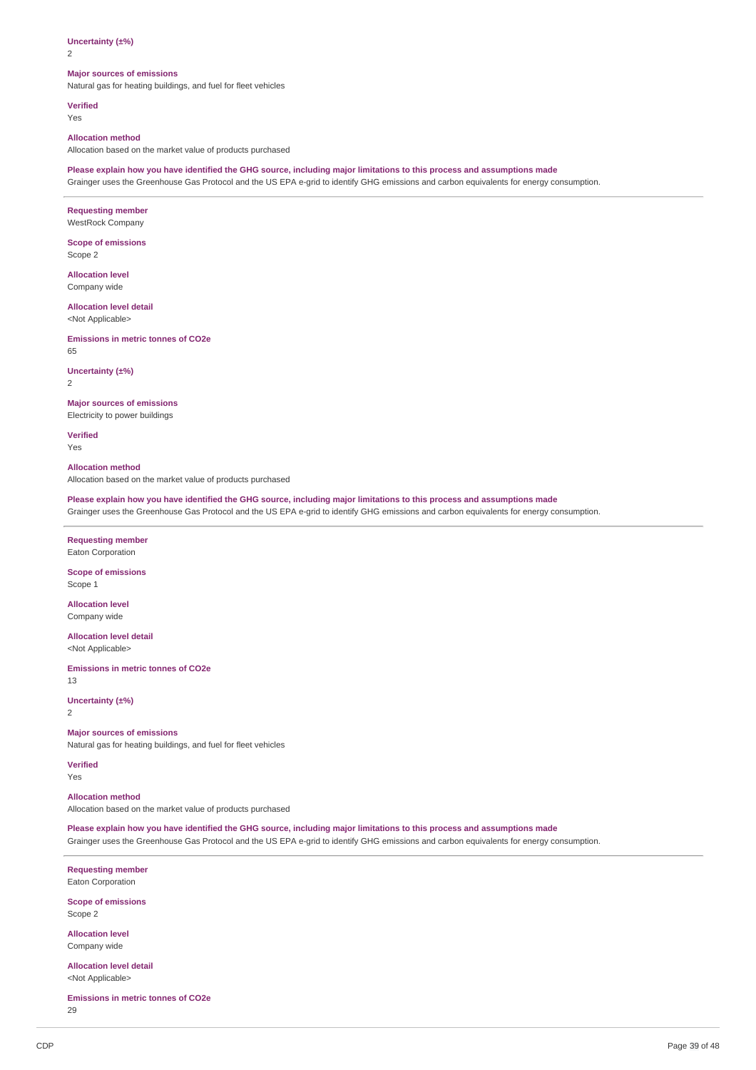$\overline{2}$ 

#### **Major sources of emissions**

Natural gas for heating buildings, and fuel for fleet vehicles

**Verified** Yes

#### **Allocation method**

Allocation based on the market value of products purchased

Please explain how you have identified the GHG source, including major limitations to this process and assumptions made

Grainger uses the Greenhouse Gas Protocol and the US EPA e-grid to identify GHG emissions and carbon equivalents for energy consumption.

## **Requesting member**

WestRock Company

**Scope of emissions** Scope 2

**Allocation level**

Company wide

## **Allocation level detail**

<Not Applicable>

**Emissions in metric tonnes of CO2e** 65

**Uncertainty (±%)**

2

### **Major sources of emissions** Electricity to power buildings

**Verified** Yes

**Allocation method**

Allocation based on the market value of products purchased

Please explain how you have identified the GHG source, including major limitations to this process and assumptions made Grainger uses the Greenhouse Gas Protocol and the US EPA e-grid to identify GHG emissions and carbon equivalents for energy consumption.

### **Requesting member** Eaton Corporation

**Scope of emissions**

Scope 1

**Allocation level** Company wide

**Allocation level detail** <Not Applicable>

**Emissions in metric tonnes of CO2e** 13

**Uncertainty (±%)**

2

### **Major sources of emissions**

Natural gas for heating buildings, and fuel for fleet vehicles

**Verified** Yes

#### **Allocation method**

Allocation based on the market value of products purchased

Please explain how you have identified the GHG source, including major limitations to this process and assumptions made Grainger uses the Greenhouse Gas Protocol and the US EPA e-grid to identify GHG emissions and carbon equivalents for energy consumption.

**Requesting member** Eaton Corporation

**Scope of emissions** Scope 2

**Allocation level** Company wide

**Allocation level detail** <Not Applicable>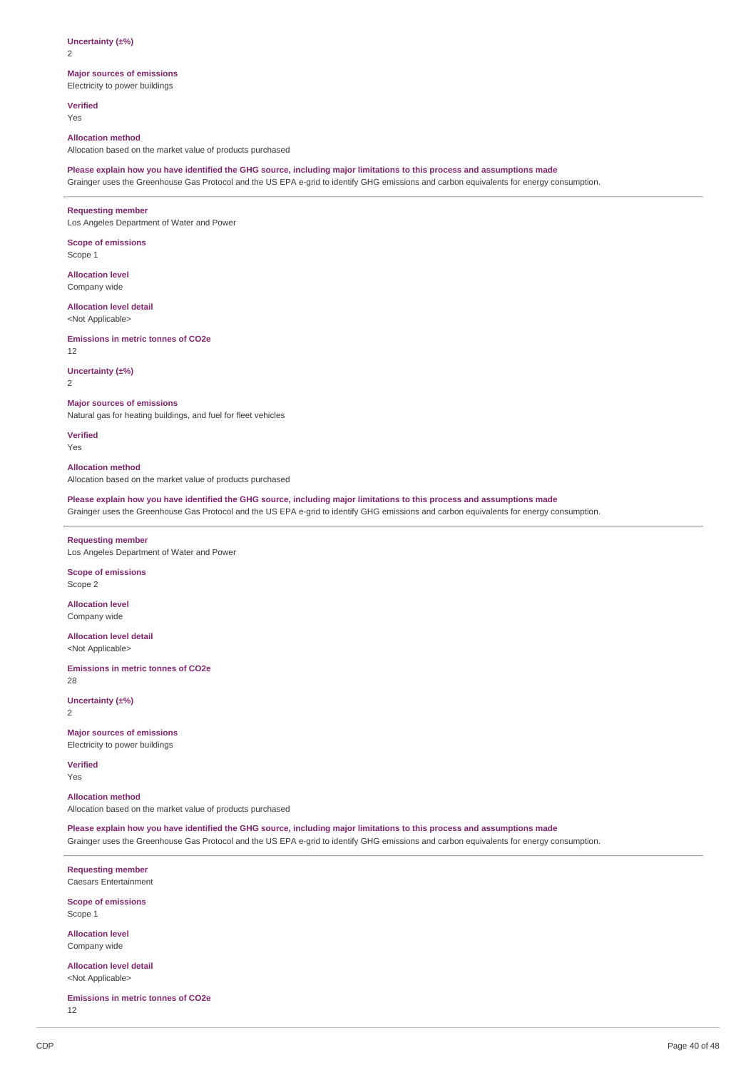$\overline{2}$ 

## **Major sources of emissions**

Electricity to power buildings

**Verified** Yes

#### **Allocation method**

Allocation based on the market value of products purchased

#### Please explain how you have identified the GHG source, including major limitations to this process and assumptions made

Grainger uses the Greenhouse Gas Protocol and the US EPA e-grid to identify GHG emissions and carbon equivalents for energy consumption.

#### **Requesting member**

Los Angeles Department of Water and Power

## **Scope of emissions**

Scope 1

**Allocation level** Company wide

#### **Allocation level detail**

<Not Applicable>

## **Emissions in metric tonnes of CO2e**

12

### **Uncertainty (±%)**

2

## **Major sources of emissions**

Natural gas for heating buildings, and fuel for fleet vehicles

**Verified**

Yes

## **Allocation method**

Allocation based on the market value of products purchased

Please explain how you have identified the GHG source, including major limitations to this process and assumptions made

Grainger uses the Greenhouse Gas Protocol and the US EPA e-grid to identify GHG emissions and carbon equivalents for energy consumption.

### **Requesting member** Los Angeles Department of Water and Power

**Scope of emissions**

Scope 2

### **Allocation level** Company wide

**Allocation level detail**

<Not Applicable>

**Emissions in metric tonnes of CO2e** 28

**Uncertainty (±%)** 2

## **Major sources of emissions**

Electricity to power buildings

**Verified** Yes

## **Allocation method**

Allocation based on the market value of products purchased

Please explain how you have identified the GHG source, including major limitations to this process and assumptions made

Grainger uses the Greenhouse Gas Protocol and the US EPA e-grid to identify GHG emissions and carbon equivalents for energy consumption.

**Requesting member** Caesars Entertainment

**Scope of emissions** Scope 1

**Allocation level** Company wide

**Allocation level detail** <Not Applicable>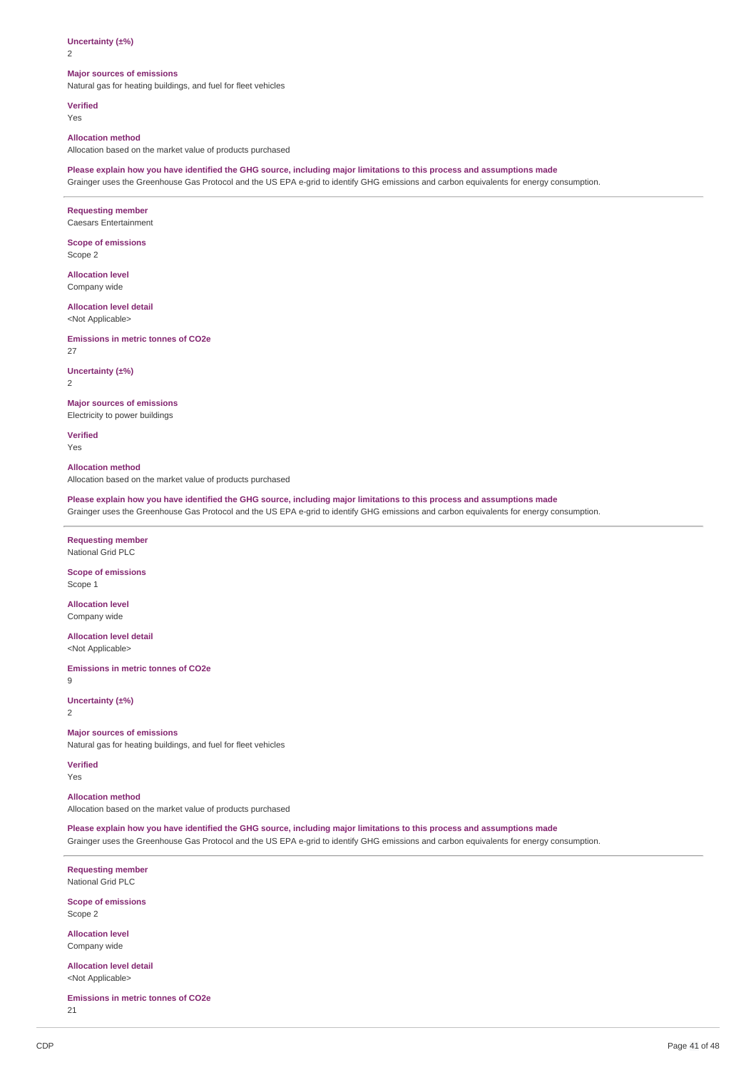$\overline{2}$ 

#### **Major sources of emissions**

Natural gas for heating buildings, and fuel for fleet vehicles

**Verified** Yes

#### **Allocation method**

Allocation based on the market value of products purchased

Please explain how you have identified the GHG source, including major limitations to this process and assumptions made

Grainger uses the Greenhouse Gas Protocol and the US EPA e-grid to identify GHG emissions and carbon equivalents for energy consumption.

### **Requesting member**

Caesars Entertainment

**Scope of emissions** Scope 2

**Allocation level**

Company wide

## **Allocation level detail**

<Not Applicable>

**Emissions in metric tonnes of CO2e** 27

**Uncertainty (±%)**

2

## **Major sources of emissions**

Electricity to power buildings

**Verified** Yes

**Allocation method**

Allocation based on the market value of products purchased

Please explain how you have identified the GHG source, including major limitations to this process and assumptions made Grainger uses the Greenhouse Gas Protocol and the US EPA e-grid to identify GHG emissions and carbon equivalents for energy consumption.

#### **Requesting member** National Grid PLC

**Scope of emissions**

Scope 1

**Allocation level** Company wide

**Allocation level detail** <Not Applicable>

**Emissions in metric tonnes of CO2e**

9

**Uncertainty (±%)** 2

#### **Major sources of emissions**

Natural gas for heating buildings, and fuel for fleet vehicles

**Verified** Yes

#### **Allocation method**

Allocation based on the market value of products purchased

Please explain how you have identified the GHG source, including major limitations to this process and assumptions made Grainger uses the Greenhouse Gas Protocol and the US EPA e-grid to identify GHG emissions and carbon equivalents for energy consumption.

**Requesting member** National Grid PLC

**Scope of emissions** Scope 2

**Allocation level** Company wide

**Allocation level detail** <Not Applicable>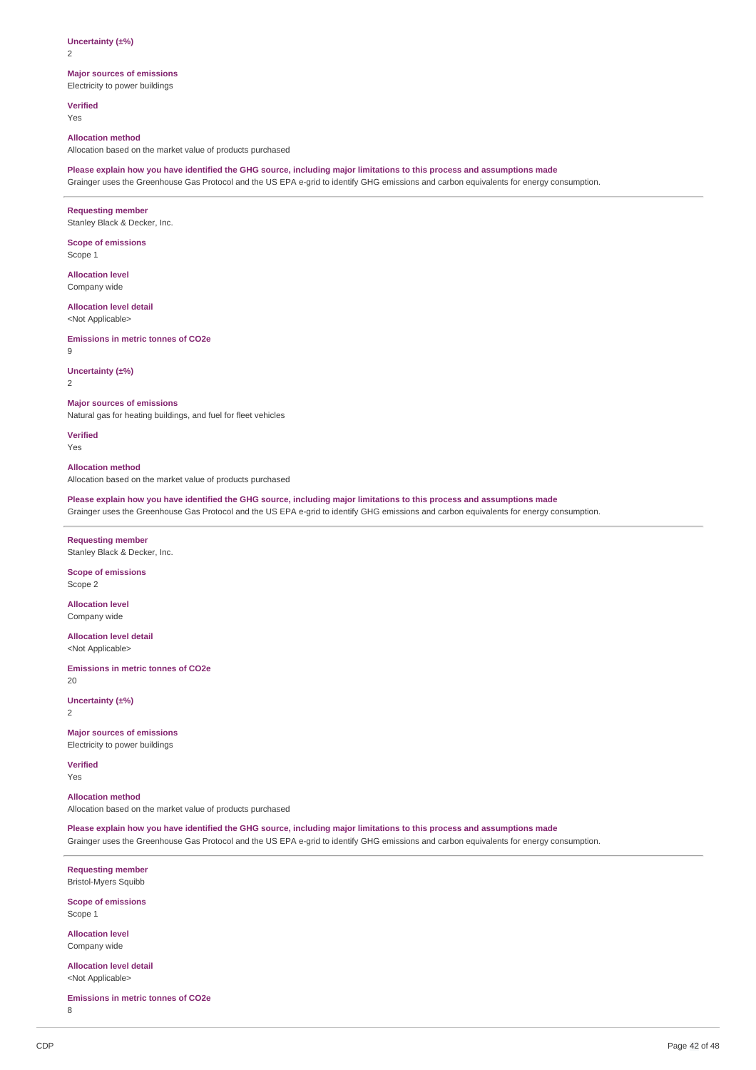2

## **Major sources of emissions**

Electricity to power buildings

**Verified** Yes

#### **Allocation method**

Allocation based on the market value of products purchased

#### Please explain how you have identified the GHG source, including major limitations to this process and assumptions made

Grainger uses the Greenhouse Gas Protocol and the US EPA e-grid to identify GHG emissions and carbon equivalents for energy consumption.

### **Requesting member**

Stanley Black & Decker, Inc.

## **Scope of emissions**

Scope 1

**Allocation level** Company wide

## **Allocation level detail**

<Not Applicable>

#### **Emissions in metric tonnes of CO2e**

9

#### **Uncertainty (±%)**

2

## **Major sources of emissions**

Natural gas for heating buildings, and fuel for fleet vehicles

**Verified**

Yes

## **Allocation method**

Allocation based on the market value of products purchased

Please explain how you have identified the GHG source, including major limitations to this process and assumptions made Grainger uses the Greenhouse Gas Protocol and the US EPA e-grid to identify GHG emissions and carbon equivalents for energy consumption.

## **Requesting member**

Stanley Black & Decker, Inc.

#### **Scope of emissions** Scope 2

**Allocation level** Company wide

**Allocation level detail**

<Not Applicable>

**Emissions in metric tonnes of CO2e** 20

**Uncertainty (±%)** 2

## **Major sources of emissions**

Electricity to power buildings

**Verified** Yes

## **Allocation method**

Allocation based on the market value of products purchased

Please explain how you have identified the GHG source, including major limitations to this process and assumptions made

Grainger uses the Greenhouse Gas Protocol and the US EPA e-grid to identify GHG emissions and carbon equivalents for energy consumption.

**Requesting member** Bristol-Myers Squibb

**Scope of emissions** Scope 1

**Allocation level** Company wide

**Allocation level detail** <Not Applicable>

**Emissions in metric tonnes of CO2e**

8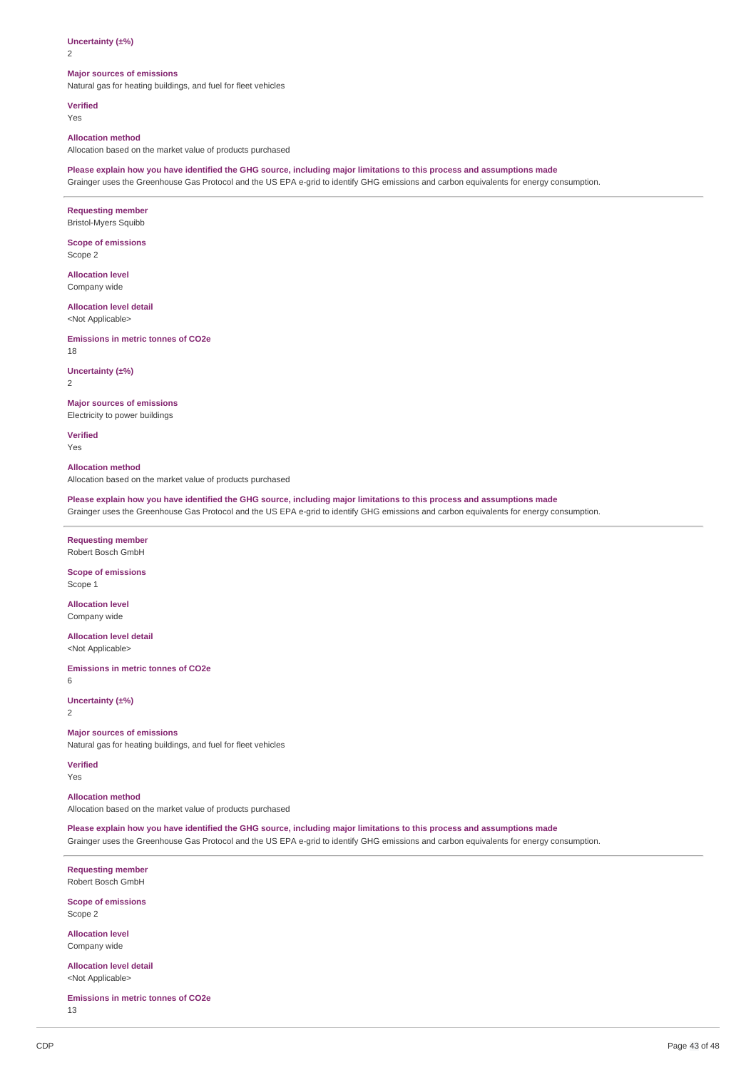$\overline{2}$ 

#### **Major sources of emissions**

Natural gas for heating buildings, and fuel for fleet vehicles

**Verified** Yes

#### **Allocation method**

Allocation based on the market value of products purchased

Please explain how you have identified the GHG source, including major limitations to this process and assumptions made

Grainger uses the Greenhouse Gas Protocol and the US EPA e-grid to identify GHG emissions and carbon equivalents for energy consumption.

## **Requesting member**

Bristol-Myers Squibb

**Scope of emissions** Scope 2

**Allocation level**

Company wide

## **Allocation level detail**

<Not Applicable>

**Emissions in metric tonnes of CO2e** 18

**Uncertainty (±%)**

2

## **Major sources of emissions**

Electricity to power buildings

**Verified** Yes

**Allocation method**

Allocation based on the market value of products purchased

Please explain how you have identified the GHG source, including major limitations to this process and assumptions made Grainger uses the Greenhouse Gas Protocol and the US EPA e-grid to identify GHG emissions and carbon equivalents for energy consumption.

### **Requesting member** Robert Bosch GmbH

**Scope of emissions** Scope 1

**Allocation level** Company wide

**Allocation level detail** <Not Applicable>

**Emissions in metric tonnes of CO2e**

6

**Uncertainty (±%)** 2

#### **Major sources of emissions**

Natural gas for heating buildings, and fuel for fleet vehicles

**Verified** Yes

#### **Allocation method**

Allocation based on the market value of products purchased

Please explain how you have identified the GHG source, including major limitations to this process and assumptions made Grainger uses the Greenhouse Gas Protocol and the US EPA e-grid to identify GHG emissions and carbon equivalents for energy consumption.

**Requesting member** Robert Bosch GmbH

**Scope of emissions** Scope 2

**Allocation level** Company wide

**Allocation level detail** <Not Applicable>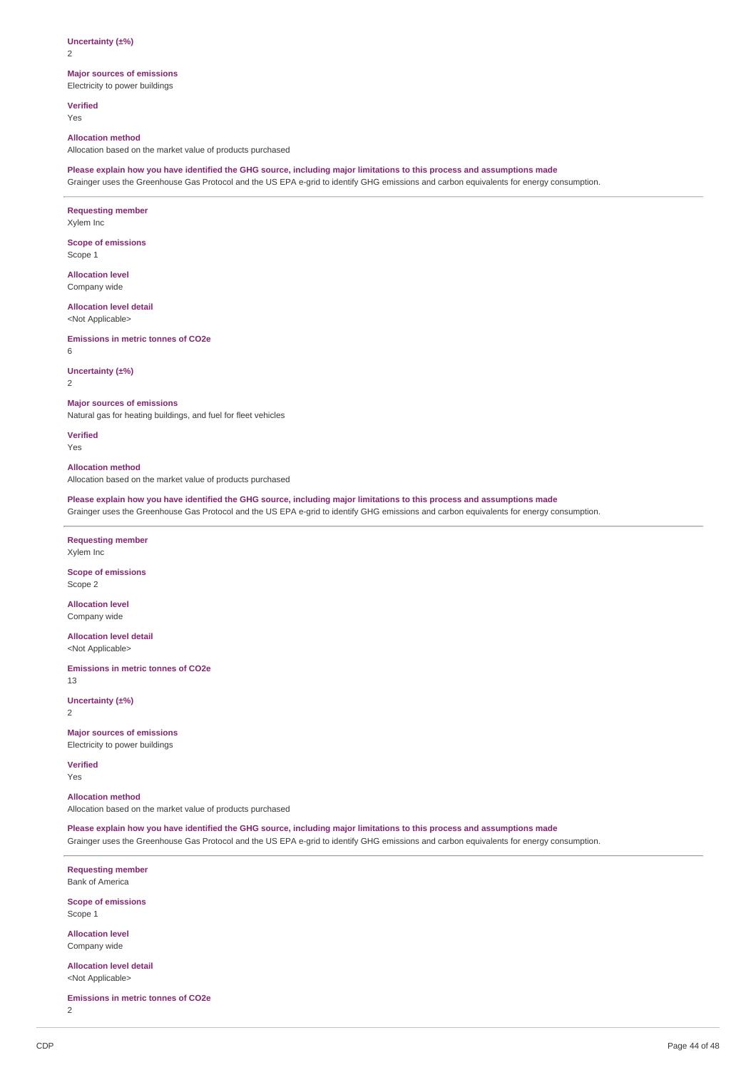2

## **Major sources of emissions**

Electricity to power buildings

**Verified** Yes

#### **Allocation method**

Allocation based on the market value of products purchased

#### Please explain how you have identified the GHG source, including major limitations to this process and assumptions made

Grainger uses the Greenhouse Gas Protocol and the US EPA e-grid to identify GHG emissions and carbon equivalents for energy consumption.

#### **Requesting member**

Xylem Inc

#### **Scope of emissions** Scope 1

**Allocation level**

Company wide

### **Allocation level detail**

<Not Applicable>

### **Emissions in metric tonnes of CO2e**

6

#### **Uncertainty (±%)**

2

## **Major sources of emissions**

Natural gas for heating buildings, and fuel for fleet vehicles

**Verified**

Yes

## **Allocation method**

Allocation based on the market value of products purchased

Please explain how you have identified the GHG source, including major limitations to this process and assumptions made Grainger uses the Greenhouse Gas Protocol and the US EPA e-grid to identify GHG emissions and carbon equivalents for energy consumption.

## **Requesting member**

Xylem Inc

#### **Scope of emissions** Scope 2

### **Allocation level** Company wide

**Allocation level detail**

<Not Applicable>

**Emissions in metric tonnes of CO2e** 13

**Uncertainty (±%)** 2

## **Major sources of emissions**

Electricity to power buildings

**Verified** Yes

## **Allocation method**

Allocation based on the market value of products purchased

Please explain how you have identified the GHG source, including major limitations to this process and assumptions made

Grainger uses the Greenhouse Gas Protocol and the US EPA e-grid to identify GHG emissions and carbon equivalents for energy consumption.

**Requesting member** Bank of America

**Scope of emissions** Scope 1

**Allocation level** Company wide

**Allocation level detail** <Not Applicable>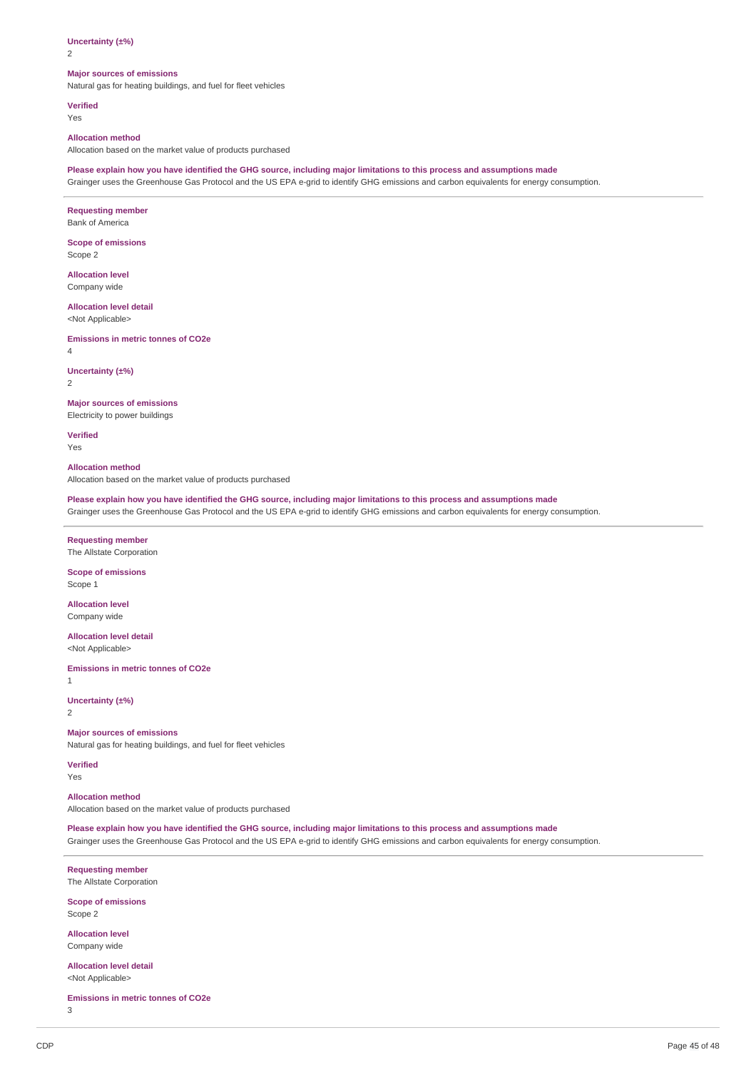$\overline{2}$ 

#### **Major sources of emissions**

Natural gas for heating buildings, and fuel for fleet vehicles

**Verified** Yes

#### **Allocation method**

Allocation based on the market value of products purchased

Please explain how you have identified the GHG source, including major limitations to this process and assumptions made

Grainger uses the Greenhouse Gas Protocol and the US EPA e-grid to identify GHG emissions and carbon equivalents for energy consumption.

## **Requesting member**

Bank of America

**Scope of emissions** Scope 2

**Allocation level**

Company wide

## **Allocation level detail**

<Not Applicable>

**Emissions in metric tonnes of CO2e**

4

#### **Uncertainty (±%)**

2

## **Major sources of emissions**

Electricity to power buildings

**Verified** Yes

**Allocation method** Allocation based on the market value of products purchased

Please explain how you have identified the GHG source, including major limitations to this process and assumptions made Grainger uses the Greenhouse Gas Protocol and the US EPA e-grid to identify GHG emissions and carbon equivalents for energy consumption.

### **Requesting member** The Allstate Corporation

### **Scope of emissions** Scope 1

**Allocation level** Company wide

**Allocation level detail** <Not Applicable>

**Emissions in metric tonnes of CO2e**

1

**Uncertainty (±%)** 2

#### **Major sources of emissions**

Natural gas for heating buildings, and fuel for fleet vehicles

**Verified** Yes

#### **Allocation method**

Allocation based on the market value of products purchased

Please explain how you have identified the GHG source, including major limitations to this process and assumptions made Grainger uses the Greenhouse Gas Protocol and the US EPA e-grid to identify GHG emissions and carbon equivalents for energy consumption.

**Requesting member** The Allstate Corporation

**Scope of emissions** Scope 2

**Allocation level** Company wide

**Allocation level detail** <Not Applicable>

**Emissions in metric tonnes of CO2e**

3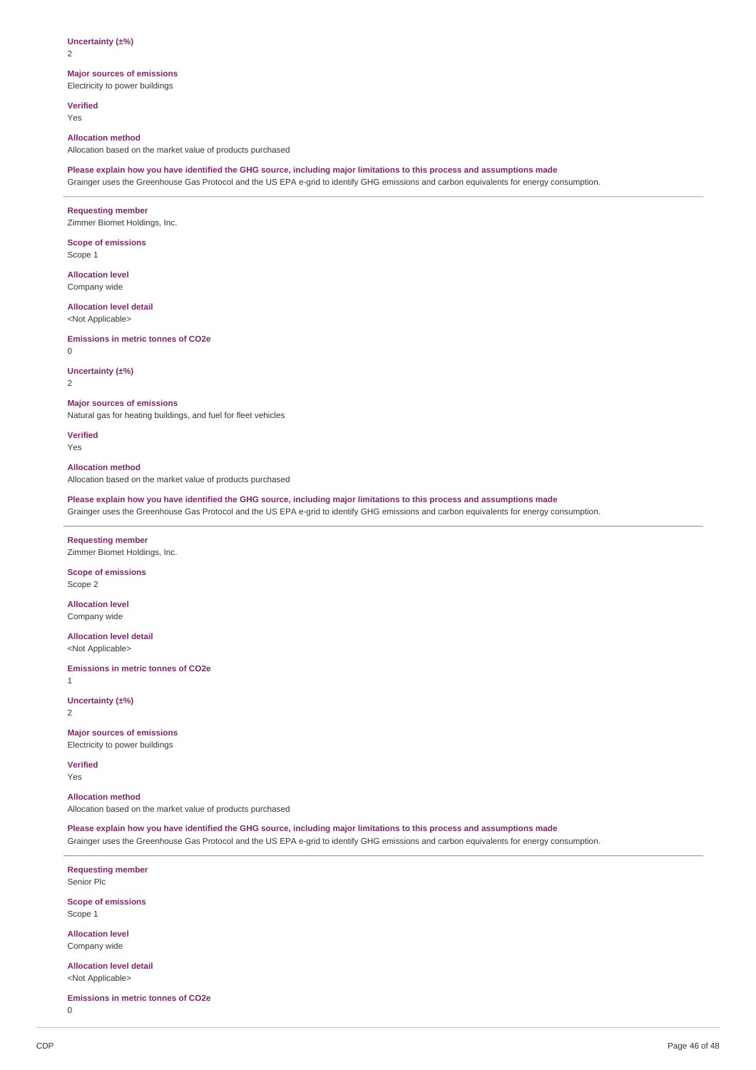2

## **Major sources of emissions**

Electricity to power buildings

**Verified** Yes

#### **Allocation method**

Allocation based on the market value of products purchased

#### Please explain how you have identified the GHG source, including major limitations to this process and assumptions made

Grainger uses the Greenhouse Gas Protocol and the US EPA e-grid to identify GHG emissions and carbon equivalents for energy consumption.

#### **Requesting member**

Zimmer Biomet Holdings, Inc.

## **Scope of emissions**

Scope 1

**Allocation level** Company wide

#### **Allocation level detail**

<Not Applicable>

#### **Emissions in metric tonnes of CO2e**

 $\Omega$ 

#### **Uncertainty (±%)**

2

## **Major sources of emissions**

Natural gas for heating buildings, and fuel for fleet vehicles

**Verified**

Yes

## **Allocation method**

Allocation based on the market value of products purchased

Please explain how you have identified the GHG source, including major limitations to this process and assumptions made Grainger uses the Greenhouse Gas Protocol and the US EPA e-grid to identify GHG emissions and carbon equivalents for energy consumption.

### **Requesting member** Zimmer Biomet Holdings, Inc.

#### **Scope of emissions** Scope 2

**Allocation level** Company wide

#### **Allocation level detail**

<Not Applicable>

**Emissions in metric tonnes of CO2e**

1

#### **Uncertainty (±%)** 2

**Major sources of emissions**

## Electricity to power buildings

**Verified** Yes

#### **Allocation method**

Allocation based on the market value of products purchased

Please explain how you have identified the GHG source, including major limitations to this process and assumptions made

Grainger uses the Greenhouse Gas Protocol and the US EPA e-grid to identify GHG emissions and carbon equivalents for energy consumption.

**Requesting member** Senior Plc

**Scope of emissions** Scope 1

**Allocation level** Company wide

**Allocation level detail** <Not Applicable>

**Emissions in metric tonnes of CO2e**

0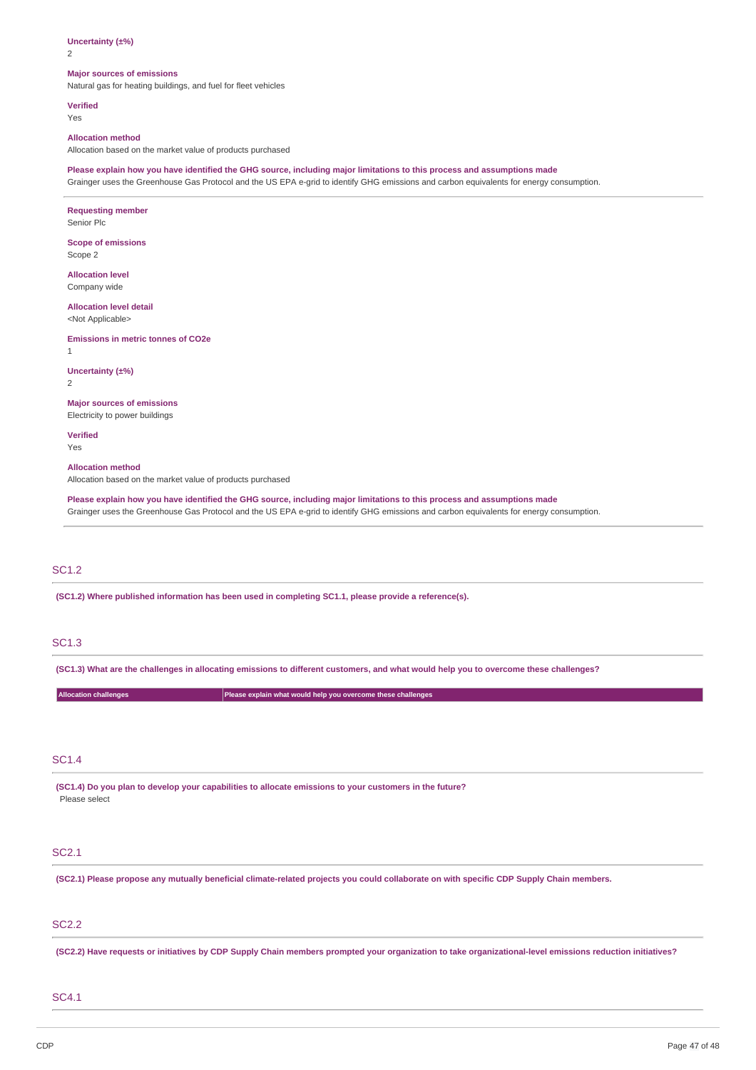$\overline{2}$ 

#### **Major sources of emissions**

Natural gas for heating buildings, and fuel for fleet vehicles

**Verified** Yes

#### **Allocation method**

Allocation based on the market value of products purchased

Please explain how you have identified the GHG source, including major limitations to this process and assumptions made

Grainger uses the Greenhouse Gas Protocol and the US EPA e-grid to identify GHG emissions and carbon equivalents for energy consumption.

## **Requesting member** Senior Plc **Scope of emissions** Scope 2 **Allocation level** Company wide **Allocation level detail** <Not Applicable> **Emissions in metric tonnes of CO2e** 1 **Uncertainty (±%)** 2 **Major sources of emissions** Electricity to power buildings **Verified** Yes

**Allocation method**

Allocation based on the market value of products purchased

Please explain how you have identified the GHG source, including major limitations to this process and assumptions made Grainger uses the Greenhouse Gas Protocol and the US EPA e-grid to identify GHG emissions and carbon equivalents for energy consumption.

## SC1.2

**(SC1.2) Where published information has been used in completing SC1.1, please provide a reference(s).**

## SC1.3

(SC1.3) What are the challenges in allocating emissions to different customers, and what would help you to overcome these challenges?

| <b>Allocation challenges</b> | Please explain what would help you overcome these challenges |
|------------------------------|--------------------------------------------------------------|
|                              |                                                              |

## SC1.4

**(SC1.4) Do you plan to develop your capabilities to allocate emissions to your customers in the future?** Please select

## SC2.1

(SC2.1) Please propose any mutually beneficial climate-related projects you could collaborate on with specific CDP Supply Chain members.

## SC2.2

(SC2.2) Have requests or initiatives by CDP Supply Chain members prompted your organization to take organizational-level emissions reduction initiatives?

## SC4.1